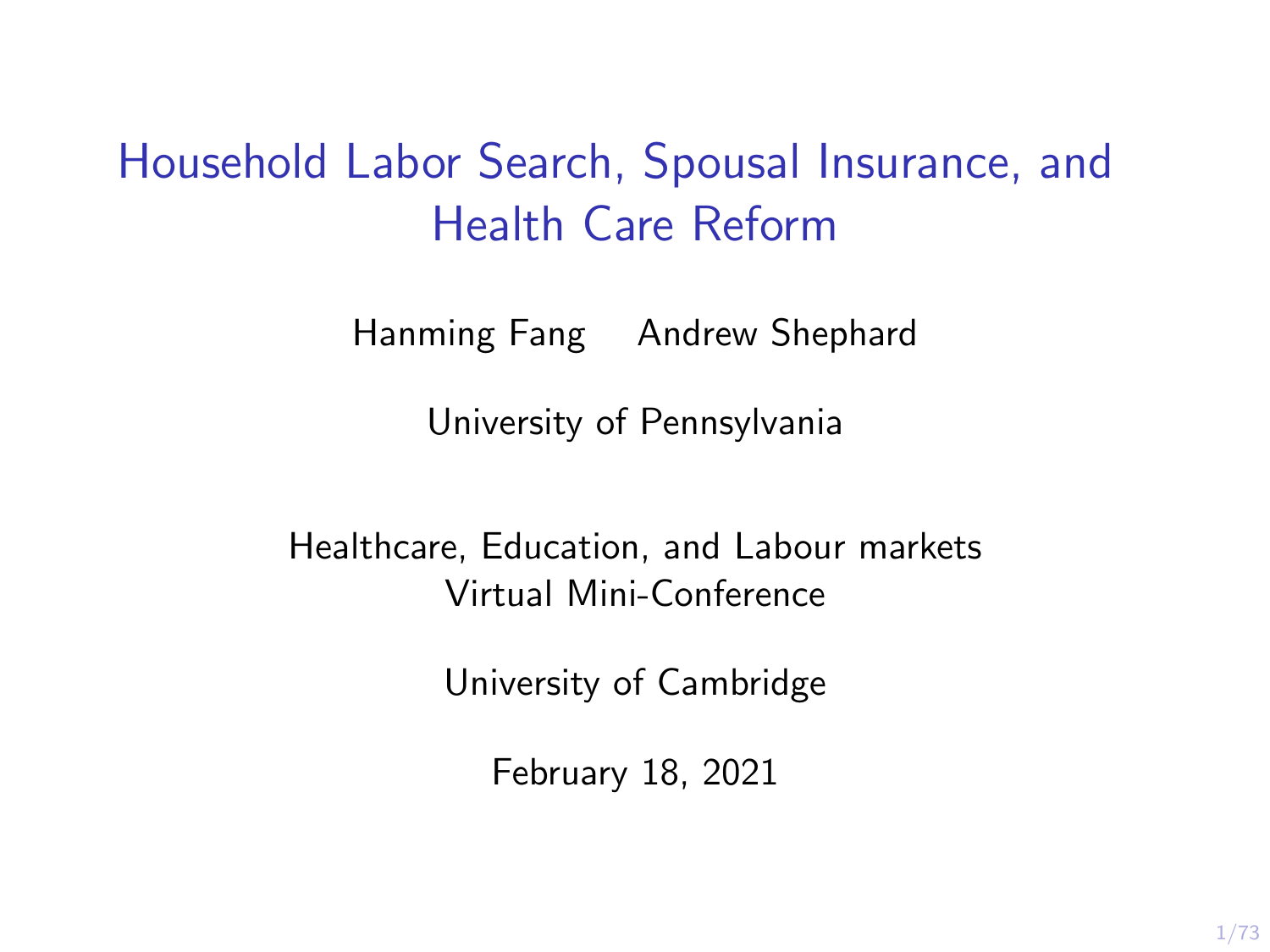# Household Labor Search, Spousal Insurance, and Health Care Reform

Hanming Fang Andrew Shephard

University of Pennsylvania

Healthcare, Education, and Labour markets Virtual Mini-Conference

University of Cambridge

February 18, 2021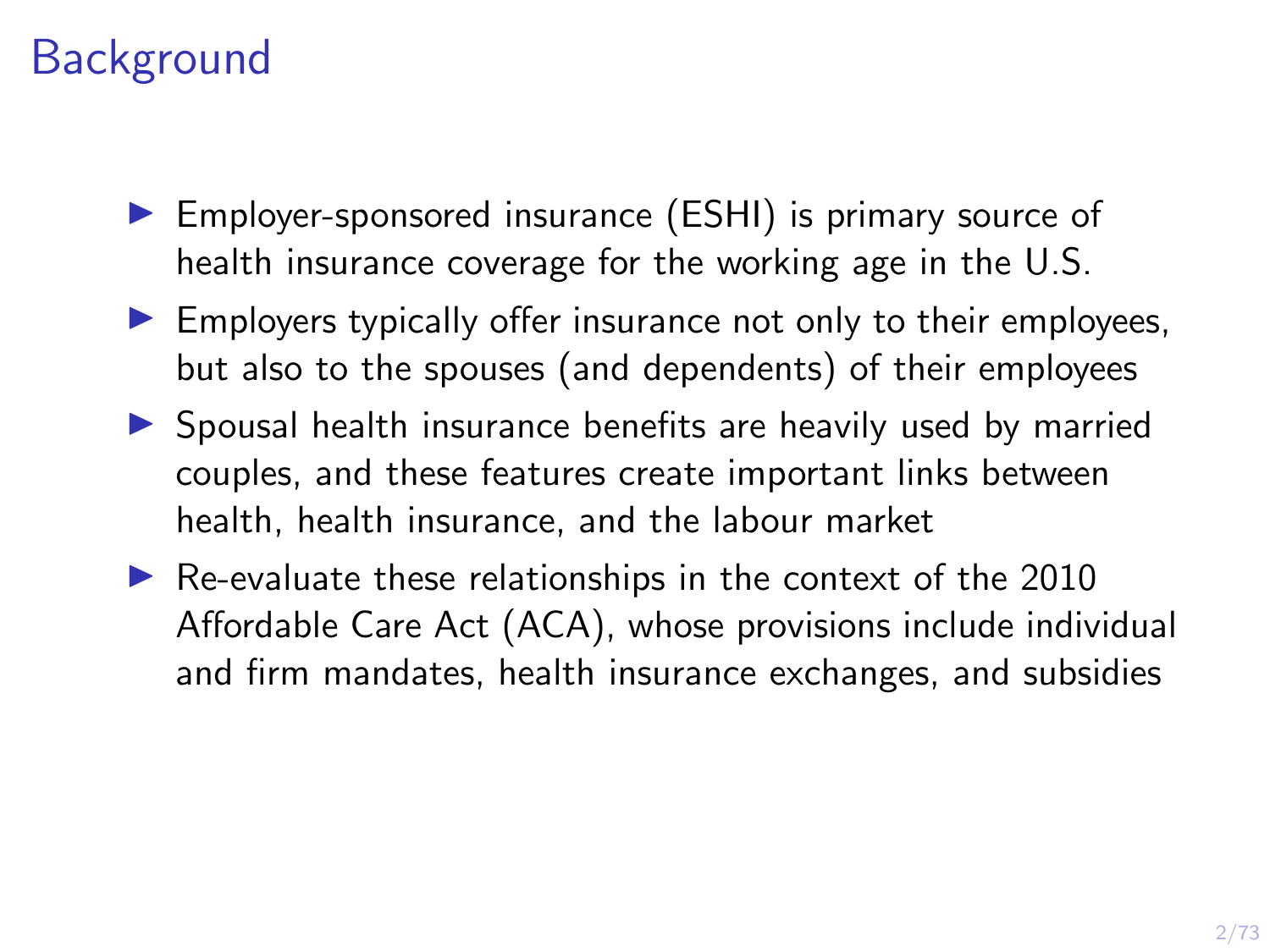# **Background**

- ▶ Employer-sponsored insurance (ESHI) is primary source of health insurance coverage for the working age in the U.S.
- $\blacktriangleright$  Employers typically offer insurance not only to their employees, but also to the spouses (and dependents) of their employees
- $\triangleright$  Spousal health insurance benefits are heavily used by married couples, and these features create important links between health, health insurance, and the labour market
- $\blacktriangleright$  Re-evaluate these relationships in the context of the 2010 Affordable Care Act (ACA), whose provisions include individual and firm mandates, health insurance exchanges, and subsidies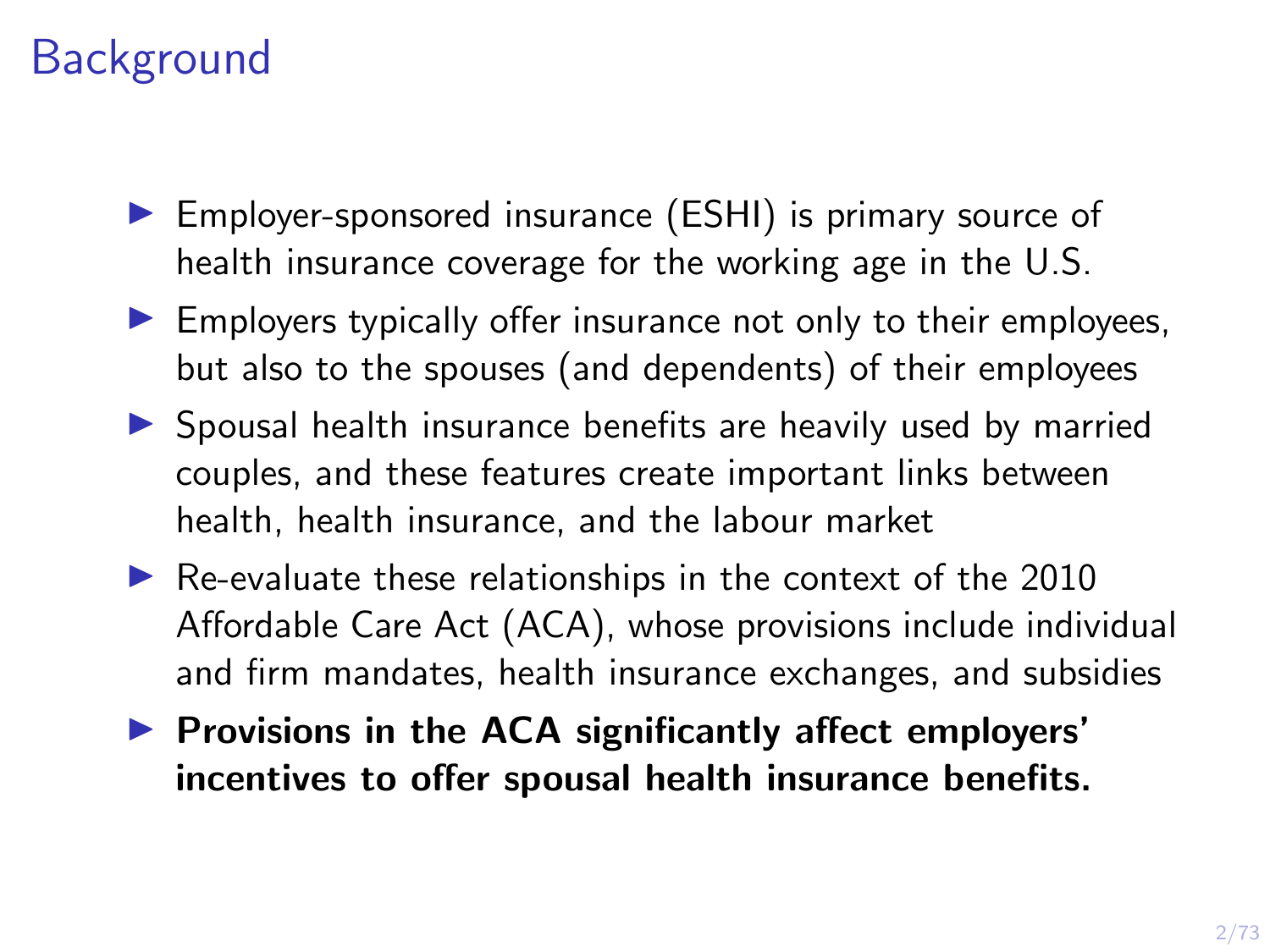# **Background**

- ▶ Employer-sponsored insurance (ESHI) is primary source of health insurance coverage for the working age in the U.S.
- $\blacktriangleright$  Employers typically offer insurance not only to their employees, but also to the spouses (and dependents) of their employees
- $\triangleright$  Spousal health insurance benefits are heavily used by married couples, and these features create important links between health, health insurance, and the labour market
- $\blacktriangleright$  Re-evaluate these relationships in the context of the 2010 Affordable Care Act (ACA), whose provisions include individual and firm mandates, health insurance exchanges, and subsidies
- $\blacktriangleright$  Provisions in the ACA significantly affect employers' incentives to offer spousal health insurance benefits.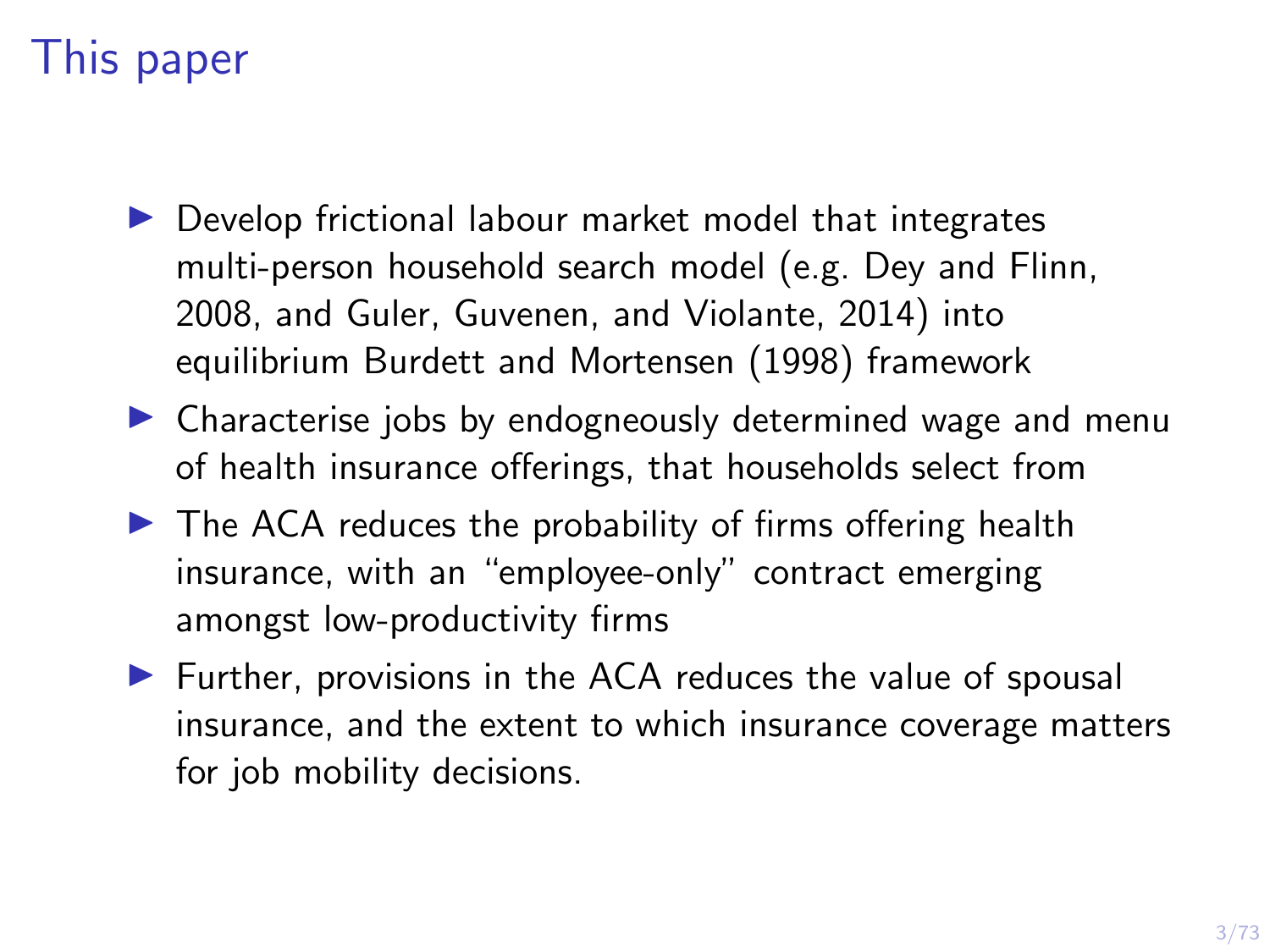# This paper

- $\triangleright$  Develop frictional labour market model that integrates multi-person household search model (e.g. Dey and Flinn, 2008, and Guler, Guvenen, and Violante, 2014) into equilibrium Burdett and Mortensen (1998) framework
- $\triangleright$  Characterise jobs by endogneously determined wage and menu of health insurance offerings, that households select from
- $\blacktriangleright$  The ACA reduces the probability of firms offering health insurance, with an "employee-only" contract emerging amongst low-productivity firms
- $\blacktriangleright$  Further, provisions in the ACA reduces the value of spousal insurance, and the extent to which insurance coverage matters for job mobility decisions.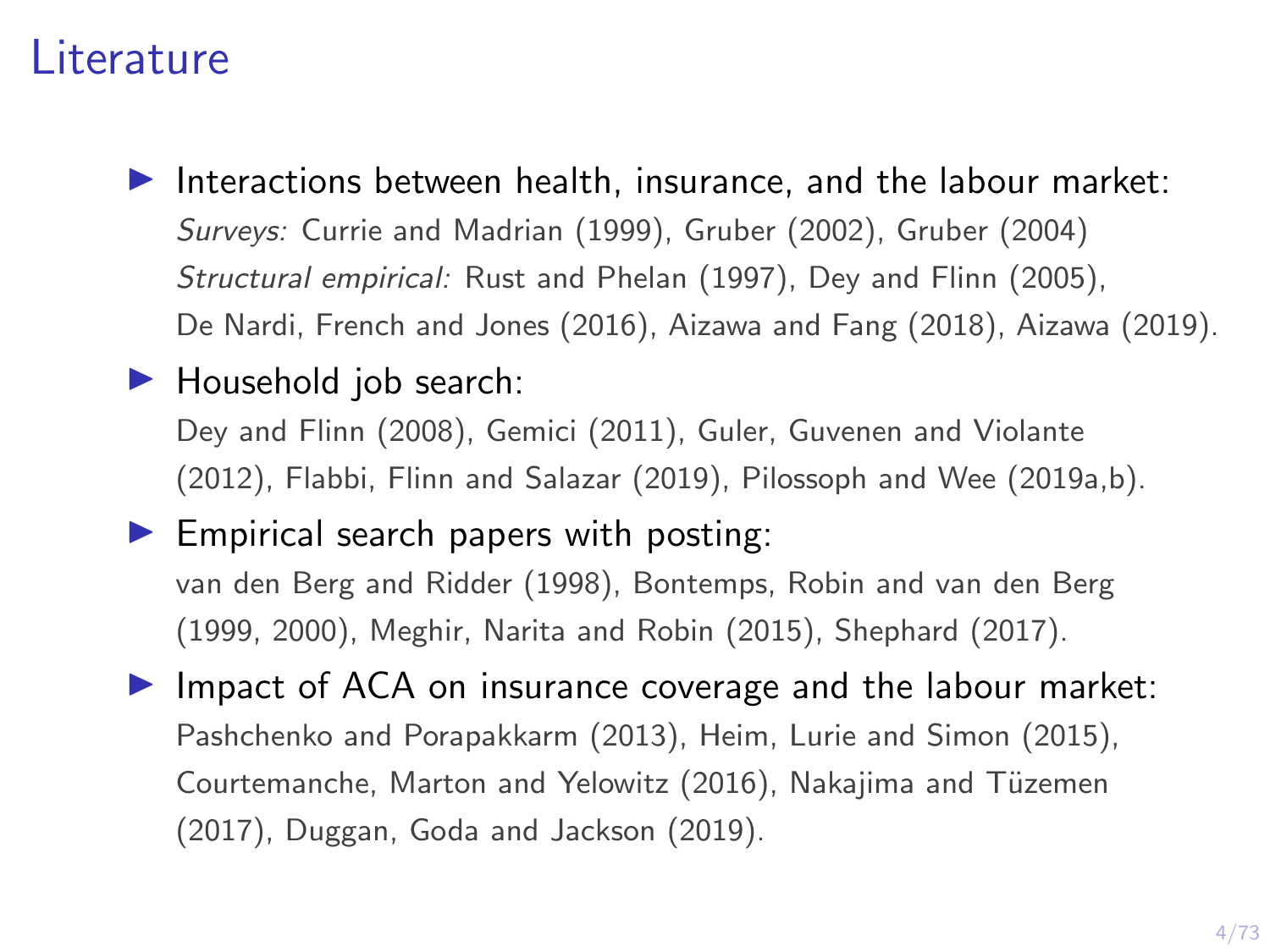#### Literature

 $\blacktriangleright$  Interactions between health, insurance, and the labour market: Surveys: Currie and Madrian (1999), Gruber (2002), Gruber (2004) Structural empirical: Rust and Phelan (1997), Dey and Flinn (2005), De Nardi, French and Jones (2016), Aizawa and Fang (2018), Aizawa (2019).

#### $\blacktriangleright$  Household job search:

Dey and Flinn (2008), Gemici (2011), Guler, Guvenen and Violante (2012), Flabbi, Flinn and Salazar (2019), Pilossoph and Wee (2019a,b).

 $\blacktriangleright$  Empirical search papers with posting: van den Berg and Ridder (1998), Bontemps, Robin and van den Berg (1999, 2000), Meghir, Narita and Robin (2015), Shephard (2017).

 $\blacktriangleright$  Impact of ACA on insurance coverage and the labour market: Pashchenko and Porapakkarm (2013), Heim, Lurie and Simon (2015), Courtemanche, Marton and Yelowitz (2016), Nakajima and Tüzemen (2017), Duggan, Goda and Jackson (2019).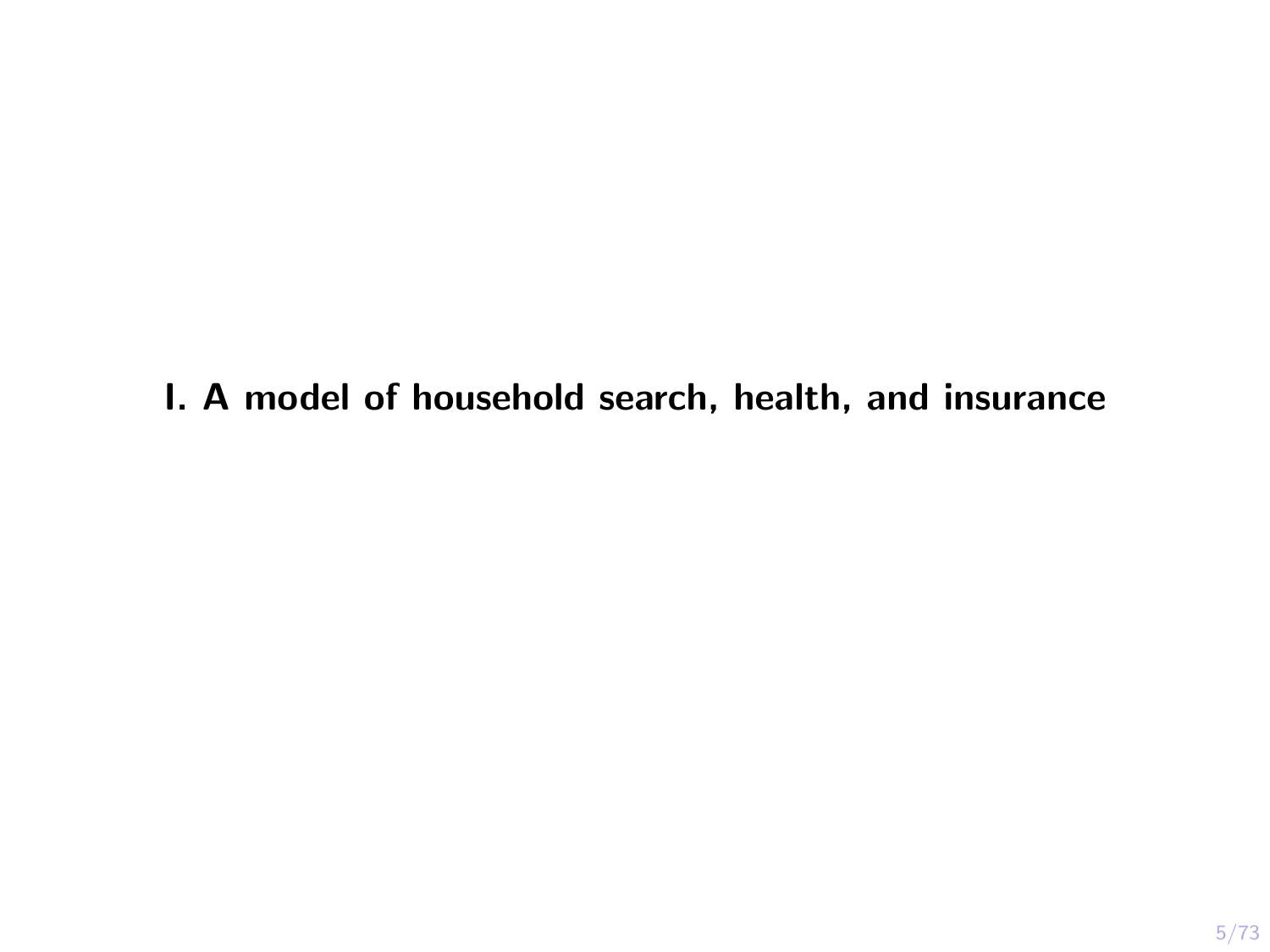I. A model of household search, health, and insurance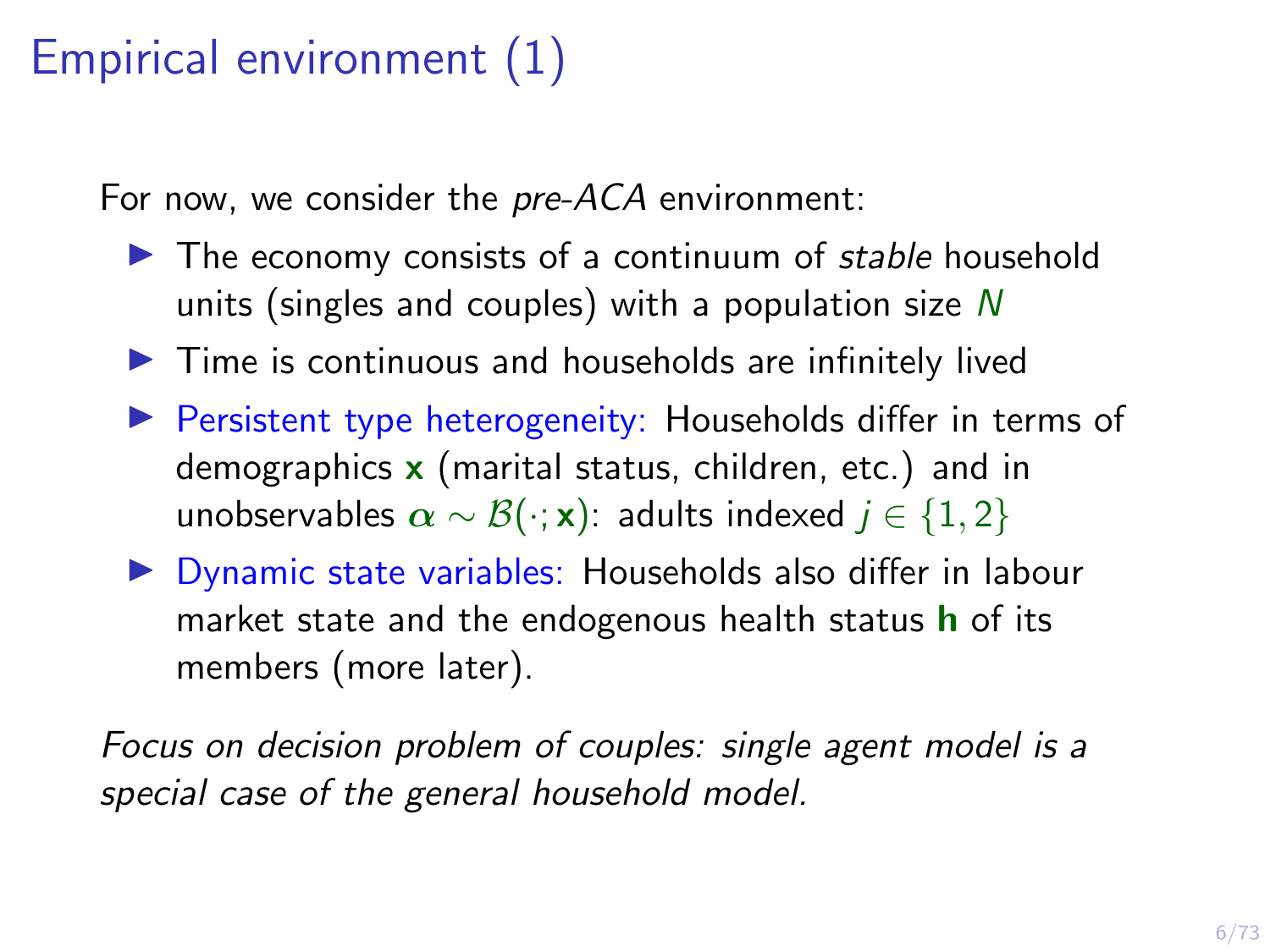# Empirical environment (1)

For now, we consider the pre-ACA environment:

- $\blacktriangleright$  The economy consists of a continuum of stable household units (singles and couples) with a population size  $N$
- $\blacktriangleright$  Time is continuous and households are infinitely lived
- $\triangleright$  Persistent type heterogeneity: Households differ in terms of demographics  $x$  (marital status, children, etc.) and in unobservables  $\alpha \sim \mathcal{B}(\cdot; \mathbf{x})$ : adults indexed  $j \in \{1, 2\}$
- $\triangleright$  Dynamic state variables: Households also differ in labour market state and the endogenous health status  **of its** members (more later).

Focus on decision problem of couples: single agent model is a special case of the general household model.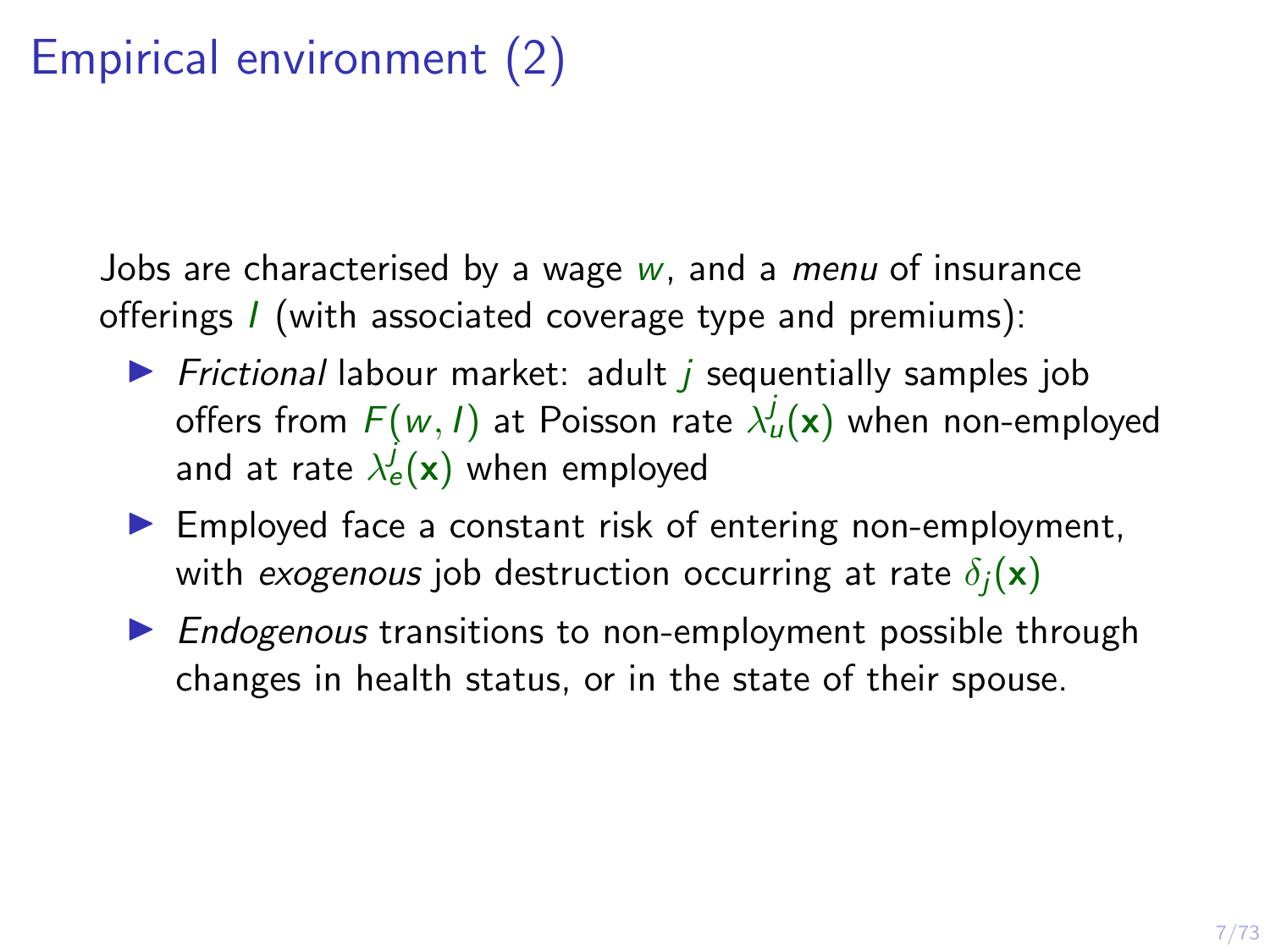# Empirical environment (2)

Jobs are characterised by a wage  $w$ , and a *menu* of insurance offerings I (with associated coverage type and premiums):

- $\triangleright$  Frictional labour market: adult *i* sequentially samples job offers from  $F(w, I)$  at Poisson rate  $\lambda^j_u({\bf x})$  when non-employed and at rate  $\lambda_{e}^{j}(\textbf{x})$  when employed
- $\blacktriangleright$  Employed face a constant risk of entering non-employment, with exogenous job destruction occurring at rate  $\delta_i(\mathbf{x})$
- $\triangleright$  Endogenous transitions to non-employment possible through changes in health status, or in the state of their spouse.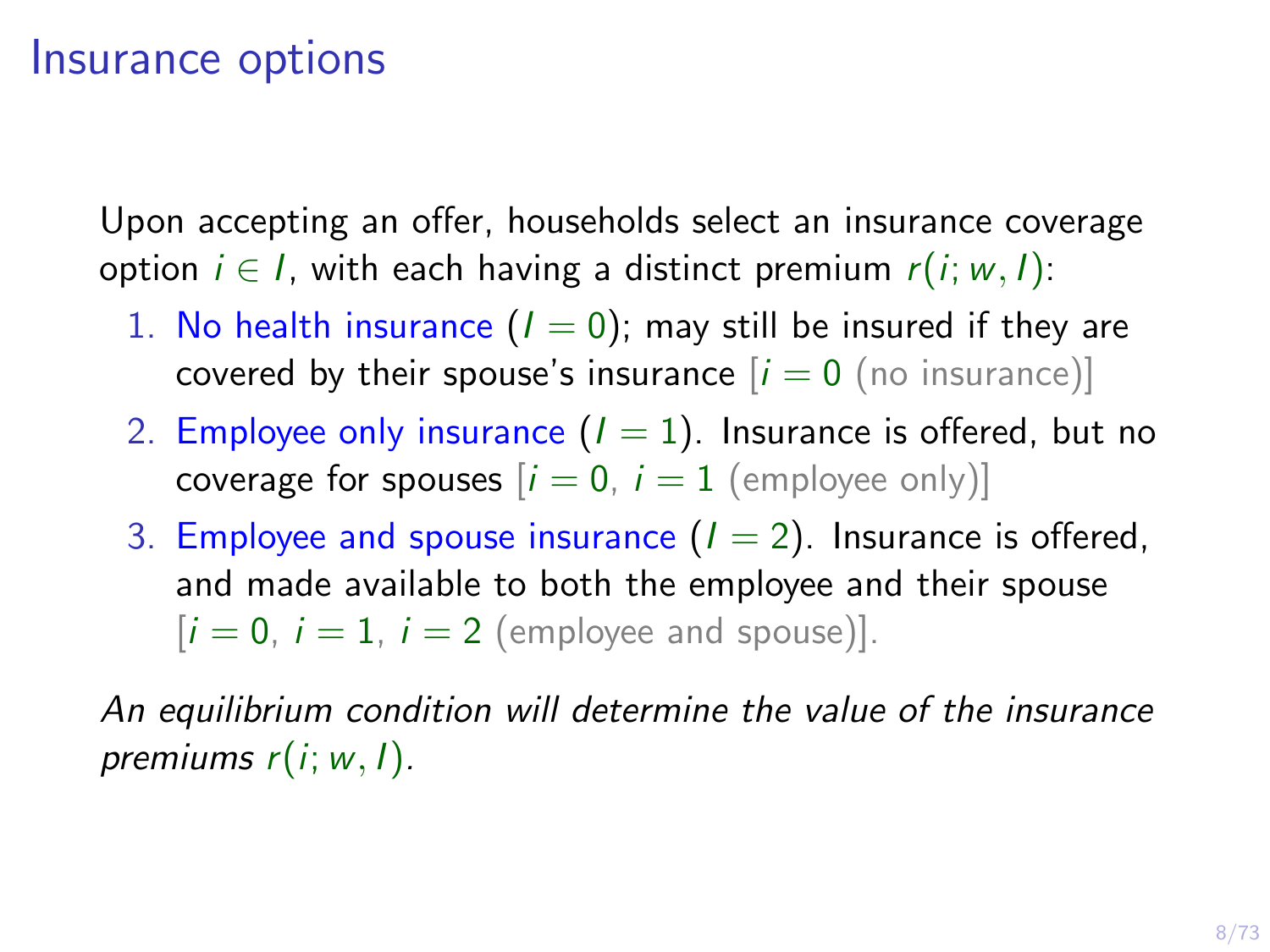#### Insurance options

Upon accepting an offer, households select an insurance coverage option  $i \in I$ , with each having a distinct premium  $r(i; w, I)$ :

- 1. No health insurance  $(I = 0)$ ; may still be insured if they are covered by their spouse's insurance  $[i = 0$  (no insurance)]
- 2. Employee only insurance  $(I = 1)$ . Insurance is offered, but no coverage for spouses  $[i = 0, i = 1$  (employee only)]
- 3. Employee and spouse insurance  $(I = 2)$ . Insurance is offered, and made available to both the employee and their spouse  $[i = 0, i = 1, i = 2$  (employee and spouse)].

An equilibrium condition will determine the value of the insurance premiums  $r(i; w, l)$ .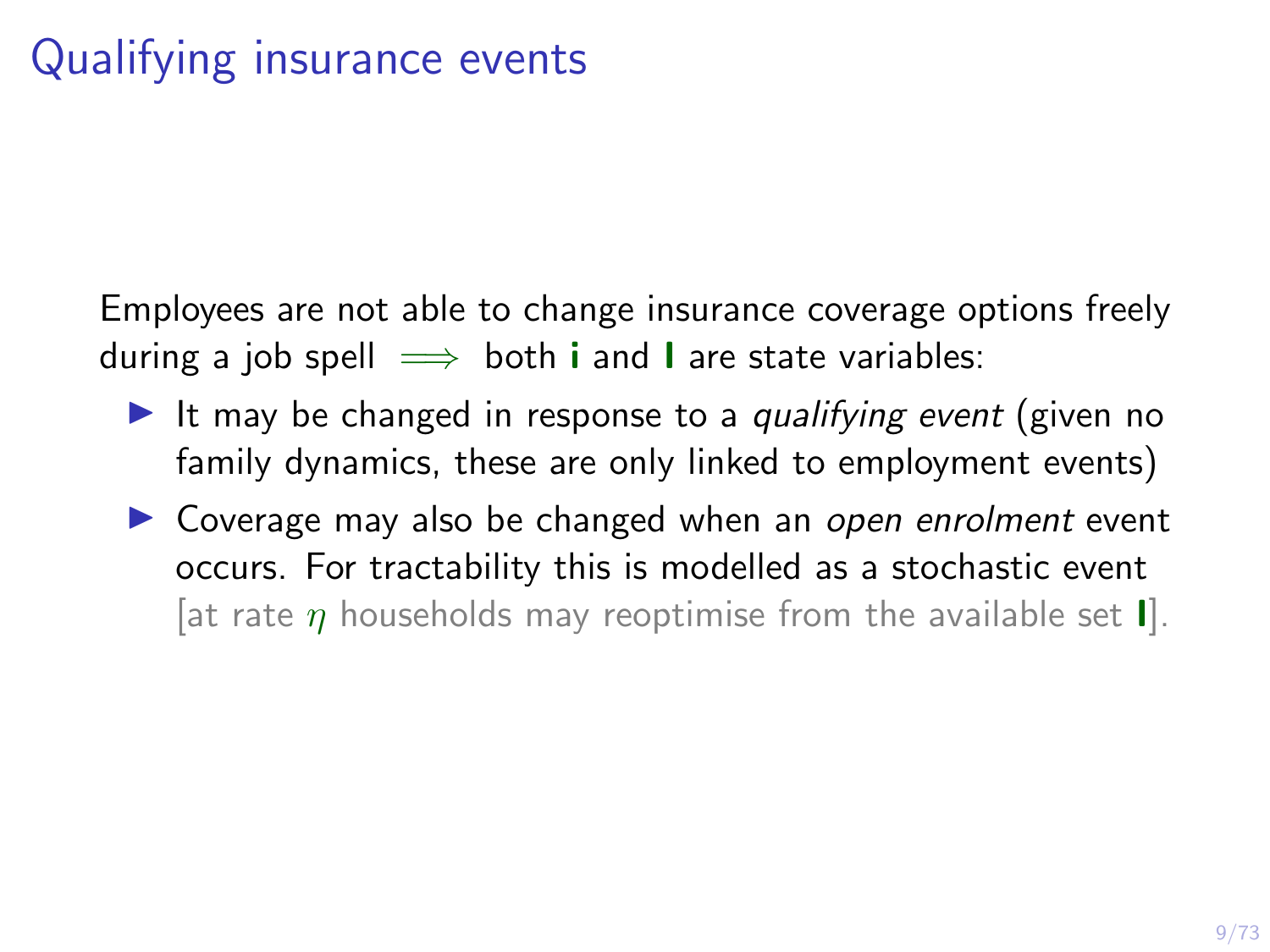Employees are not able to change insurance coverage options freely during a job spell  $\implies$  both **i** and **l** are state variables:

- It may be changed in response to a qualifying event (given no family dynamics, these are only linked to employment events)
- $\triangleright$  Coverage may also be changed when an open enrolment event occurs. For tractability this is modelled as a stochastic event [at rate  $\eta$  households may reoptimise from the available set **I**].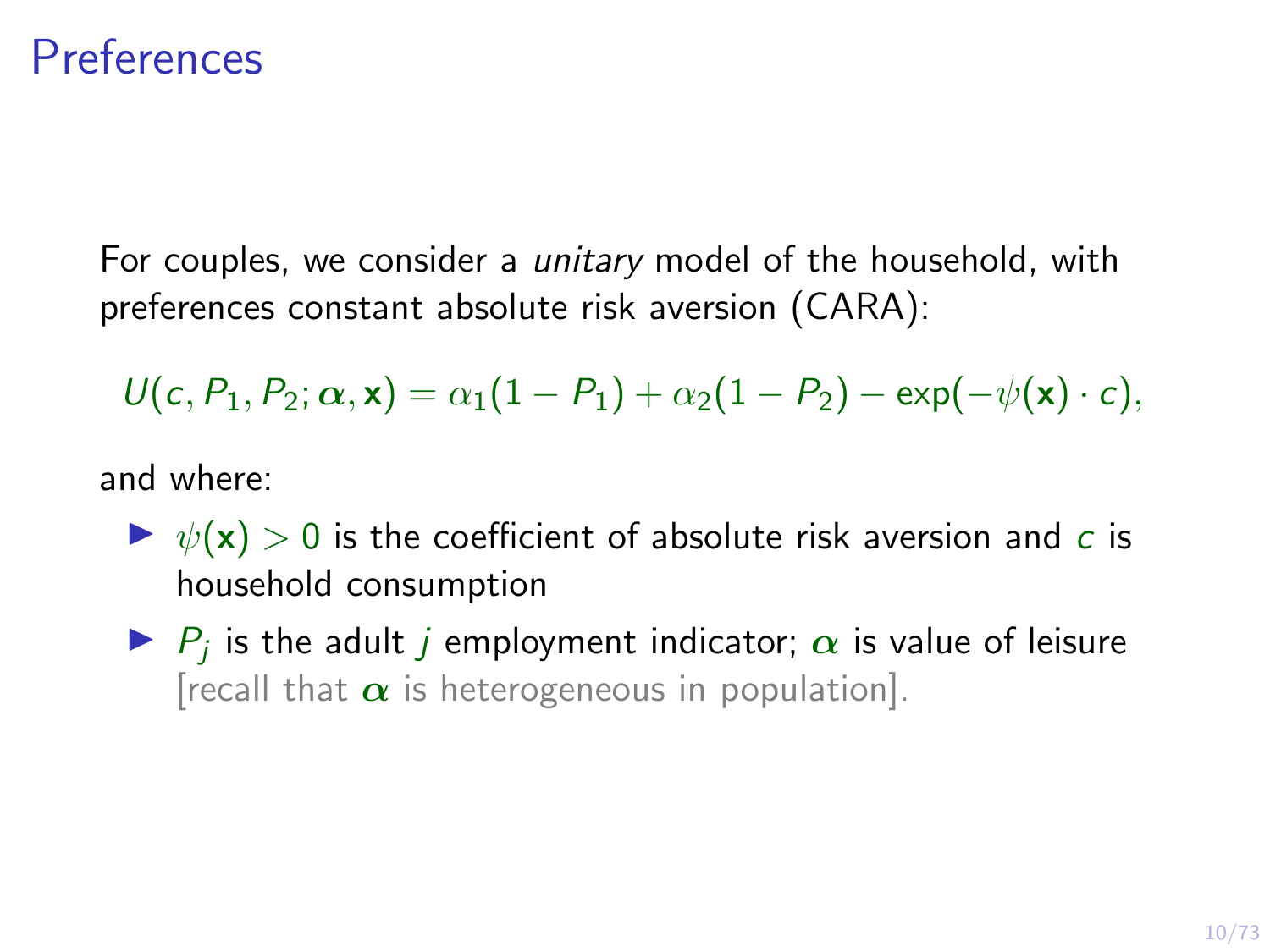#### **Preferences**

For couples, we consider a *unitary* model of the household, with preferences constant absolute risk aversion (CARA):

 $U(c, P_1, P_2; \alpha, x) = \alpha_1(1 - P_1) + \alpha_2(1 - P_2) - \exp(-\psi(x) \cdot c),$ 

and where:

- $\triangleright \psi(\mathbf{x}) > 0$  is the coefficient of absolute risk aversion and c is household consumption
- $\blacktriangleright$   $P_j$  is the adult j employment indicator;  $\alpha$  is value of leisure [recall that  $\alpha$  is heterogeneous in population].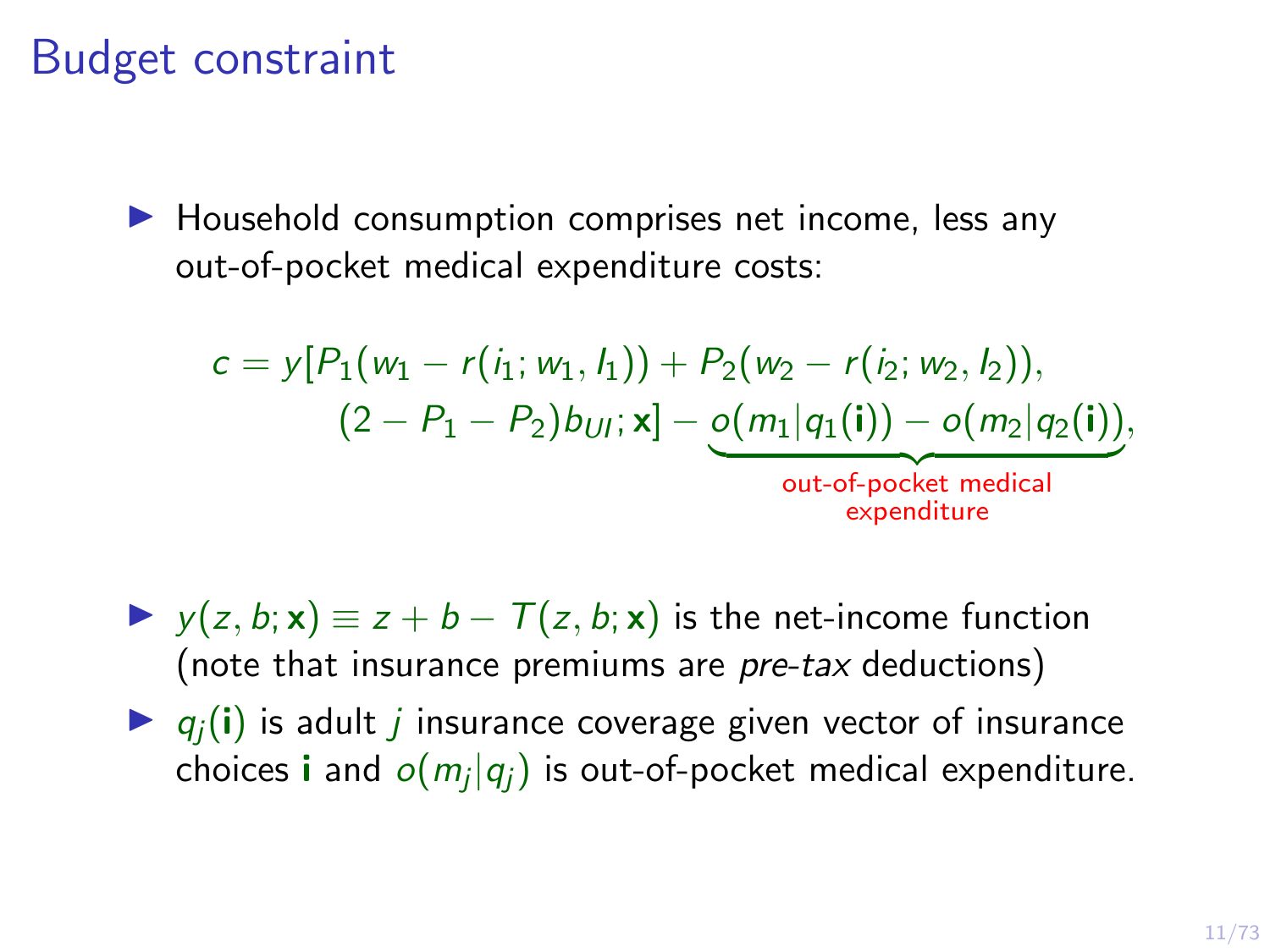#### Budget constraint

 $\blacktriangleright$  Household consumption comprises net income, less any out-of-pocket medical expenditure costs:

$$
c = y[P_1(w_1 - r(i_1; w_1, l_1)) + P_2(w_2 - r(i_2; w_2, l_2)),
$$
  

$$
(2 - P_1 - P_2) b_{U1}; x] - o(m_1|q_1(i)) - o(m_2|q_2(i)),
$$
  
out-of-pocket medical  
expenditure

- $\triangleright$  y(z, b; x)  $\equiv$  z + b  $T(z, b; x)$  is the net-income function (note that insurance premiums are pre-tax deductions)
- $\bullet$   $q_i(i)$  is adult *i* insurance coverage given vector of insurance choices  ${\sf i}$  and  $o(m_j|q_j)$  is out-of-pocket medical expenditure.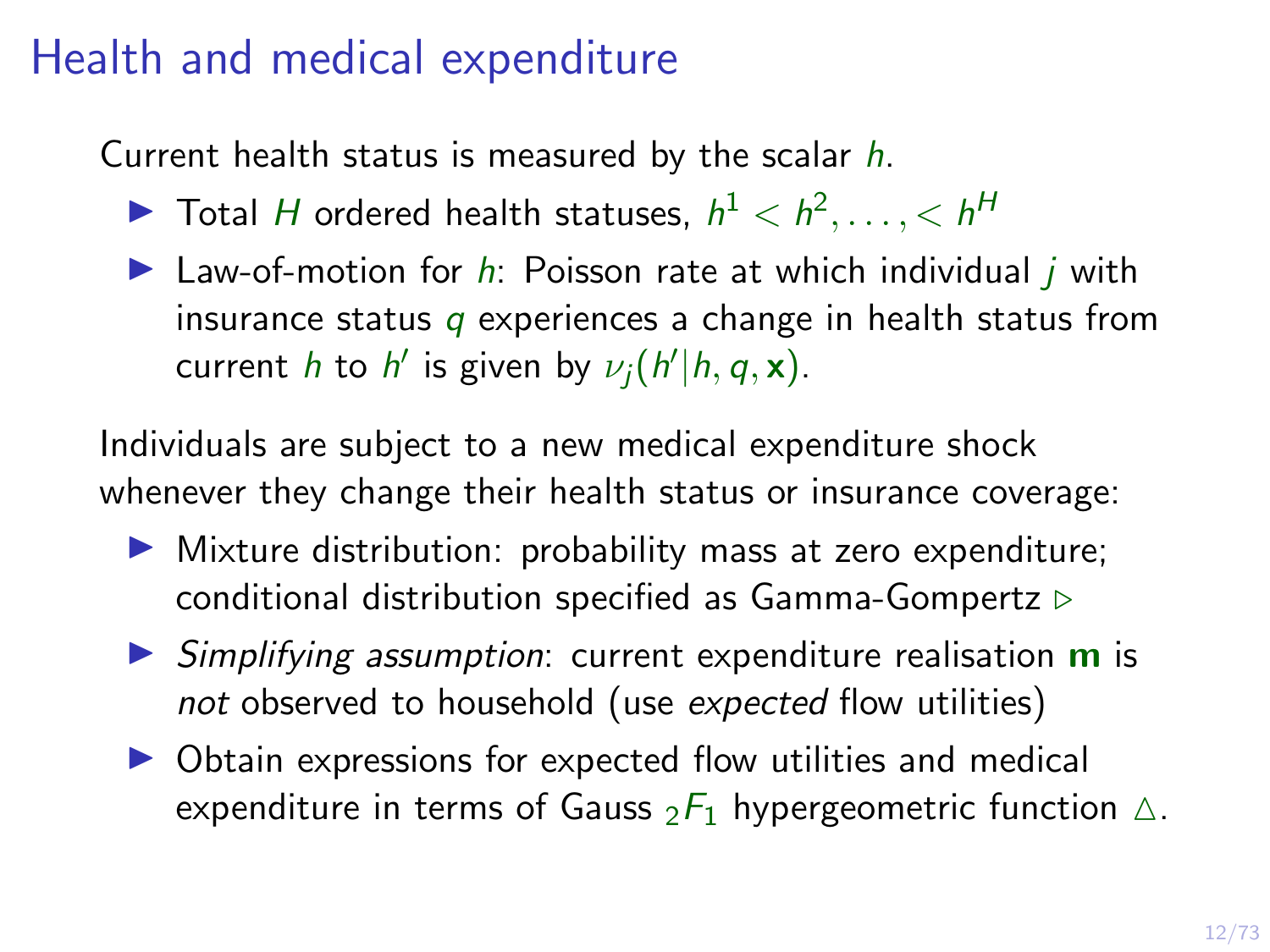#### Health and medical expenditure

Current health status is measured by the scalar  $h$ .

- $\blacktriangleright$  Total H ordered health statuses,  $h^1 < h^2, \ldots, h^H$
- I Law-of-motion for  $h$ : Poisson rate at which individual j with insurance status  $q$  experiences a change in health status from current *h* to *h'* is given by  $\nu_j(h'|h, q, \mathbf{x})$ .

Individuals are subject to a new medical expenditure shock whenever they change their health status or insurance coverage:

- $\triangleright$  Mixture distribution: probability mass at zero expenditure; conditional distribution specified as [Gamma-Gompertz](#page-73-0)  $\triangleright$
- $\triangleright$  Simplifying assumption: current expenditure realisation **m** is not observed to household (use expected flow utilities)
- $\triangleright$  Obtain expressions for expected flow utilities and medical expenditure in terms of Gauss  $_2F_1$  [hypergeometric function](#page-72-0)  $\triangle$ .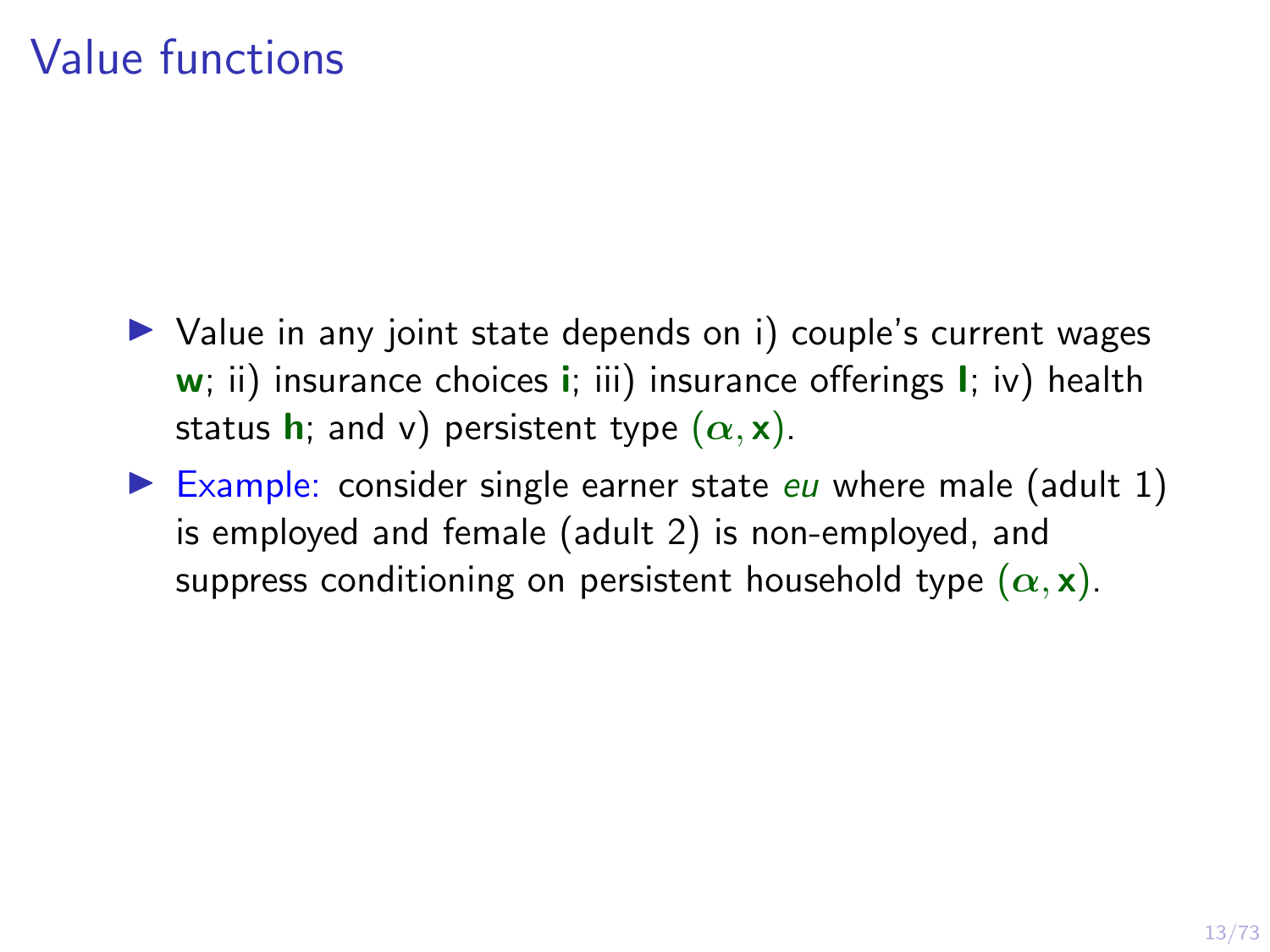#### Value functions

- $\triangleright$  Value in any joint state depends on i) couple's current wages  $w$ ; ii) insurance choices **i**; iii) insurance offerings **I**; iv) health status **h**; and v) persistent type  $(\alpha, \mathbf{x})$ .
- Example: consider single earner state  $eu$  where male (adult 1) is employed and female (adult 2) is non-employed, and suppress conditioning on persistent household type  $(\alpha, \mathbf{x})$ .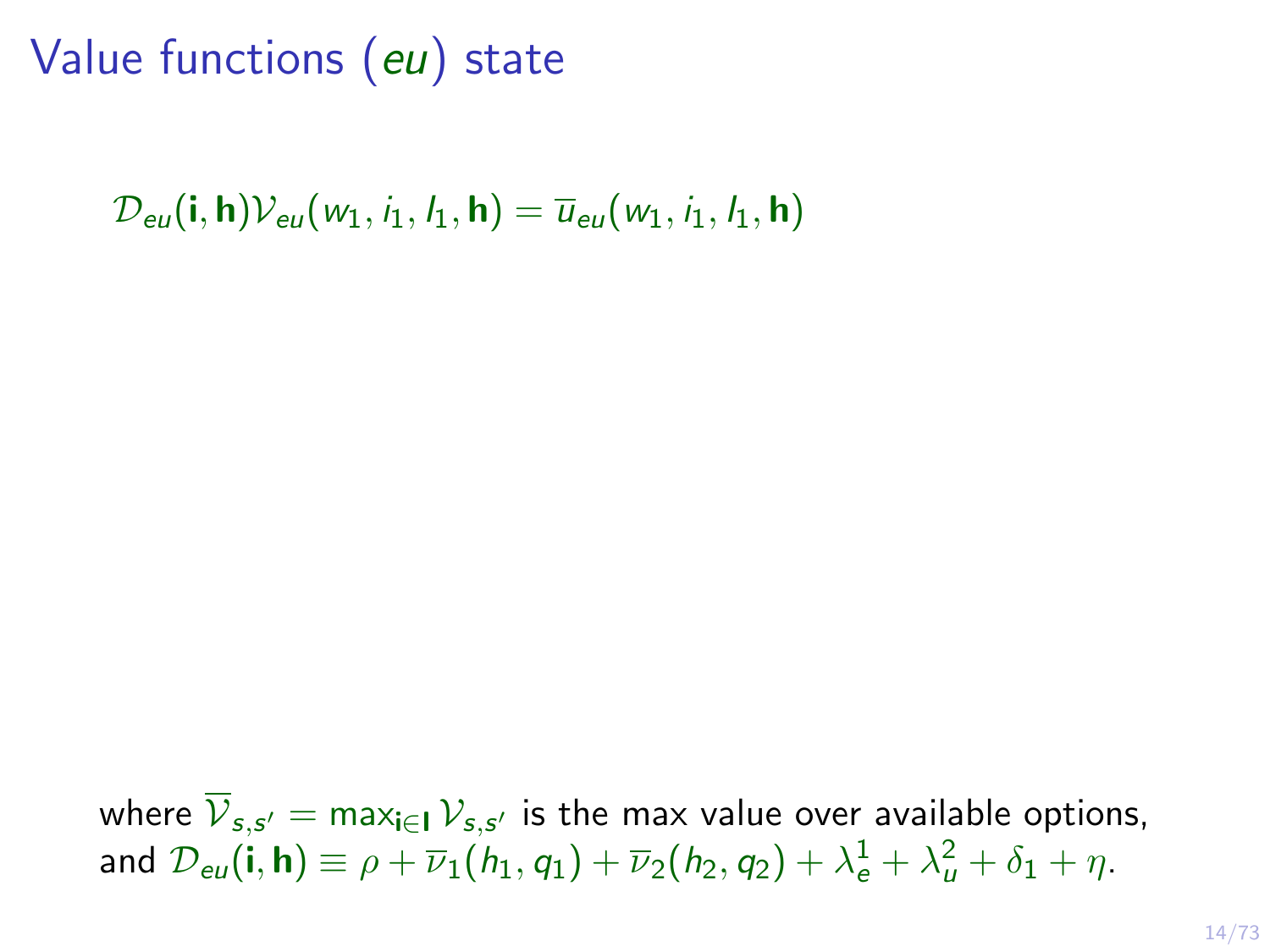# Value functions (eu) state

 $\mathcal{D}_{\text{eu}}(\mathbf{i}, \mathbf{h})\mathcal{V}_{\text{eu}}(w_1, i_1, l_1, \mathbf{h}) = \overline{u}_{\text{eu}}(w_1, i_1, l_1, \mathbf{h})$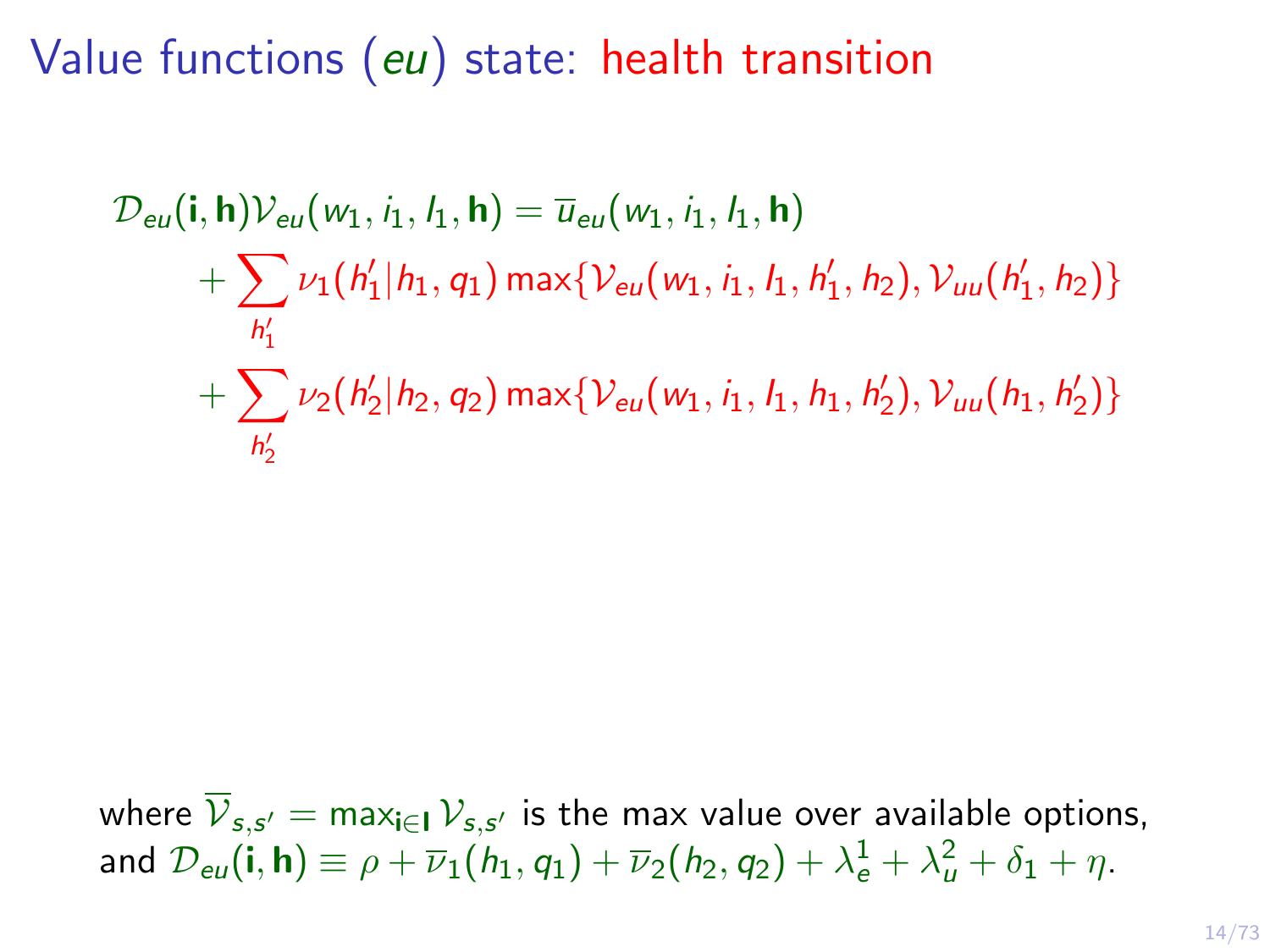Value functions (eu) state: health transition

 $\mathcal{D}_{\text{eu}}(\mathbf{i}, \mathbf{h})\mathcal{V}_{\text{eu}}(w_1, i_1, l_1, \mathbf{h}) = \overline{u}_{\text{eu}}(w_1, i_1, l_1, \mathbf{h})$  $+\sum \nu_1(h'_1|h_1, q_1)\max\{\mathcal{V}_{eu}(w_1, i_1, l_1, h'_1, h_2), \mathcal{V}_{uu}(h'_1, h_2)\}$ h  $\overline{\mathcal{L}}$ 1  $+\sum$  $h'_2$  $\nu_2(h_2'|h_2, q_2)$  max $\{\mathcal{V}_{eu}(w_1, i_1, h_1, h_2'), \mathcal{V}_{uu}(h_1, h_2')\}$ 

2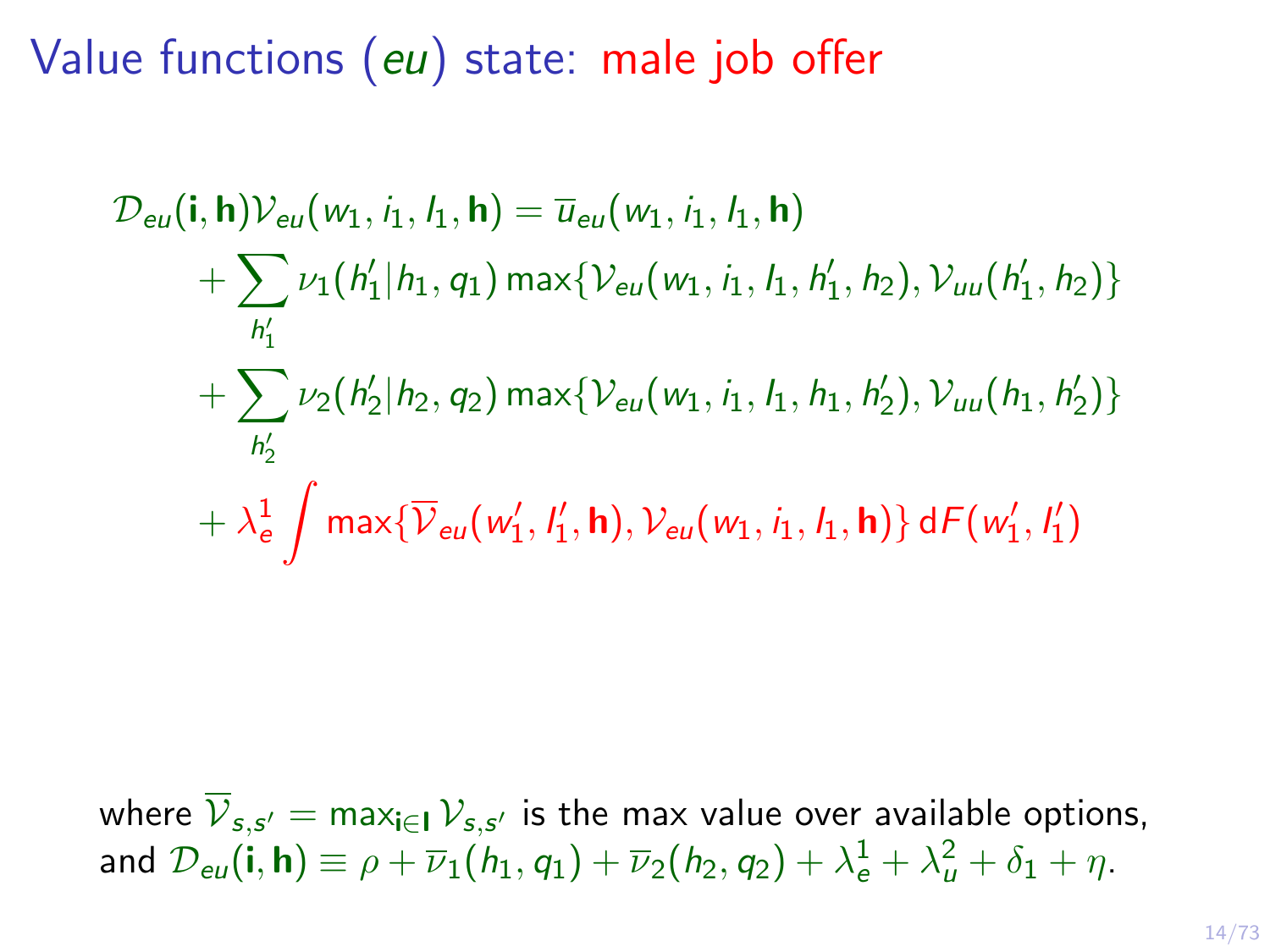Value functions (eu) state: male job offer

$$
\mathcal{D}_{eu}(\mathbf{i}, \mathbf{h}) \mathcal{V}_{eu}(w_1, i_1, l_1, \mathbf{h}) = \overline{u}_{eu}(w_1, i_1, l_1, \mathbf{h}) \n+ \sum_{h'_1} \nu_1(h'_1 | h_1, q_1) \max \{ \mathcal{V}_{eu}(w_1, i_1, l_1, h'_1, h_2), \mathcal{V}_{uu}(h'_1, h_2) \} \n+ \sum_{h'_2} \nu_2(h'_2 | h_2, q_2) \max \{ \mathcal{V}_{eu}(w_1, i_1, l_1, h_1, h'_2), \mathcal{V}_{uu}(h_1, h'_2) \} \n+ \lambda_e^1 \int \max \{ \overline{\mathcal{V}}_{eu}(w'_1, l'_1, \mathbf{h}), \mathcal{V}_{eu}(w_1, i_1, l_1, \mathbf{h}) \} dF(w'_1, l'_1)
$$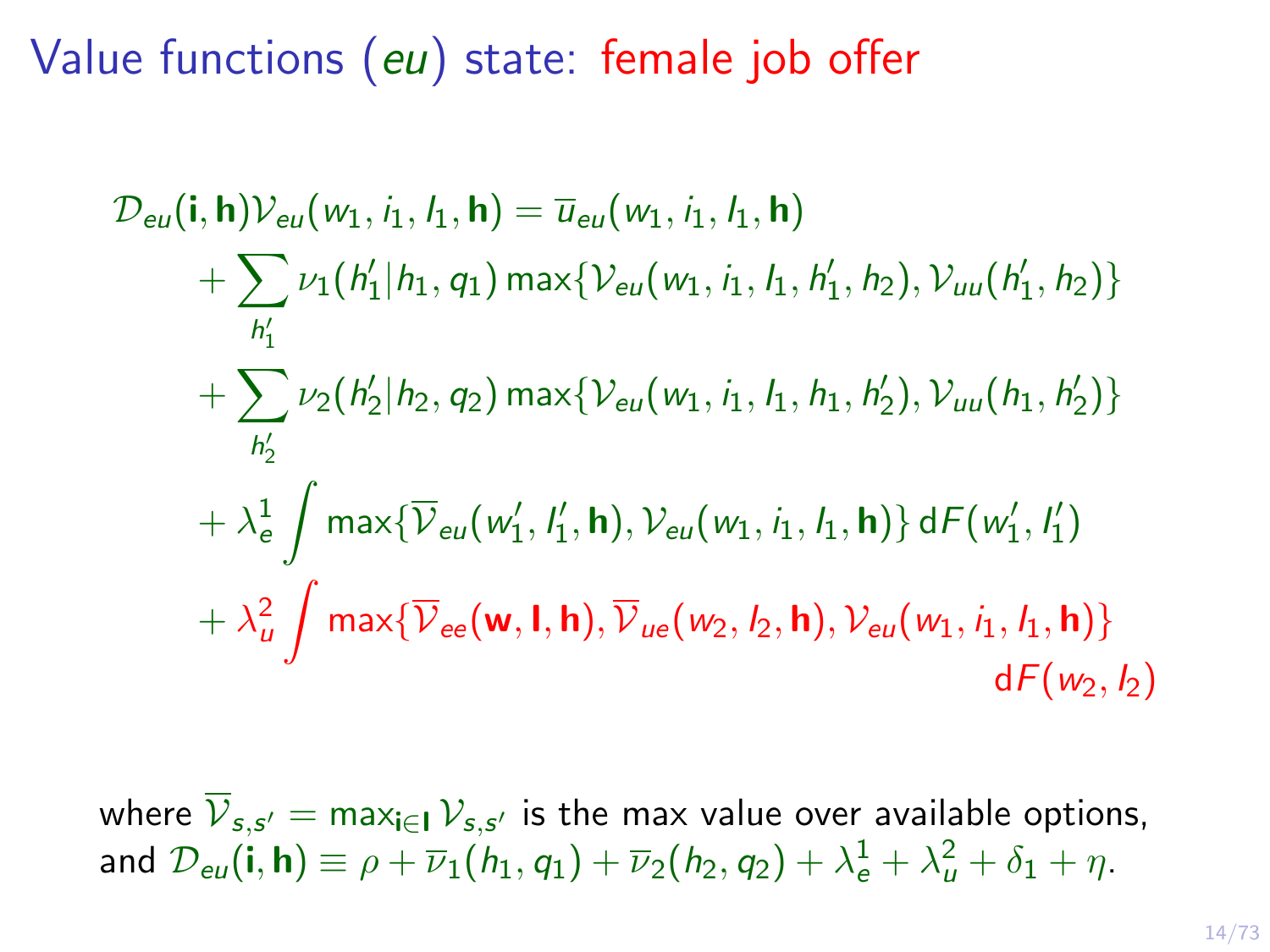Value functions (eu) state: female job offer

$$
\mathcal{D}_{eu}(\mathbf{i}, \mathbf{h}) \mathcal{V}_{eu}(w_1, i_1, l_1, \mathbf{h}) = \overline{u}_{eu}(w_1, i_1, l_1, \mathbf{h}) \n+ \sum_{h'_1} \nu_1(h'_1 | h_1, q_1) \max \{ \mathcal{V}_{eu}(w_1, i_1, l_1, h'_1, h_2), \mathcal{V}_{uu}(h'_1, h_2) \} \n+ \sum_{h'_2} \nu_2(h'_2 | h_2, q_2) \max \{ \mathcal{V}_{eu}(w_1, i_1, l_1, h_1, h'_2), \mathcal{V}_{uu}(h_1, h'_2) \} \n+ \lambda_e^1 \int \max \{ \overline{\mathcal{V}}_{eu}(w'_1, l'_1, \mathbf{h}), \mathcal{V}_{eu}(w_1, i_1, l_1, \mathbf{h}) \} dF(w'_1, l'_1) \n+ \lambda_u^2 \int \max \{ \overline{\mathcal{V}}_{ee}(\mathbf{w}, \mathbf{l}, \mathbf{h}), \overline{\mathcal{V}}_{ue}(w_2, l_2, \mathbf{h}), \mathcal{V}_{eu}(w_1, i_1, l_1, \mathbf{h}) \} dF(w_2, l_2)
$$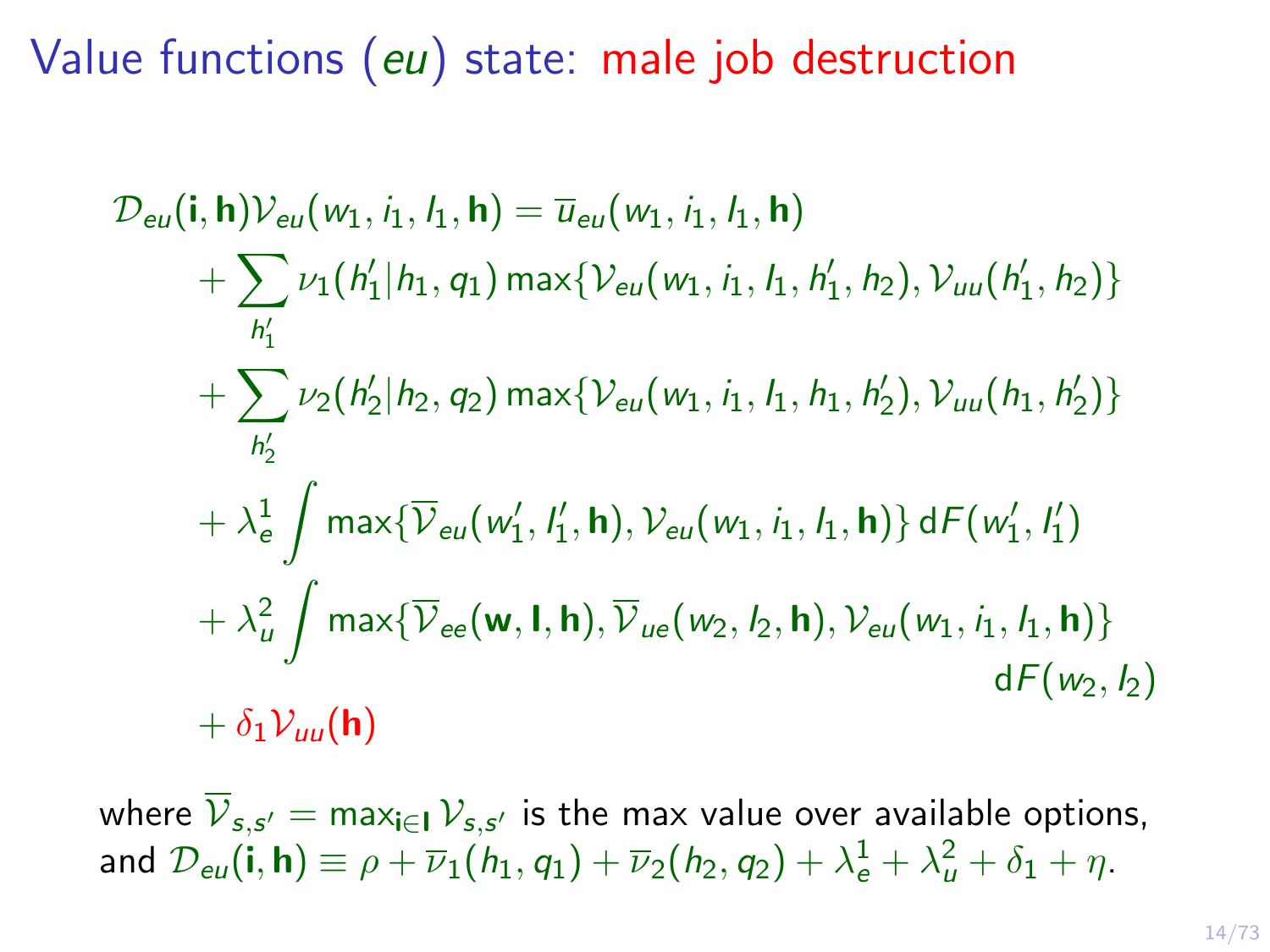Value functions (eu) state: male job destruction

$$
\mathcal{D}_{eu}(\mathbf{i}, \mathbf{h}) \mathcal{V}_{eu}(w_1, i_1, l_1, \mathbf{h}) = \overline{u}_{eu}(w_1, i_1, l_1, \mathbf{h}) \n+ \sum_{h'_1} \nu_1(h'_1 | h_1, q_1) \max \{ \mathcal{V}_{eu}(w_1, i_1, l_1, h'_1, h_2), \mathcal{V}_{uu}(h'_1, h_2) \} \n+ \sum_{h'_2} \nu_2(h'_2 | h_2, q_2) \max \{ \mathcal{V}_{eu}(w_1, i_1, l_1, h_1, h'_2), \mathcal{V}_{uu}(h_1, h'_2) \} \n+ \lambda_e^1 \int \max \{ \overline{\mathcal{V}}_{eu}(w'_1, l'_1, \mathbf{h}), \mathcal{V}_{eu}(w_1, i_1, l_1, \mathbf{h}) \} dF(w'_1, l'_1) \n+ \lambda_u^2 \int \max \{ \overline{\mathcal{V}}_{ee}(\mathbf{w}, \mathbf{l}, \mathbf{h}), \overline{\mathcal{V}}_{ue}(w_2, l_2, \mathbf{h}), \mathcal{V}_{eu}(w_1, i_1, l_1, \mathbf{h}) \} dF(w_2, l_2) \n+ \delta_1 \mathcal{V}_{uu}(\mathbf{h})
$$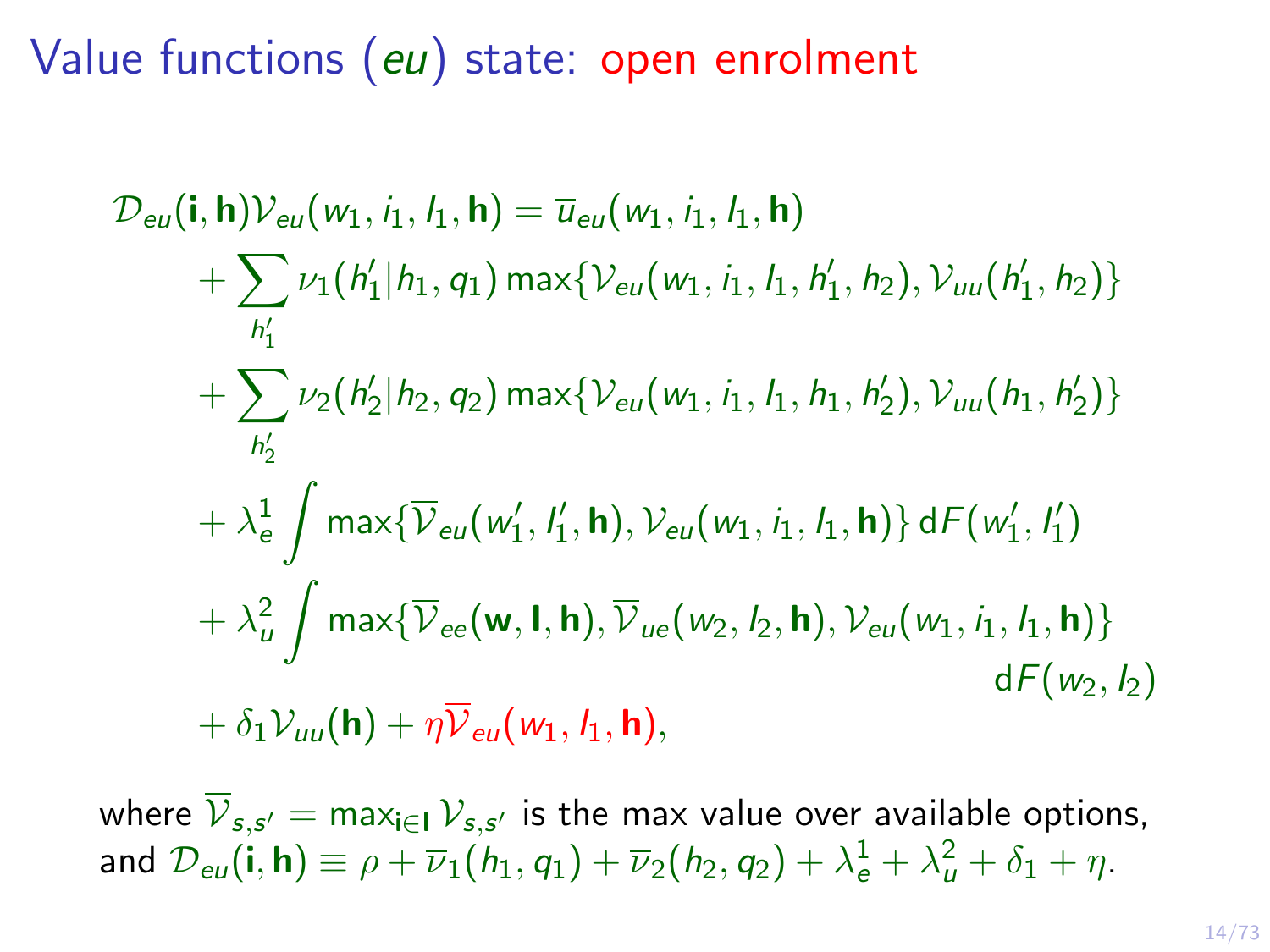Value functions (eu) state: open enrolment

$$
\mathcal{D}_{eu}(\mathbf{i}, \mathbf{h}) \mathcal{V}_{eu}(w_1, i_1, l_1, \mathbf{h}) = \overline{u}_{eu}(w_1, i_1, l_1, \mathbf{h}) \n+ \sum_{h'_1} \nu_1(h'_1|h_1, q_1) \max\{\mathcal{V}_{eu}(w_1, i_1, l_1, h'_1, h_2), \mathcal{V}_{uu}(h'_1, h_2)\} \n+ \sum_{h'_2} \nu_2(h'_2|h_2, q_2) \max\{\mathcal{V}_{eu}(w_1, i_1, l_1, h_1, h'_2), \mathcal{V}_{uu}(h_1, h'_2)\} \n+ \lambda_e^1 \int \max\{\overline{\mathcal{V}}_{eu}(w'_1, l'_1, \mathbf{h}), \mathcal{V}_{eu}(w_1, i_1, l_1, \mathbf{h})\} dF(w'_1, l'_1) \n+ \lambda_u^2 \int \max\{\overline{\mathcal{V}}_{ee}(\mathbf{w}, \mathbf{l}, \mathbf{h}), \overline{\mathcal{V}}_{ue}(w_2, l_2, \mathbf{h}), \mathcal{V}_{eu}(w_1, i_1, l_1, \mathbf{h})\} dF(w_2, l_2) \n+ \delta_1 \mathcal{V}_{uu}(\mathbf{h}) + \eta \overline{\mathcal{V}}_{eu}(w_1, l_1, \mathbf{h}),
$$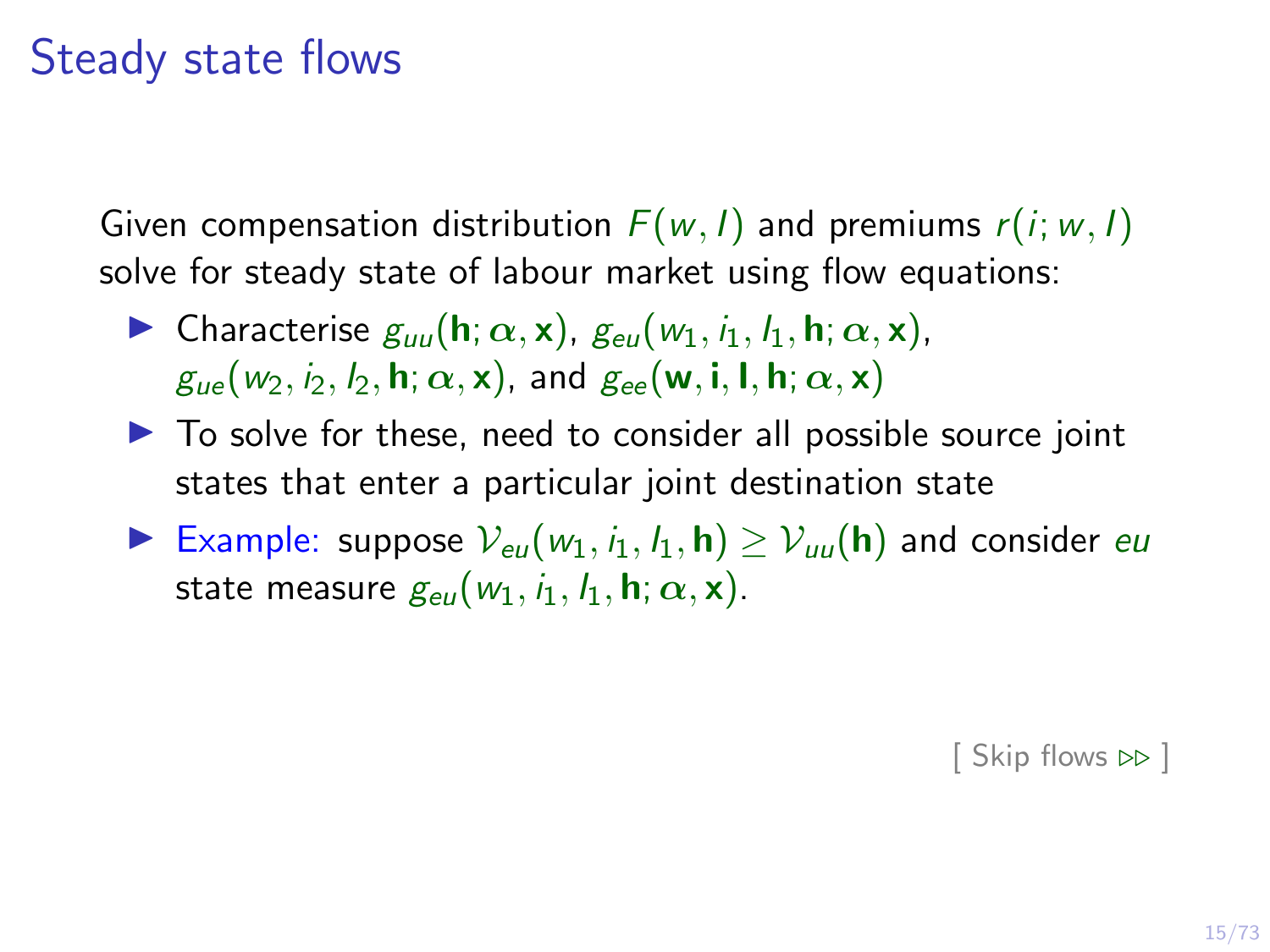#### Steady state flows

Given compensation distribution  $F(w, l)$  and premiums  $r(i; w, l)$ solve for steady state of labour market using flow equations:

- **I** Characterise  $g_{uu}$ (**h**;  $\alpha$ , **x**),  $g_{eu}$  ( $w_1$ ,  $i_1$ ,  $l_1$ , **h**;  $\alpha$ , **x**),  $g_{ue}(w_2, i_2, l_2, h; \alpha, x)$ , and  $g_{ee}(w, i, l, h; \alpha, x)$
- $\triangleright$  To solve for these, need to consider all possible source joint states that enter a particular joint destination state
- Example: suppose  $V_{eu}(w_1, i_1, l_1, h) \geq V_{uu}(h)$  and consider europearty state measure  $g_{\text{eff}}(w_1, i_1, l_1, \mathbf{h}; \alpha, \mathbf{x})$ .

[\[ Skip flows](#page-27-0)  $\triangleright$  ]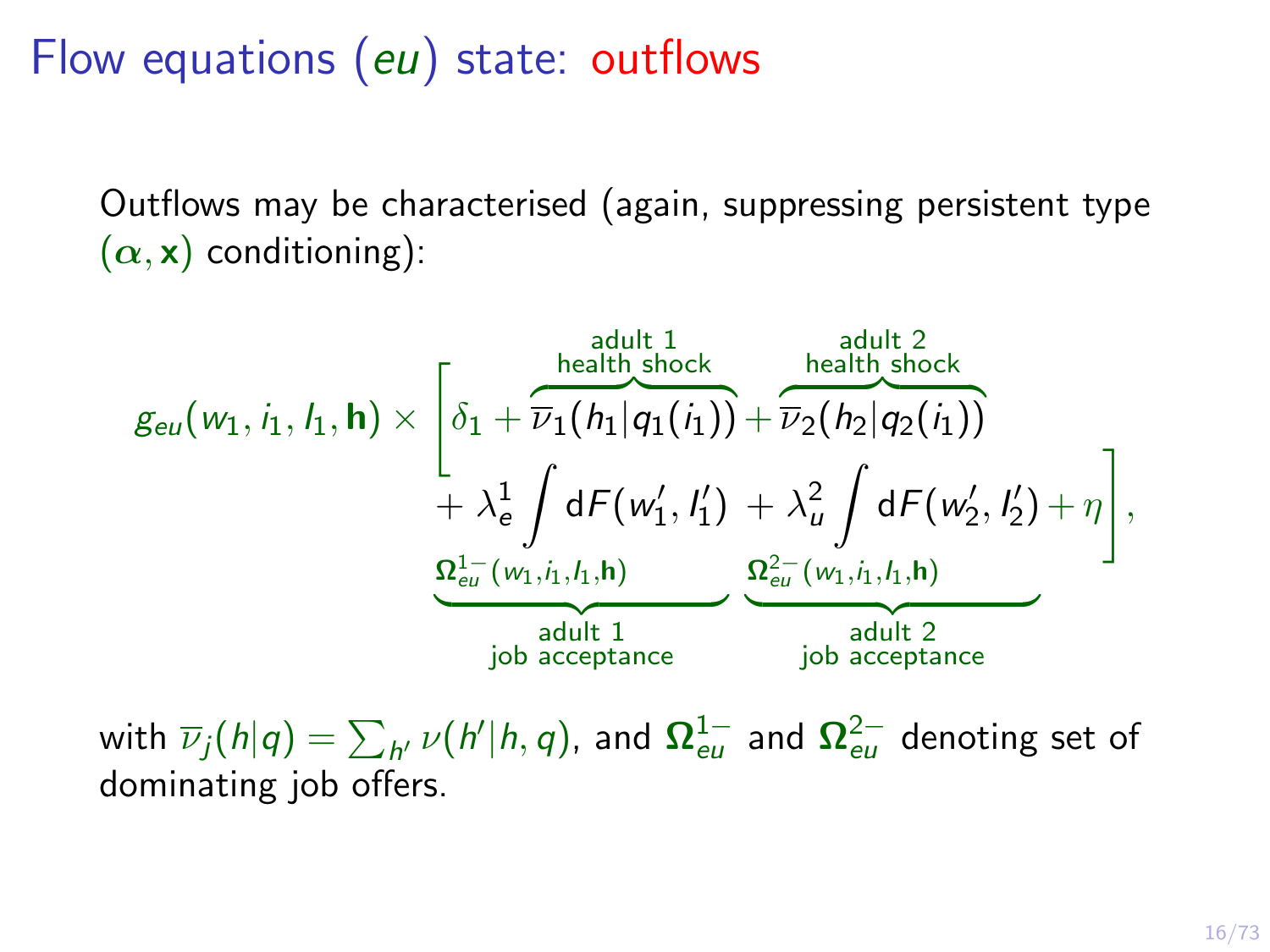Flow equations (eu) state: outflows

Outflows may be characterised (again, suppressing persistent type  $(\alpha, x)$  conditioning):

$$
g_{eu}(w_1, i_1, l_1, \mathbf{h}) \times \left[\delta_1 + \overline{\nu}_1(h_1|q_1(i_1)) + \overline{\nu}_2(h_2|q_2(i_1)) + \lambda_e^1 \int dF(w'_1, l'_1) + \lambda_u^2 \int dF(w'_2, l'_2) + \eta \right],
$$
  

$$
\frac{\Omega_{eu}^{1-}(w_1, i_1, l_1, \mathbf{h})}{\frac{\Omega_{eu}^{1-}(w_1, i_1, l_1, \mathbf{h})}{\frac{\Omega_{eu}^{2-}(w_1, i_1, l_1, \mathbf{h})}{\frac{\Omega_{eu}^{2-}(w_1, i_1, l_1, \mathbf{h})}{\frac{\Omega_{eu}^{2-}(w_1, i_1, l_1, \mathbf{h})}{\frac{\Omega_{eu}^{2-}(w_1, i_1, l_1, \mathbf{h})}{\frac{\Omega_{eu}^{2-}(w_1, i_1, l_1, \mathbf{h})}{\frac{\Omega_{eu}^{2-}(w_1, i_1, l_1, \mathbf{h})}{\frac{\Omega_{eu}^{2-}(w_1, i_1, l_1, \mathbf{h})}{\frac{\Omega_{eu}^{2-}(w_1, i_1, l_1, \mathbf{h})}{\frac{\Omega_{eu}^{2-}(w_1, i_1, l_1, \mathbf{h})}{\frac{\Omega_{eu}^{2-}(w_1, i_1, l_1, \mathbf{h})}{\frac{\Omega_{eu}^{2-}(w_1, i_1, l_1, \mathbf{h})}{\frac{\Omega_{eu}^{2-}(w_1, i_1, l_1, \mathbf{h})}{\frac{\Omega_{eu}^{2-}(w_1, i_1, l_1, \mathbf{h})}{\frac{\Omega_{eu}^{2-}(w_1, i_1, l_1, \mathbf{h})}{\frac{\Omega_{eu}^{2-}(w_1, i_1, l_1, \mathbf{h})}{\frac{\Omega_{eu}^{2-}(w_1, i_1, l_1, \mathbf{h})}{\frac{\Omega_{eu}^{2-}(w_1, i_1, l_1, \mathbf{h})}{\frac{\Omega_{eu}^{2-}(w_1, i_1, l_1, \mathbf{h})}{\frac{\Omega_{eu}^{2-}(w_1, i_1, l_1, \mathbf{h})}{\frac{\Omega_{eu}^{2-
$$

with  $\overline{\nu}_j(h|q)=\sum_{h'}\nu(h'|h,q)$ , and  $\boldsymbol{\Omega}^{1-}_{eu}$  and  $\boldsymbol{\Omega}^{2-}_{eu}$  denoting set of dominating job offers.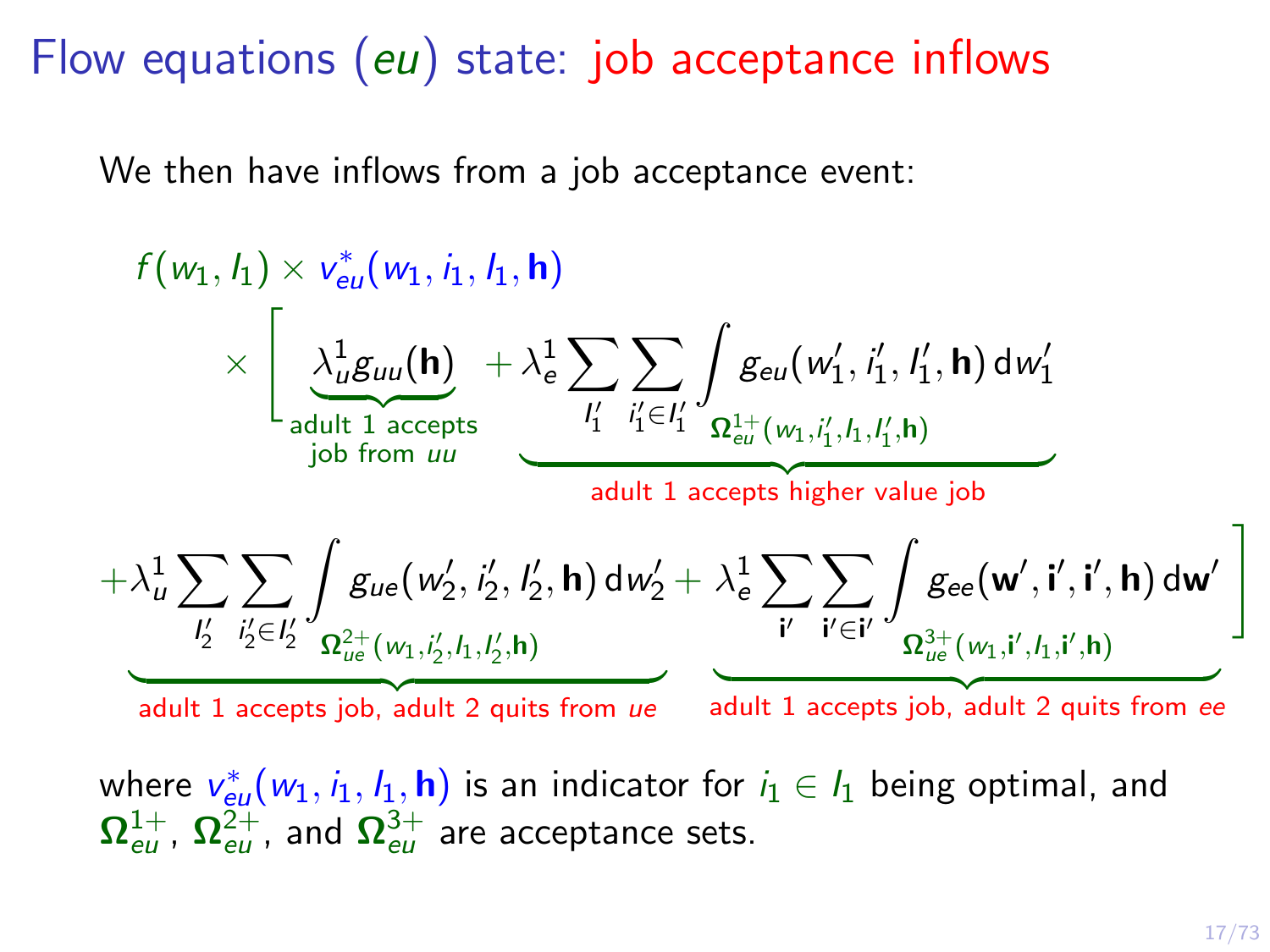Flow equations (eu) state: job acceptance inflows

We then have inflows from a job acceptance event:

$$
f(w_1, l_1) \times v_{eu}^*(w_1, l_1, l_1, h)
$$
\n
$$
\times \left[ \underbrace{\lambda_{u}^{1} g_{uu}(\mathbf{h})}_{\text{double 1} \text{ accepts}} + \lambda_e^{1} \sum_{l'_1} \sum_{l'_1 \in l'_1} \int_{\Omega_{eu}^{1+}(w_1, l'_1, l'_1, h) dW'_1} g_{\text{double 1} \text{ of from } uu} \right]
$$
\n
$$
+ \lambda_u^{1} \sum_{l'_2} \sum_{l'_2 \in l'_2} \int_{\Omega_{ue}^{2+}(w_2, l'_2, l'_2, h) dW'_2} f_{\text{double 2} \text{ of the } u} \left[ \frac{\partial}{\partial u} \left( \frac{\partial}{\partial u} \right) \frac{\partial}{\partial u} \right]
$$
\n
$$
= \frac{\partial}{\partial u} \left( \frac{\partial}{\partial u} \left( \frac{\partial}{\partial u} \right) \frac{\partial}{\partial u} \frac{\partial}{\partial u} \frac{\partial}{\partial u} \frac{\partial}{\partial u} \frac{\partial}{\partial u} \frac{\partial}{\partial u} \frac{\partial}{\partial u} \frac{\partial}{\partial u} \frac{\partial}{\partial u} \frac{\partial}{\partial u} \frac{\partial}{\partial u} \frac{\partial}{\partial u} \frac{\partial}{\partial u} \frac{\partial}{\partial u} \frac{\partial}{\partial u} \frac{\partial}{\partial u} \frac{\partial}{\partial u} \frac{\partial}{\partial u} \frac{\partial}{\partial u} \frac{\partial}{\partial u} \frac{\partial}{\partial u} \frac{\partial}{\partial u} \frac{\partial}{\partial u} \frac{\partial}{\partial u} \frac{\partial}{\partial u} \frac{\partial}{\partial u} \frac{\partial}{\partial u} \frac{\partial}{\partial u} \frac{\partial}{\partial u} \frac{\partial}{\partial u} \frac{\partial}{\partial u} \frac{\partial}{\partial u} \frac{\partial}{\partial u} \frac{\partial}{\partial u} \frac{\partial}{\partial u} \frac{\partial}{\partial u} \frac{\partial}{\partial u} \frac{\partial}{\partial u} \frac{\partial}{\partial u} \frac{\partial}{\partial u} \frac{\partial}{\partial u} \frac{\partial}{\partial u} \frac{\partial}{\partial u} \frac{\partial}{\partial u} \frac{\partial}{\partial u} \frac{\partial}{\partial u} \frac{\partial}{\partial u} \frac{\partial}{\partial u} \frac{\
$$

where  $v_{\text{eu}}^*(w_1,i_1,I_1,\textbf{h})$  is an indicator for  $i_1\in I_1$  being optimal, and  $\mathbf{\Omega}_{eu}^{1+}$ ,  $\mathbf{\Omega}_{eu}^{2+}$  and  $\mathbf{\Omega}_{eu}^{3+}$  are acceptance sets.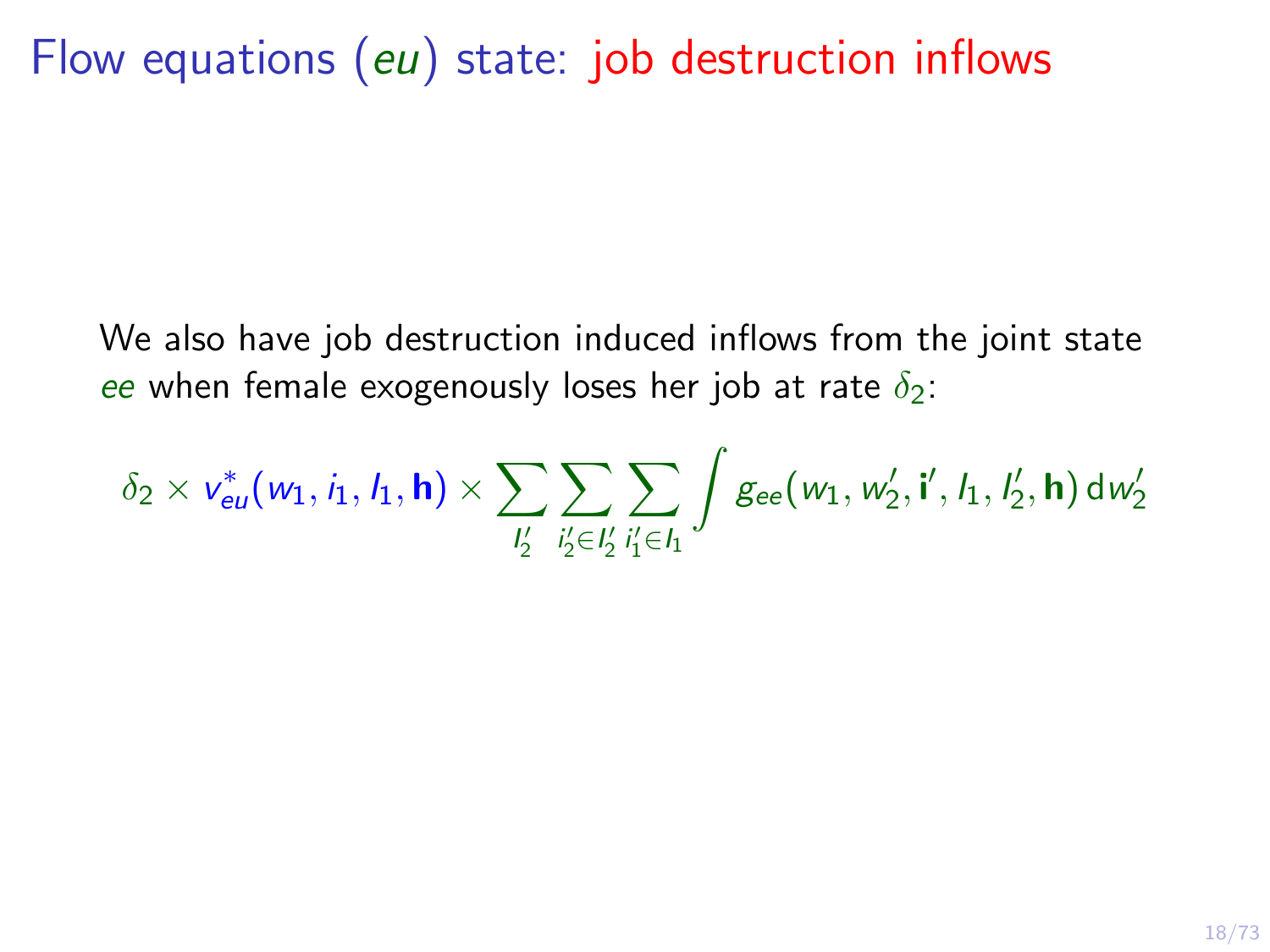Flow equations (eu) state: job destruction inflows

We also have job destruction induced inflows from the joint state ee when female exogenously loses her job at rate  $\delta_2$ :

 $\delta_2 \times \mathsf{v}_{\mathsf{eu}}^*(\mathsf{w}_1, \mathsf{i}_1, \mathsf{l}_1, \mathsf{h}) \times \sum$  $\frac{1}{2}$  $\sum$  $i'_2 \in I'_2$  $\sum$  $i'_1 \in I_1$  $\int g_{ee}(w_1, w'_2, i', l_1, l'_2, h) dw'_2$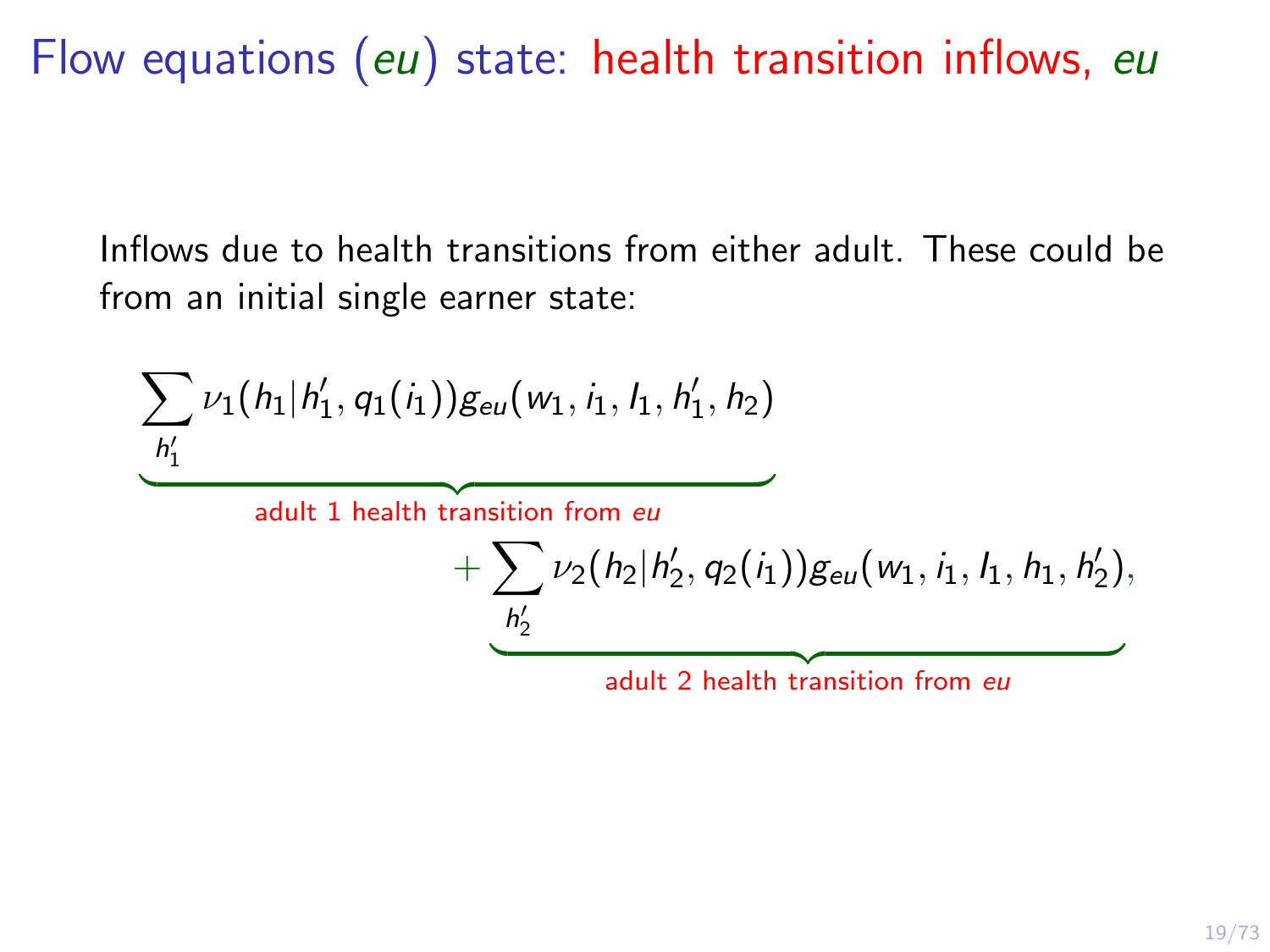Flow equations (eu) state: health transition inflows, eu

Inflows due to health transitions from either adult. These could be from an initial single earner state:

$$
\underbrace{\sum_{h'_1} \nu_1(h_1|h'_1, q_1(i_1))g_{eu}(w_1, i_1, h_1, h'_1, h_2)}_{\text{adult 1 health transition from } eu} \\ + \underbrace{\sum_{h'_2} \nu_2(h_2|h'_2, q_2(i_1))g_{eu}(w_1, i_1, h_1, h'_2)}_{\text{adult 2 health transition from } eu},
$$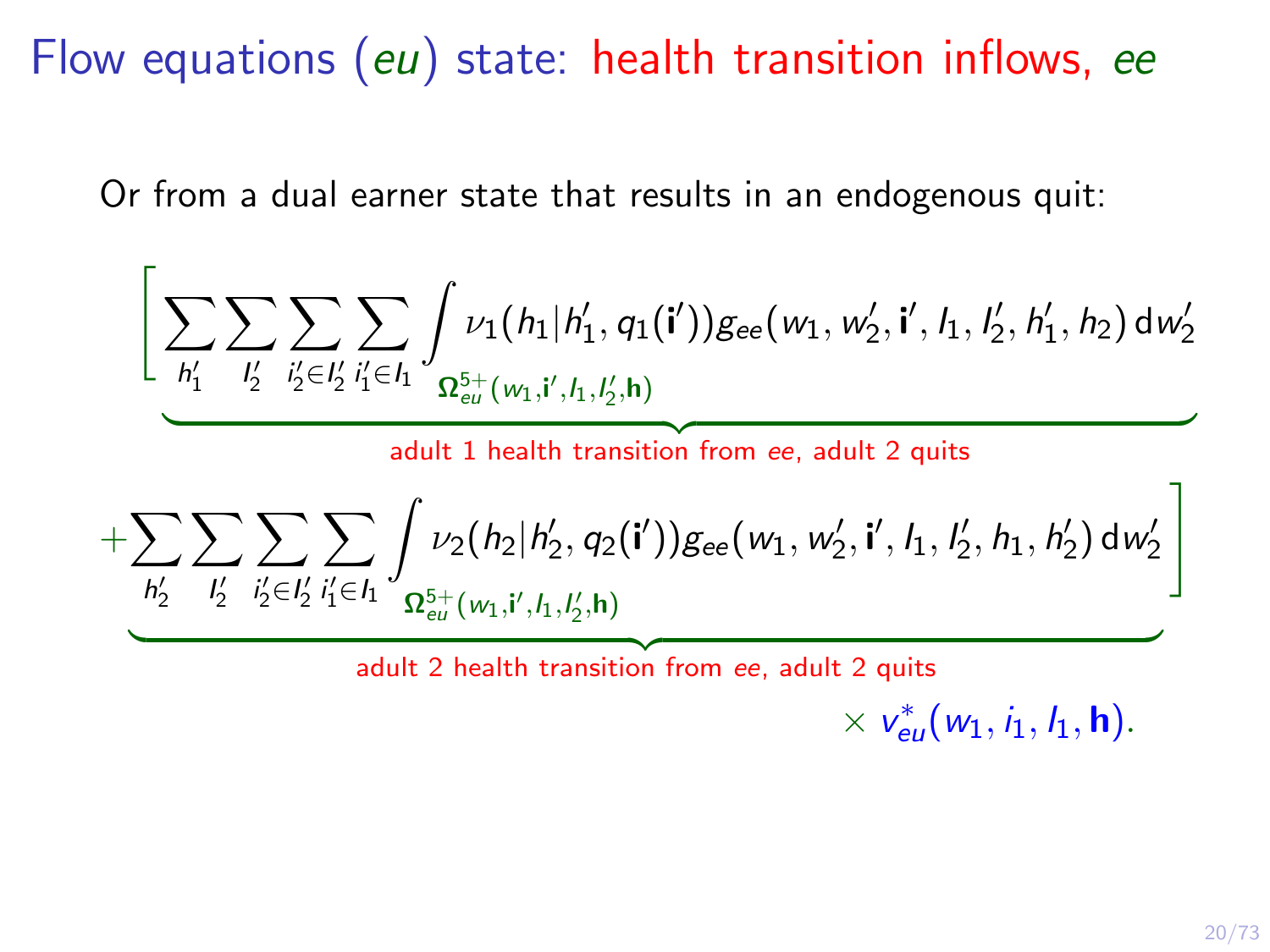Flow equations (eu) state: health transition inflows, ee

Or from a dual earner state that results in an endogenous quit:

$$
\left[\underbrace{\sum_{h'_1}\sum_{l'_2}\sum_{i'_2\in l'_2}\sum_{i'_1\in I_1}\int_{\Omega_{eu}^{5+}(w_1,i',l_1,l'_2,h)}\int_{\text{Bee}}(w_1,w'_2,i',l_1,l'_2,h'_1,h_2)\,dw'_2}{\frac{adult 1\,health\,transition\,from\,ee,\,adult 2\,quits}{\frac{adult 2\,quits}{\frac{h'_2}{2}}\sum_{i'_2\in I'_2}\sum_{i'_1\in I_1}\int_{\Omega_{eu}^{5+}(w_1,i',l_1,l'_2,h)}\int_{\text{Bee}}(w_1,w'_2,i',l_1,l'_2,h_1,h'_2)\,dw'_2}\right]}
$$

adult 2 health transition from ee, adult 2 quits

$$
\times \; v_{\text{eu}}^*(w_1, \textbf{\textit{i}}_1, \textbf{\textit{l}}_1, \textbf{\textit{h}}).
$$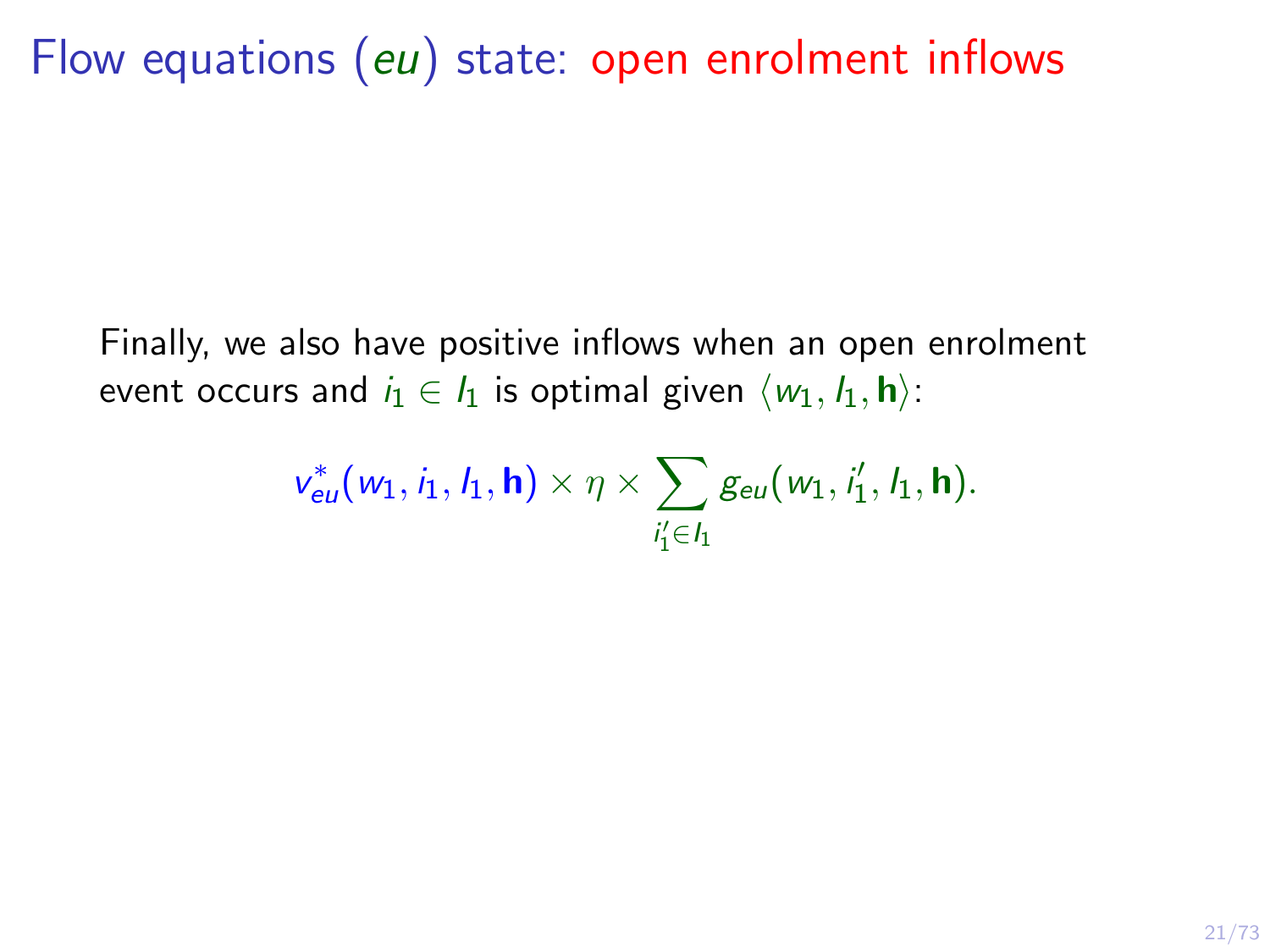Flow equations (eu) state: open enrolment inflows

Finally, we also have positive inflows when an open enrolment event occurs and  $i_1 \in I_1$  is optimal given  $\langle w_1, I_1, \mathbf{h} \rangle$ :

$$
v_{eu}^*(w_1,i_1,l_1,\mathbf{h})\times \eta \times \sum_{i_1^{\prime}\in I_1} g_{eu}(w_1,i_1^{\prime},l_1,\mathbf{h}).
$$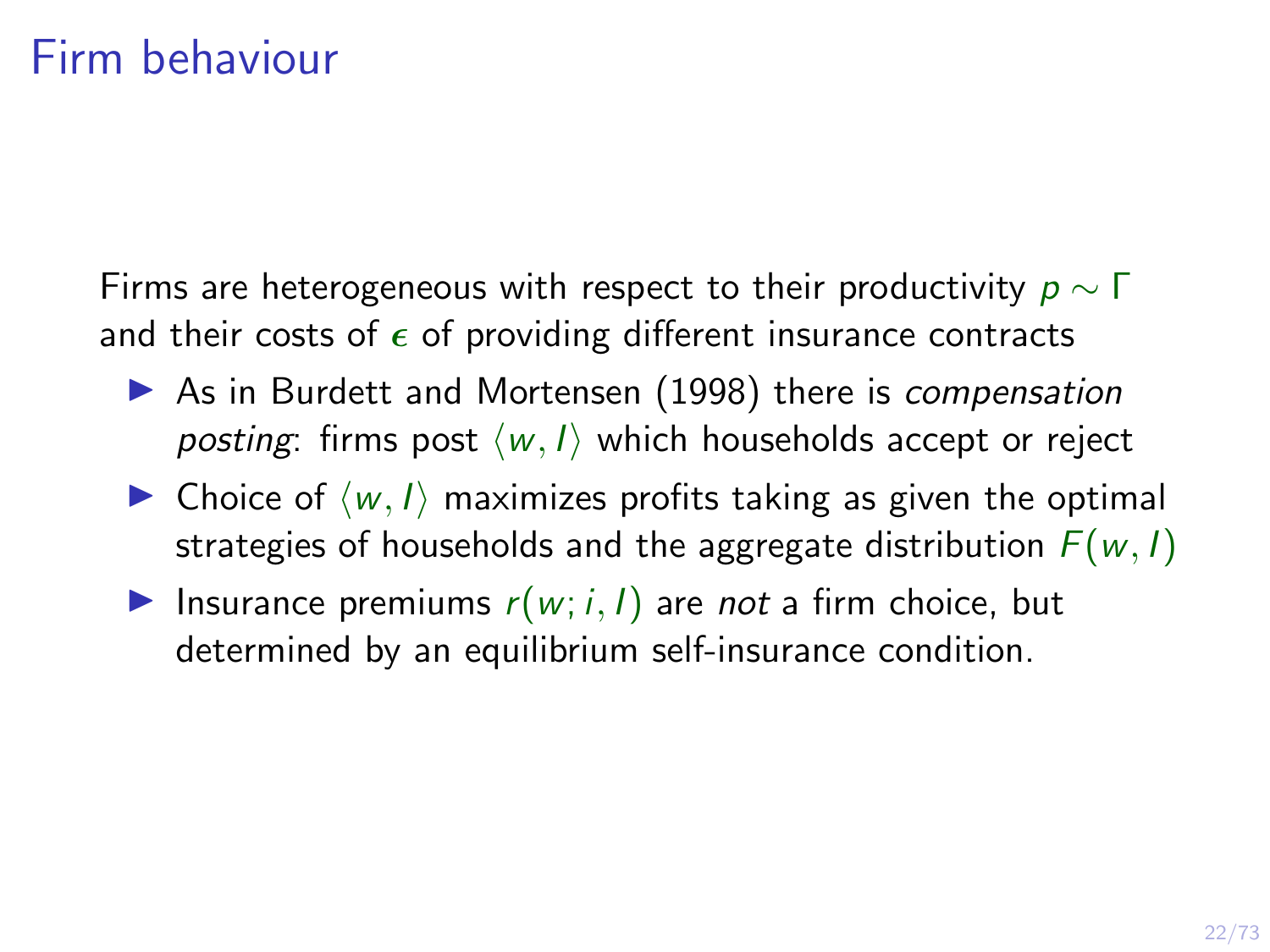<span id="page-27-0"></span>Firms are heterogeneous with respect to their productivity  $p \sim \Gamma$ and their costs of  $\epsilon$  of providing different insurance contracts

- $\triangleright$  As in Burdett and Mortensen (1998) there is compensation posting: firms post  $\langle w, I \rangle$  which households accept or reject
- $\triangleright$  Choice of  $\langle w, l \rangle$  maximizes profits taking as given the optimal strategies of households and the aggregate distribution  $F(w, l)$
- Insurance premiums  $r(w; i, l)$  are not a firm choice, but determined by an equilibrium self-insurance condition.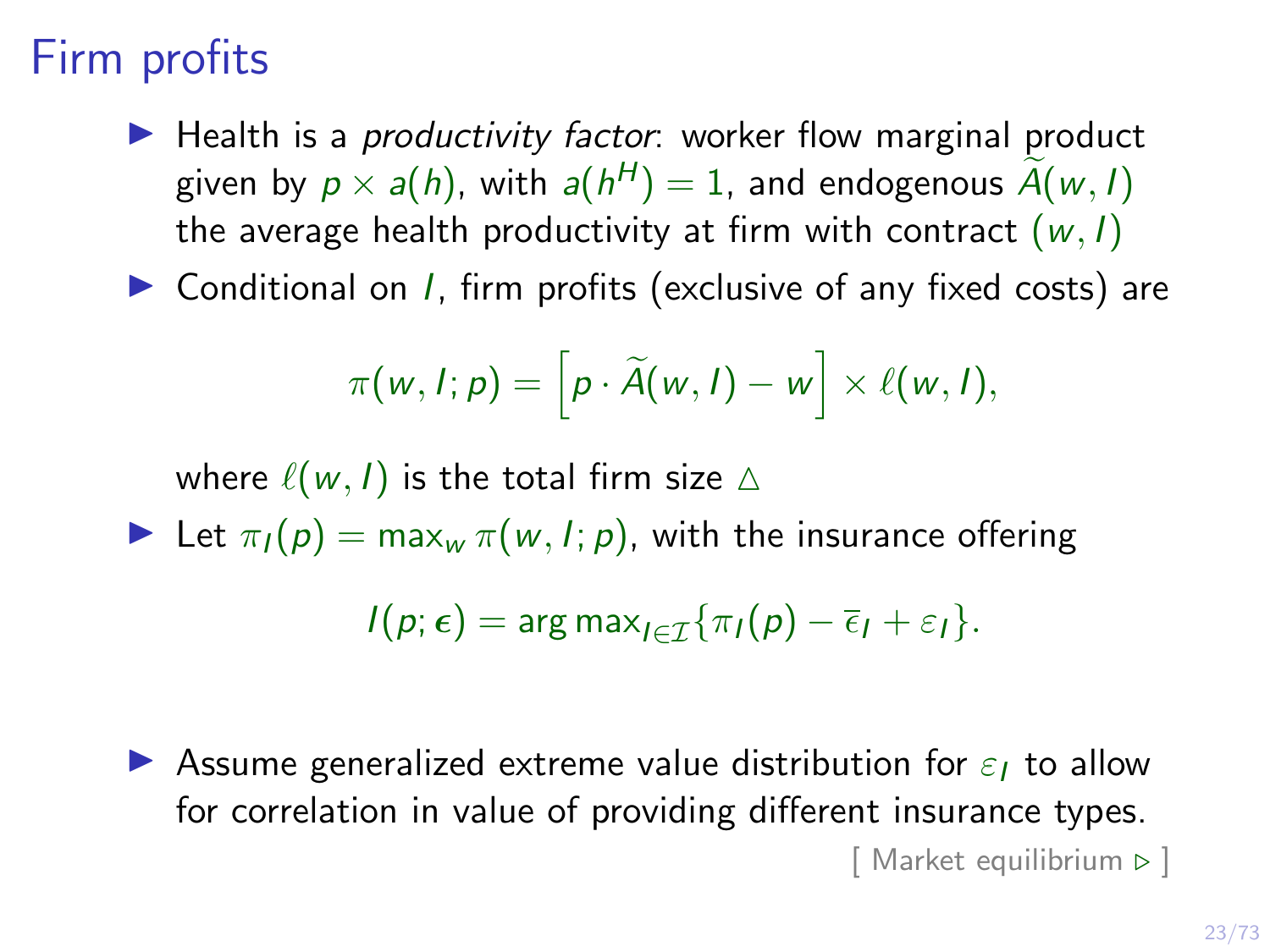### Firm profits

 $\blacktriangleright$  Health is a *productivity factor*: worker flow marginal product given by  $p \times a(h)$ , with  $a(h^H) = 1$ , and endogenous  $A(w, I)$ the average health productivity at firm with contract  $(w, l)$ 

 $\triangleright$  Conditional on *I*, firm profits (exclusive of any fixed costs) are

$$
\pi(w, I; p) = \left[p \cdot \widetilde{A}(w, I) - w\right] \times \ell(w, I),
$$

where  $\ell(w, l)$  is the total firm size  $\Delta$ 

Let  $\pi_I(p) = \max_w \pi(w, I; p)$ , with the insurance offering

$$
I(p; \epsilon) = \arg \max_{I \in \mathcal{I}} \{ \pi_I(p) - \overline{\epsilon}_I + \varepsilon_I \}.
$$

**I** Assume generalized extreme value distribution for  $\varepsilon_1$  to allow for correlation in value of providing different insurance types.  $[$  Market equilibrium  $\triangleright$   $]$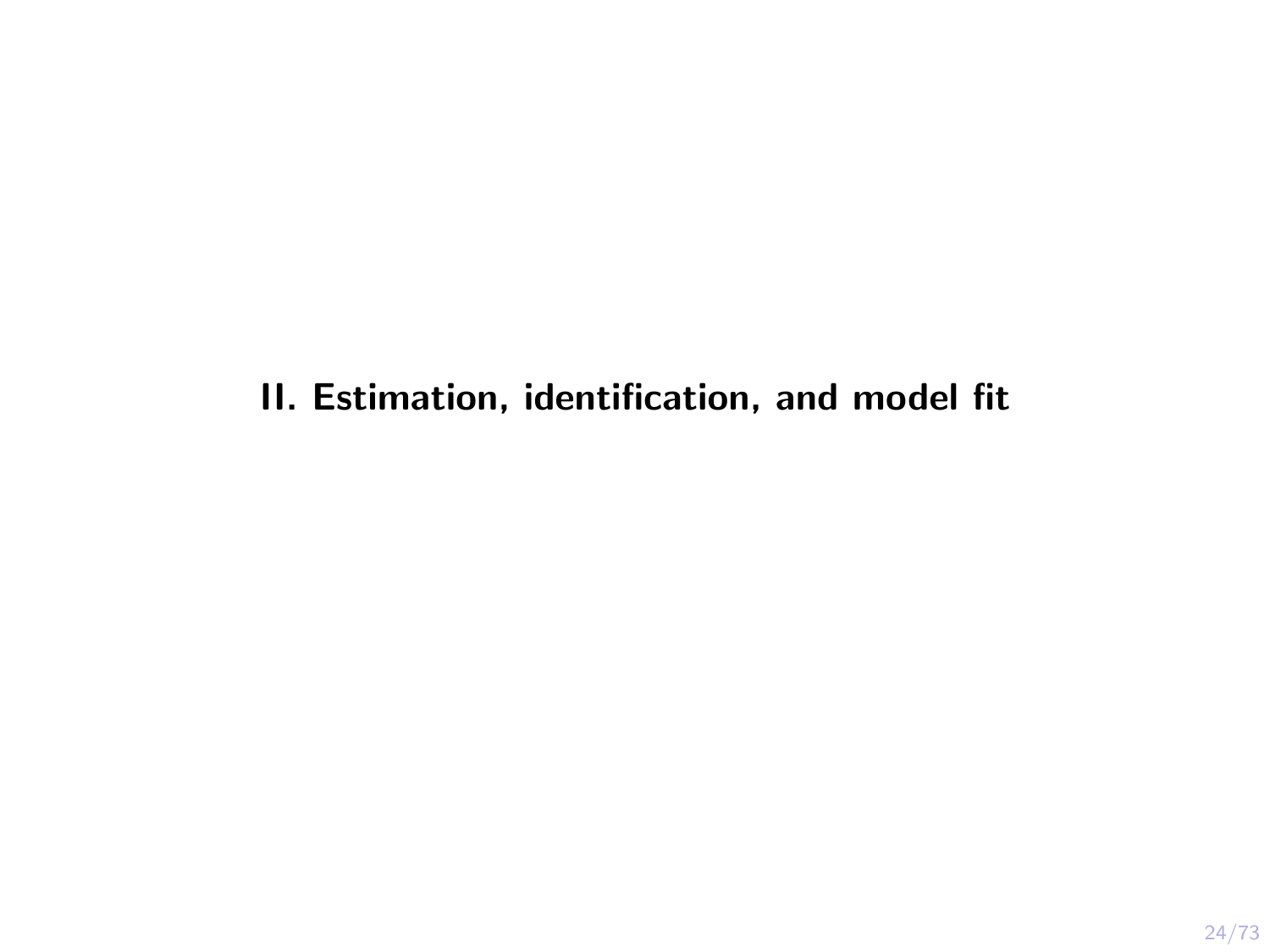II. Estimation, identification, and model fit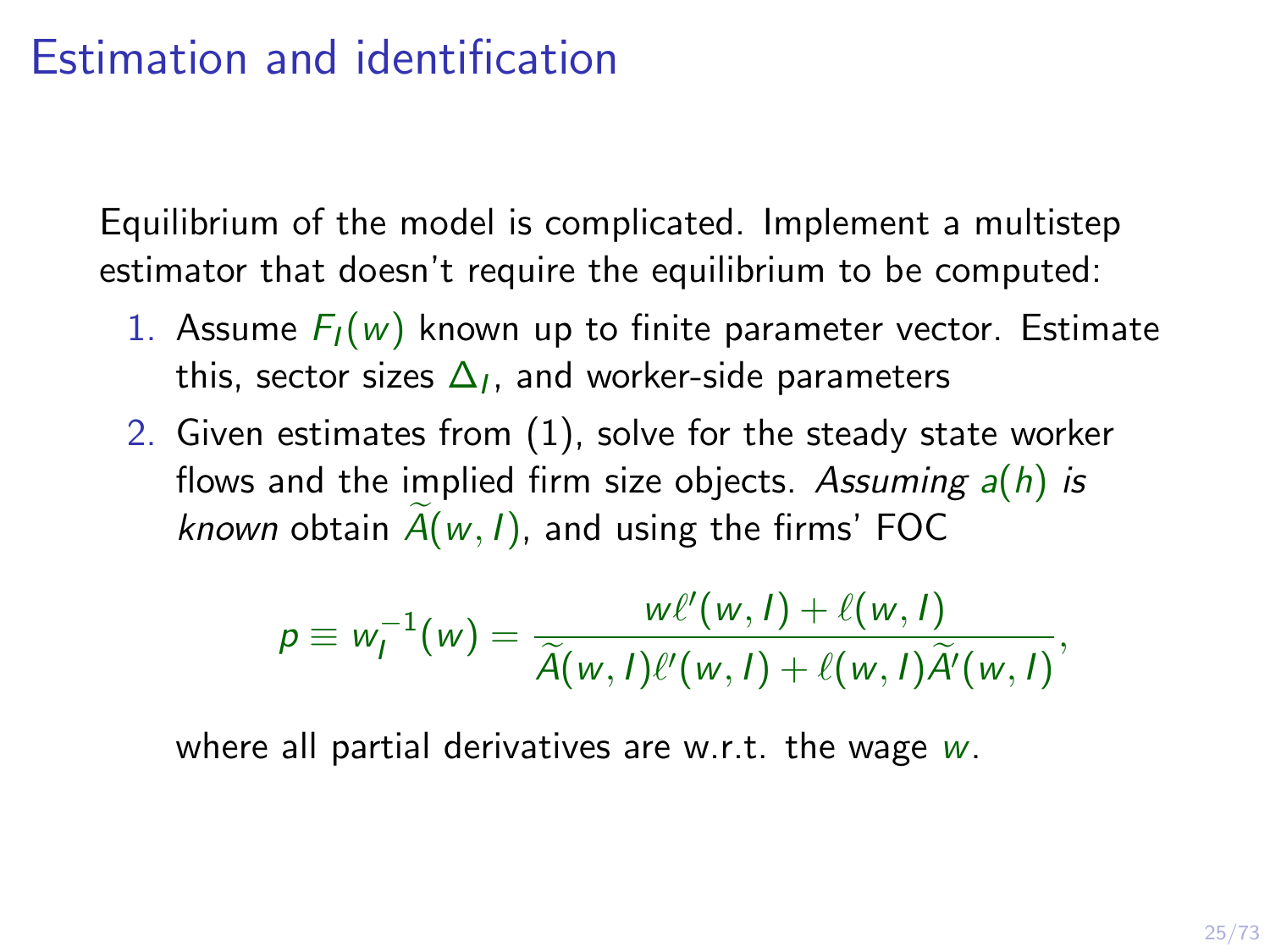#### Estimation and identification

Equilibrium of the model is complicated. Implement a multistep estimator that doesn't require the equilibrium to be computed:

- 1. Assume  $F_I(w)$  known up to finite parameter vector. Estimate this, sector sizes  $\Delta_I$ , and worker-side parameters
- 2. Given estimates from (1), solve for the steady state worker flows and the implied firm size objects. Assuming  $a(h)$  is known obtain  $A(w, l)$ , and using the firms' FOC

$$
p \equiv w_l^{-1}(w) = \frac{w\ell'(w,l) + \ell(w,l)}{\widetilde{A}(w,l)\ell'(w,l) + \ell(w,l)\widetilde{A}'(w,l)},
$$

where all partial derivatives are w.r.t. the wage  $w$ .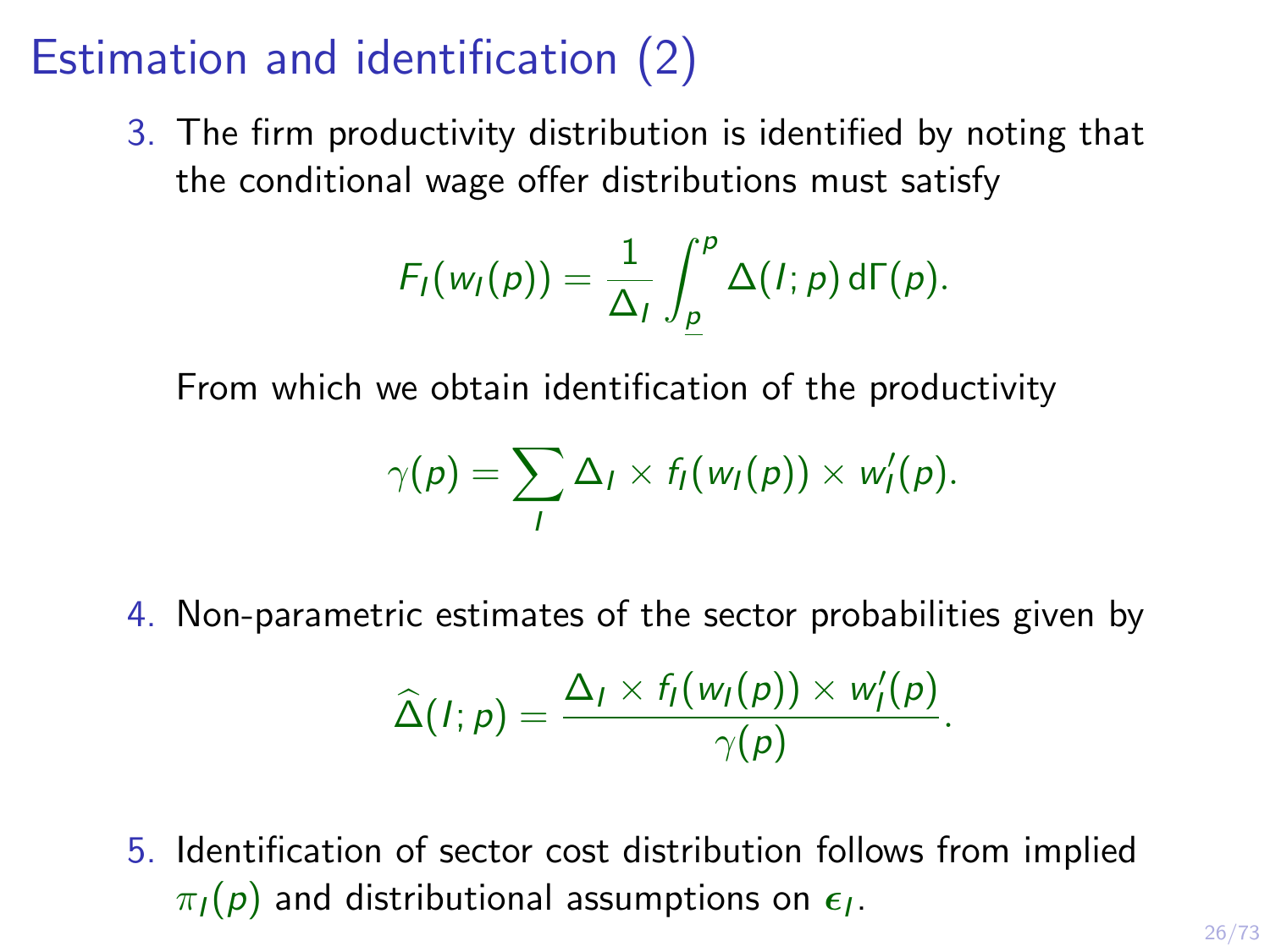### Estimation and identification (2)

3. The firm productivity distribution is identified by noting that the conditional wage offer distributions must satisfy

$$
F_I(w_I(p)) = \frac{1}{\Delta_I} \int_{\underline{p}}^p \Delta(I;p) d\Gamma(p).
$$

From which we obtain identification of the productivity

$$
\gamma(p) = \sum_l \Delta_l \times f_l(w_l(p)) \times w'_l(p).
$$

4. Non-parametric estimates of the sector probabilities given by

$$
\widehat{\Delta}(I;p) = \frac{\Delta_I \times f_I(w_I(p)) \times w'_I(p)}{\gamma(p)}.
$$

5. Identification of sector cost distribution follows from implied  $\pi_I(p)$  and distributional assumptions on  $\epsilon_I.$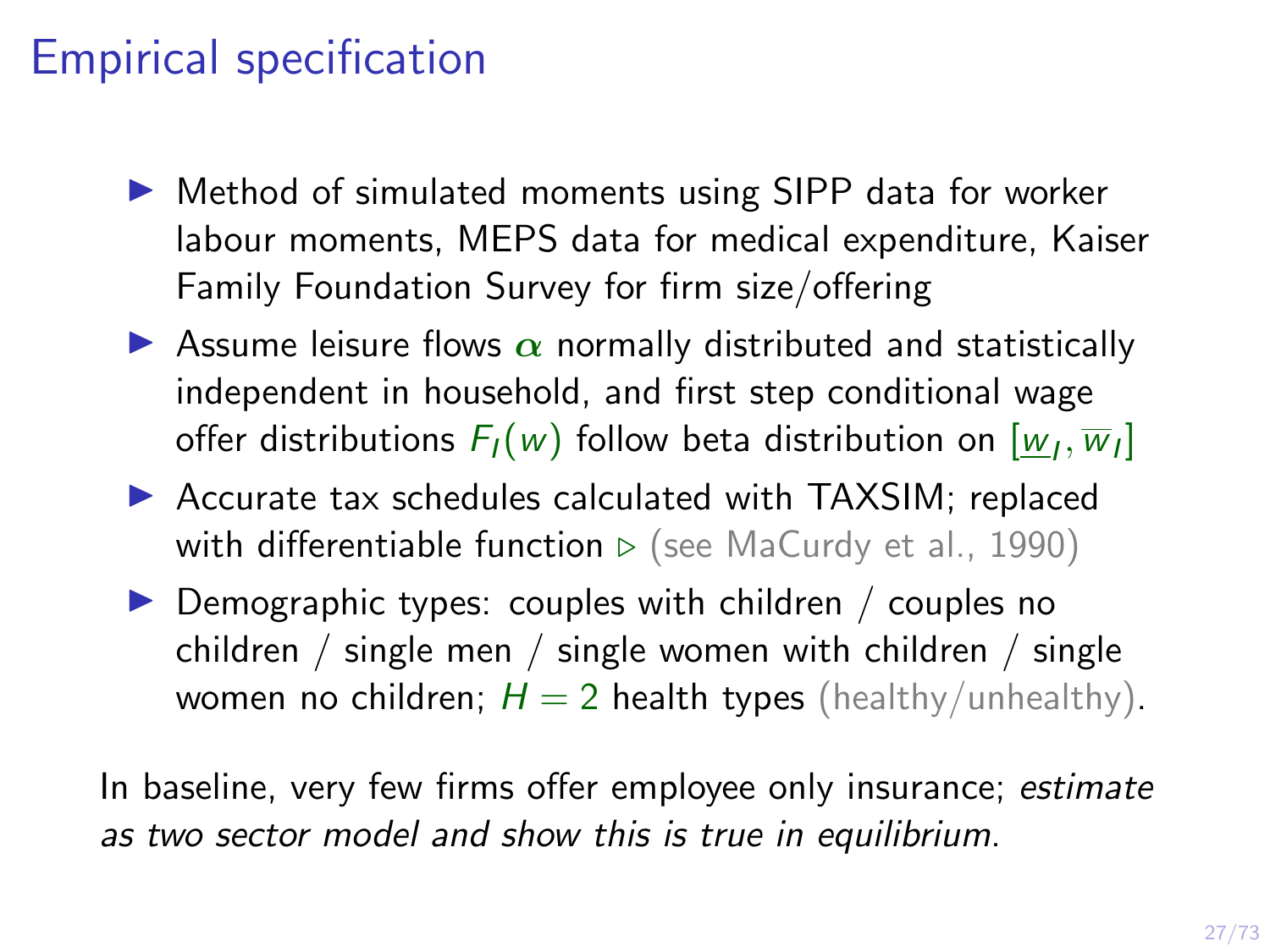#### Empirical specification

- $\triangleright$  Method of simulated moments using SIPP data for worker labour moments, MEPS data for medical expenditure, Kaiser Family Foundation Survey for firm size/offering
- **EXECUTE:** Assume leisure flows  $\alpha$  normally distributed and statistically independent in household, and first step conditional wage offer distributions  $F_I(w)$  follow beta distribution on  $[\underline{w}_I,\overline{w}_I]$
- $\triangleright$  Accurate tax schedules calculated with TAXSIM; replaced with [differentiable function](#page-71-0)  $\triangleright$  (see MaCurdy et al., 1990)
- $\triangleright$  Demographic types: couples with children / couples no children / single men / single women with children / single women no children;  $H = 2$  health types (healthy/unhealthy).

In baseline, very few firms offer employee only insurance; estimate as two sector model and show this is true in equilibrium.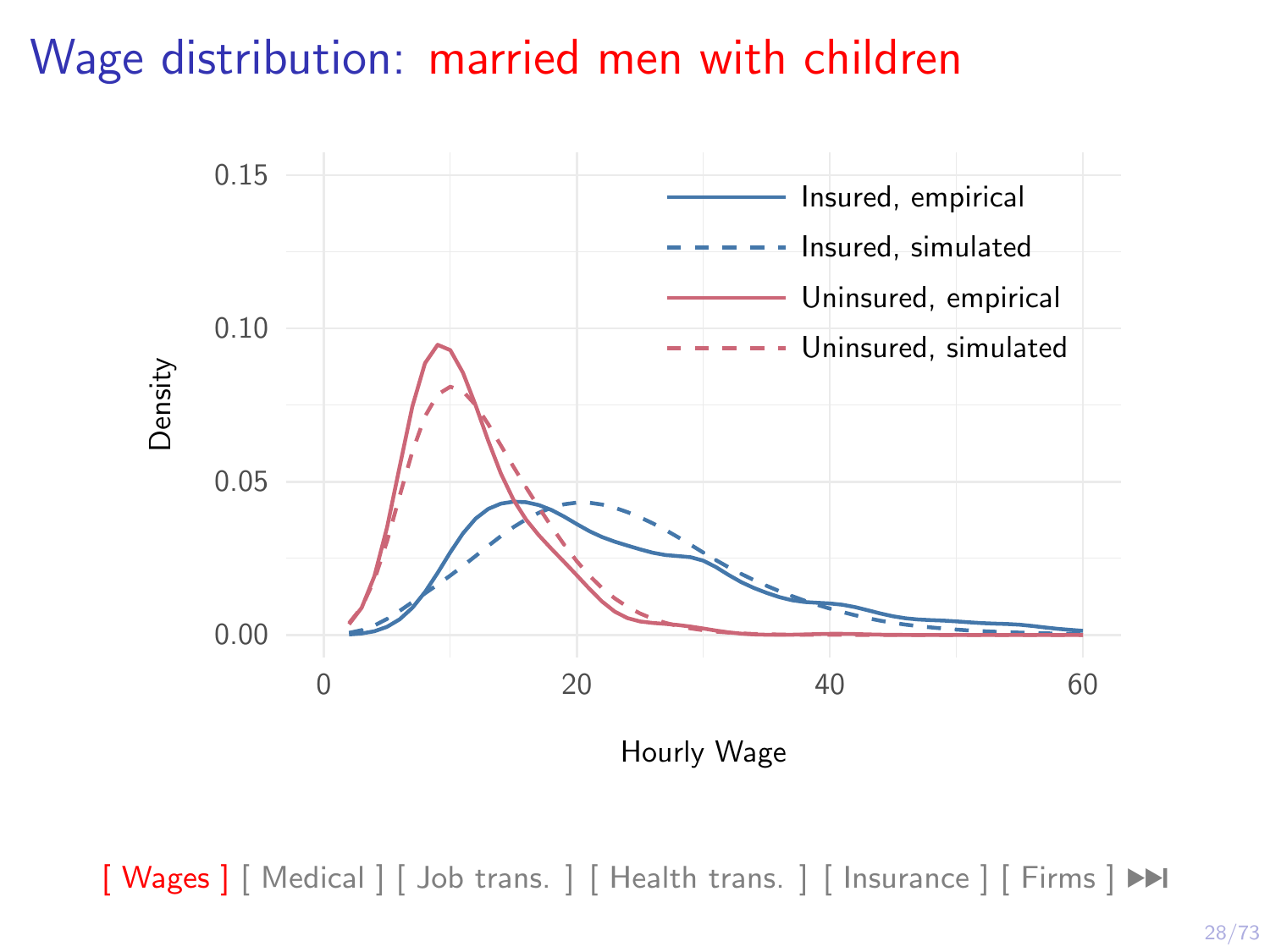#### Wage distribution: married men with children

<span id="page-33-0"></span>

 $\left[\right]$  Wages  $\left[\right]$  [\[ Medical \]](#page-40-0)  $\left[\right]$  Job trans.  $\left[\right]$  [ Health trans.  $\left[\right]$  [\[ Insurance \]](#page-49-0)  $\left[\right]$  Firms  $\left[\right]$   $\blacktriangleright$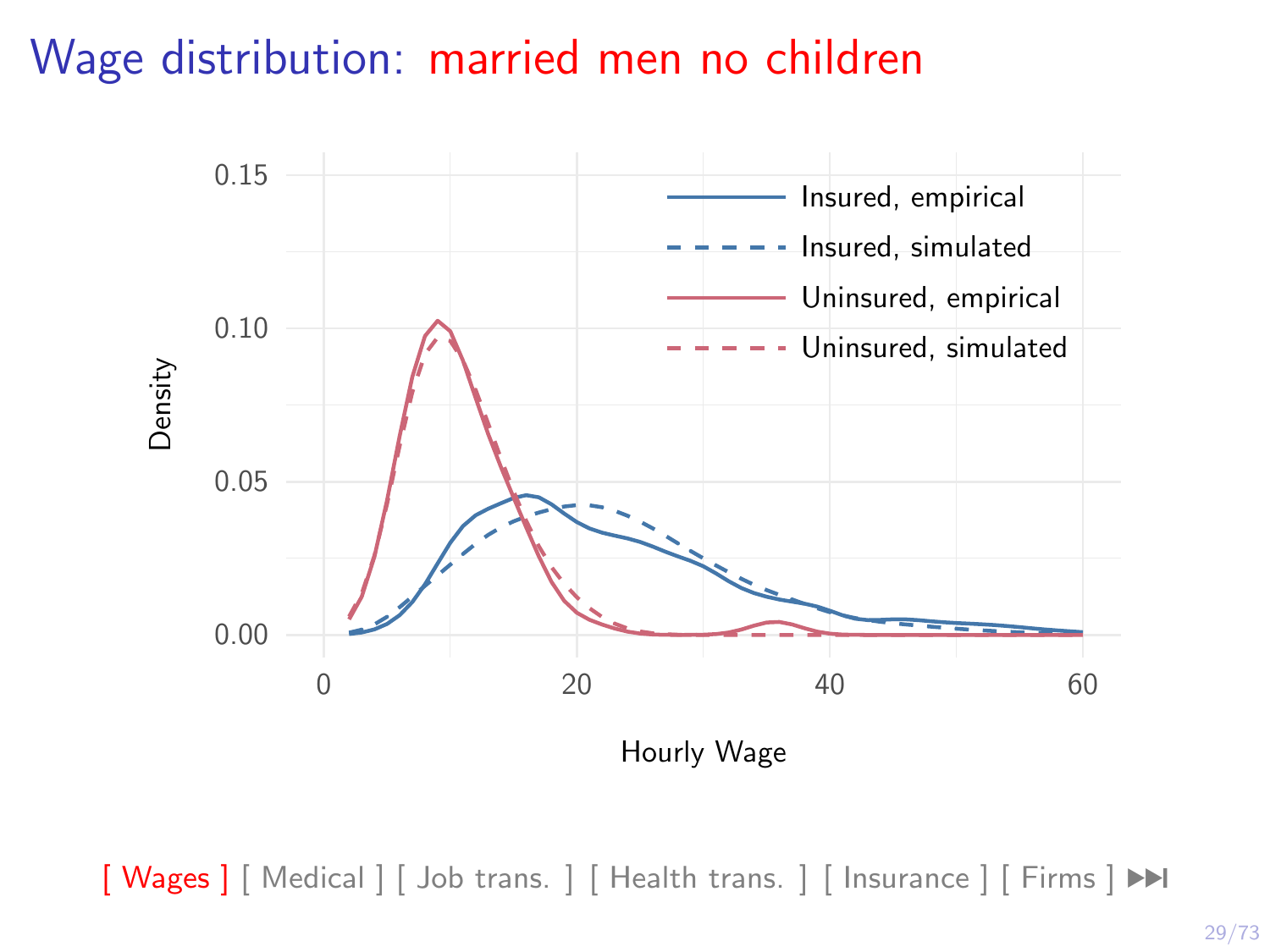#### Wage distribution: married men no children



 $\left[\right]$  Wages  $\left[\right]$  [\[ Medical \]](#page-40-0)  $\left[\right]$  Job trans.  $\left[\right]$  [ Health trans.  $\left[\right]$  [\[ Insurance \]](#page-49-0)  $\left[\right]$  Firms  $\left[\right]$   $\blacktriangleright$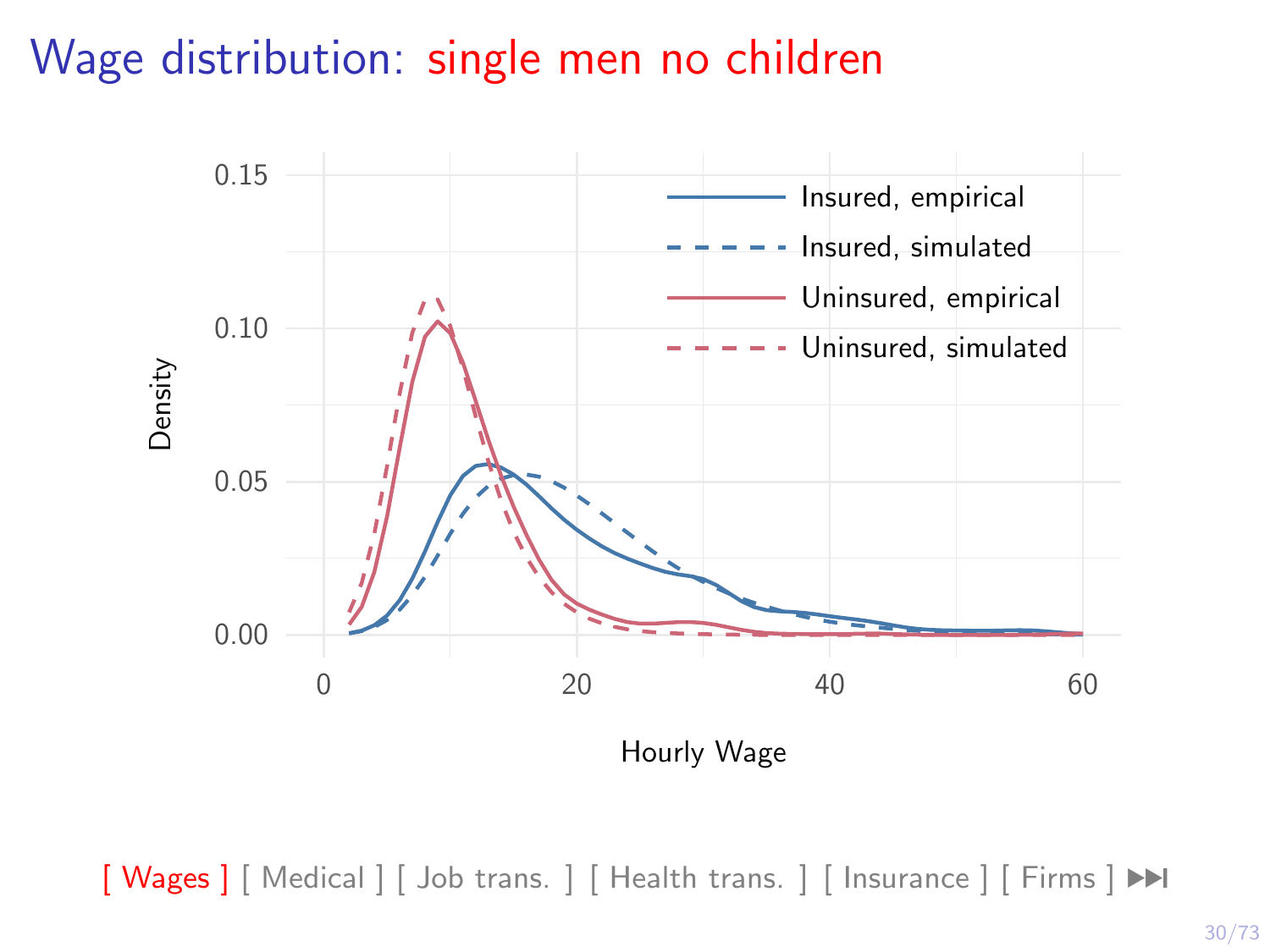#### Wage distribution: single men no children



 $\left[\right]$  Wages  $\left[\right]$  [\[ Medical \]](#page-40-0)  $\left[\right]$  Job trans.  $\left[\right]$  [ Health trans.  $\left[\right]$  [\[ Insurance \]](#page-49-0)  $\left[\right]$  Firms  $\left[\right]$   $\blacktriangleright$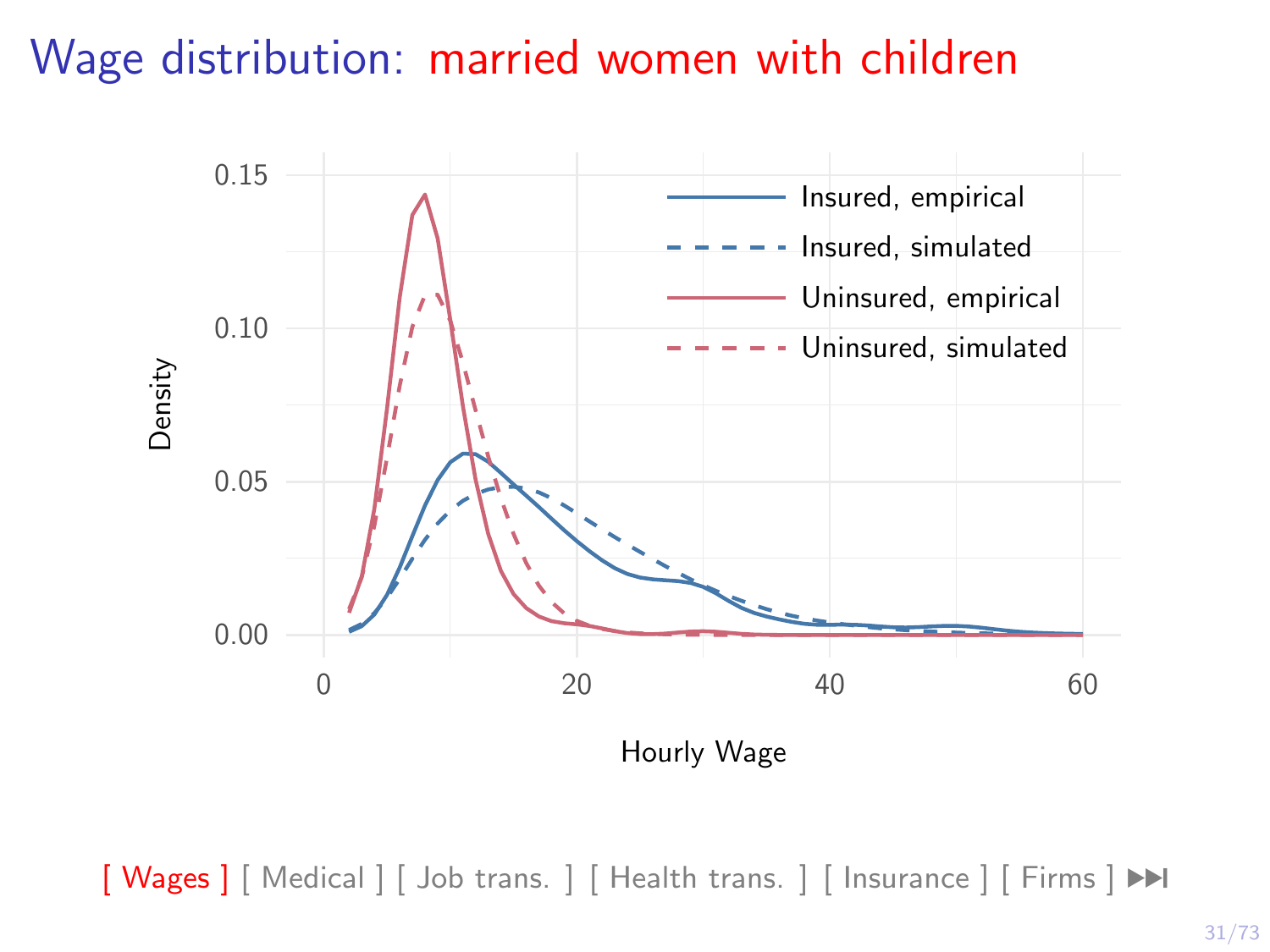# Wage distribution: married women with children

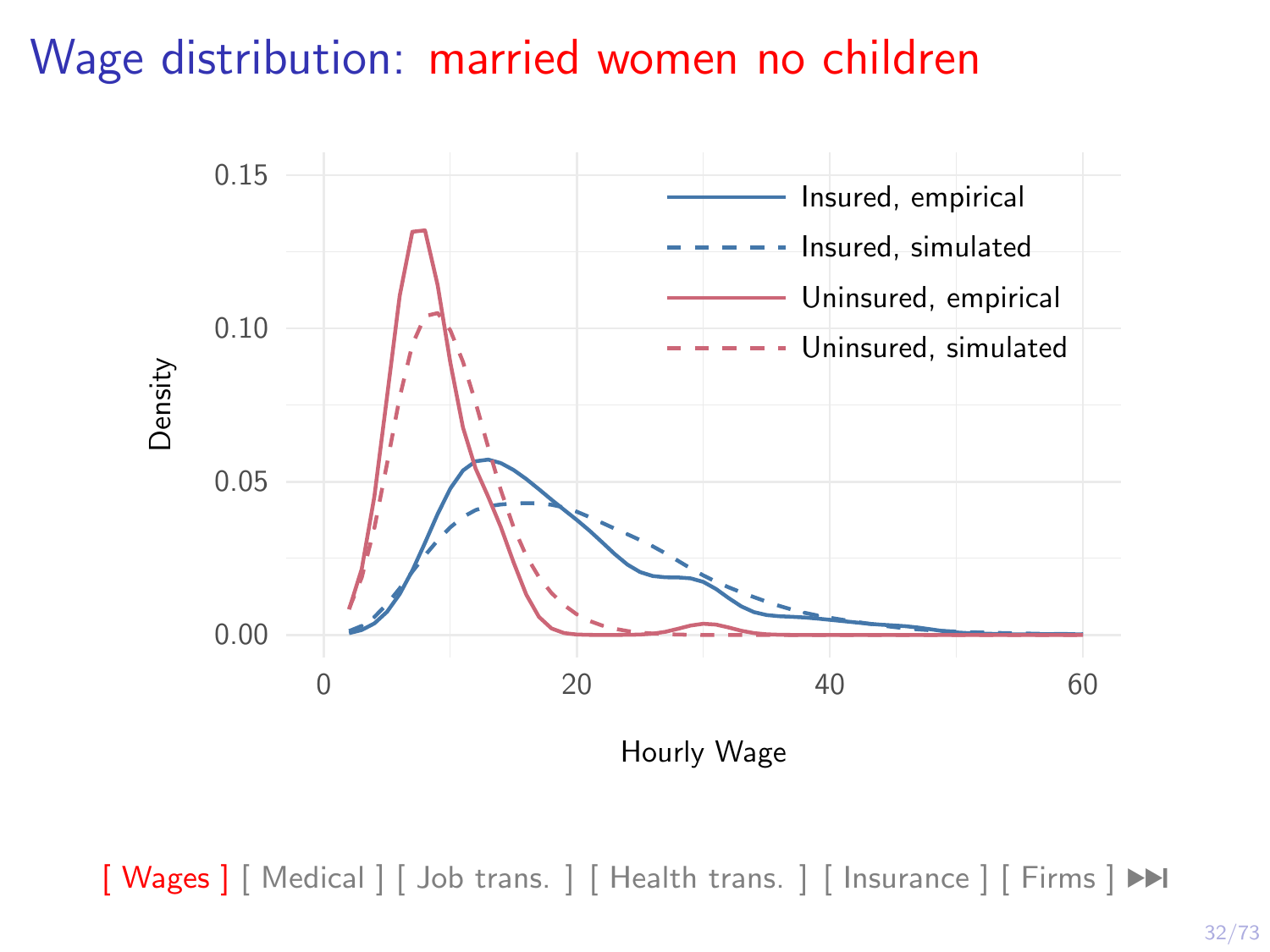# Wage distribution: married women no children

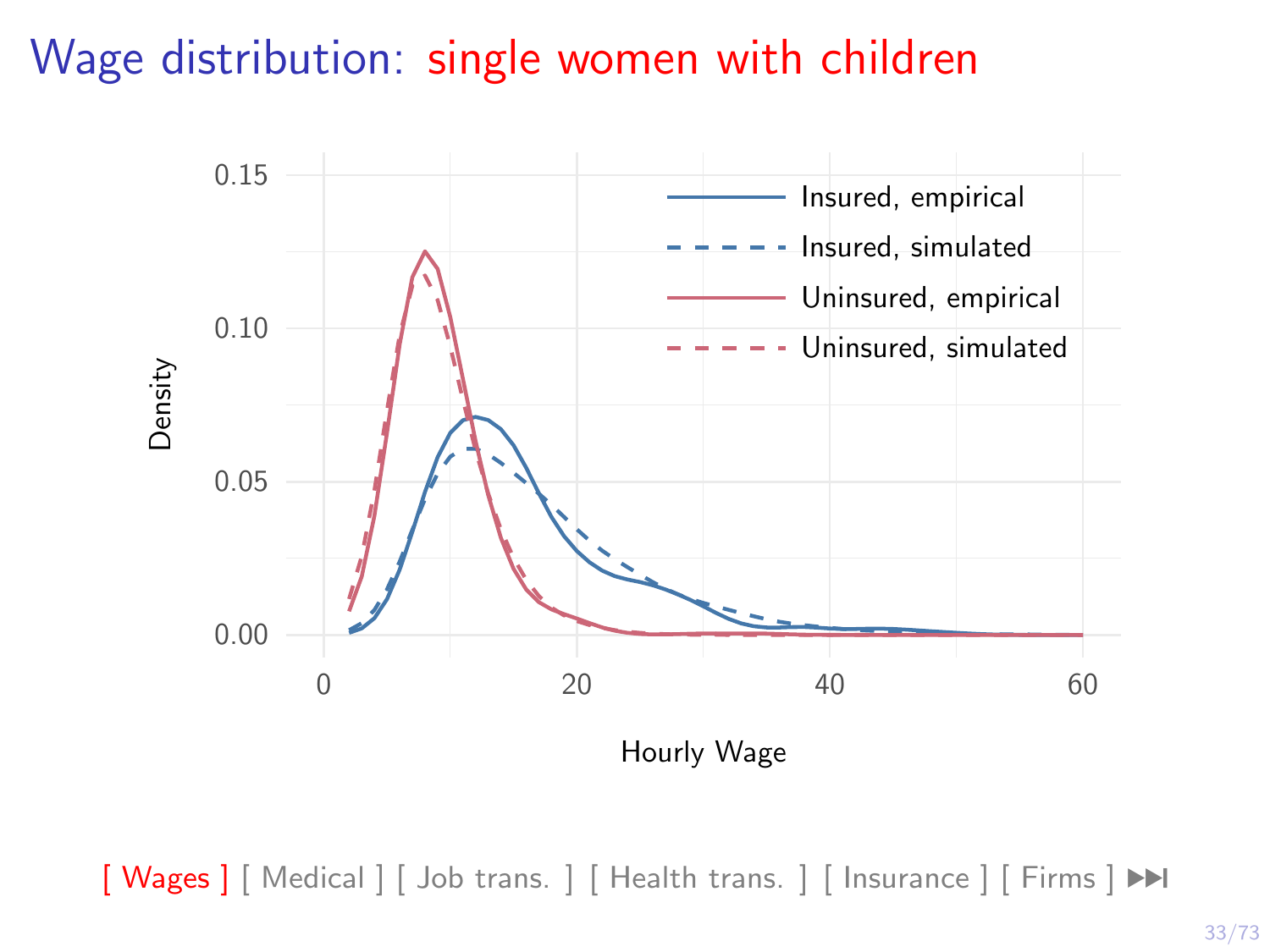# Wage distribution: single women with children

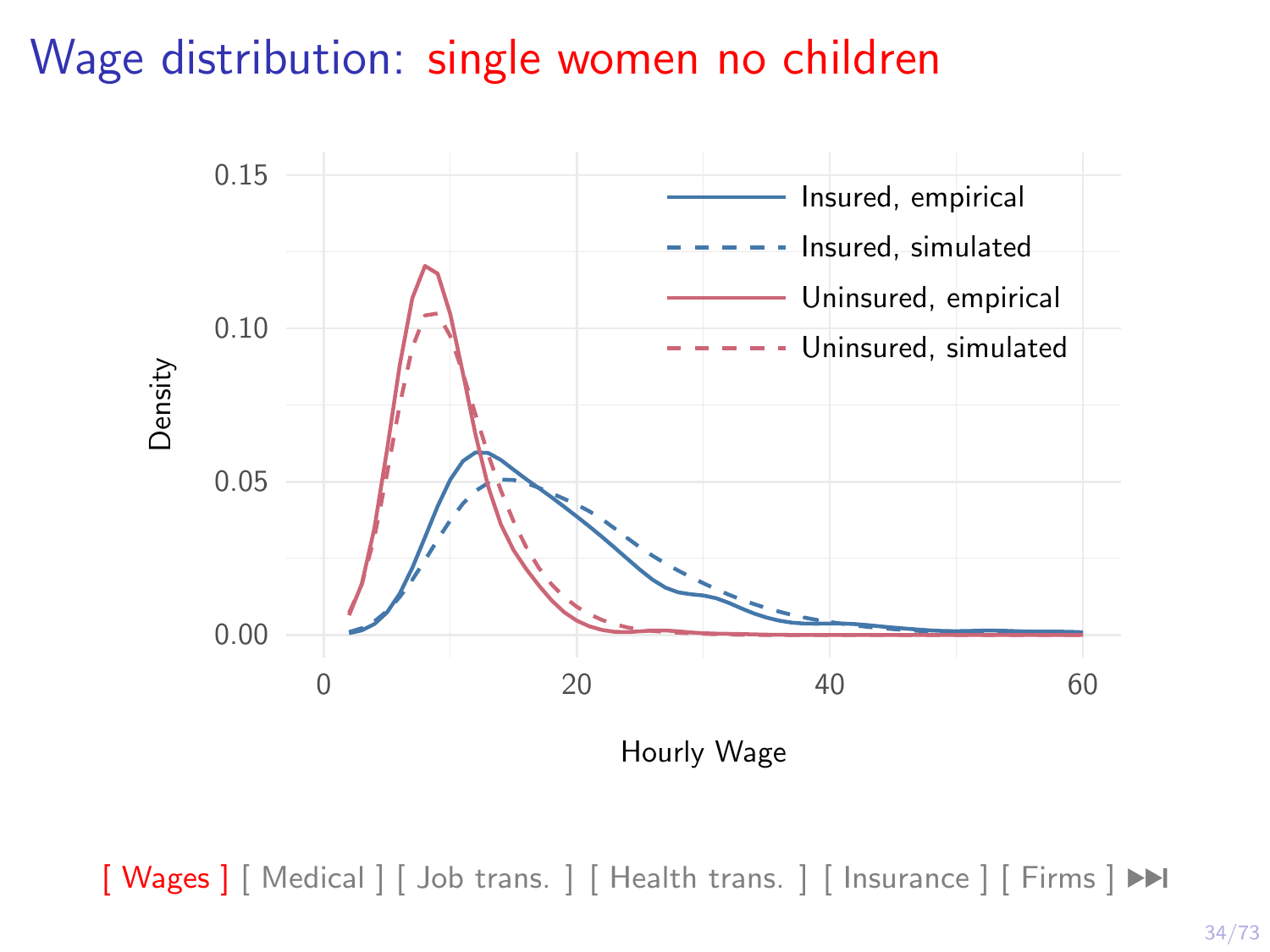# Wage distribution: single women no children

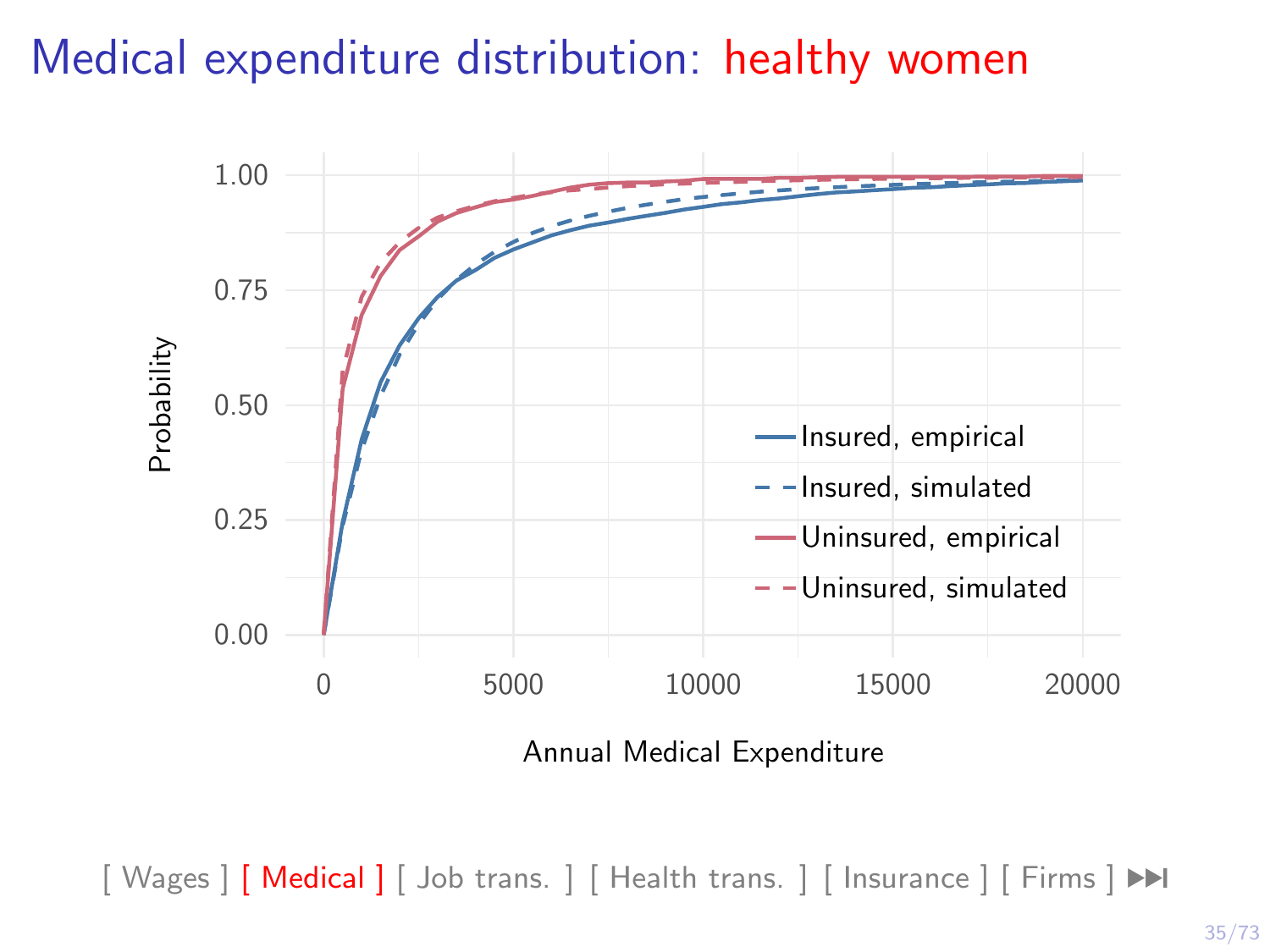### Medical expenditure distribution: healthy women

<span id="page-40-0"></span>

Annual Medical Expenditure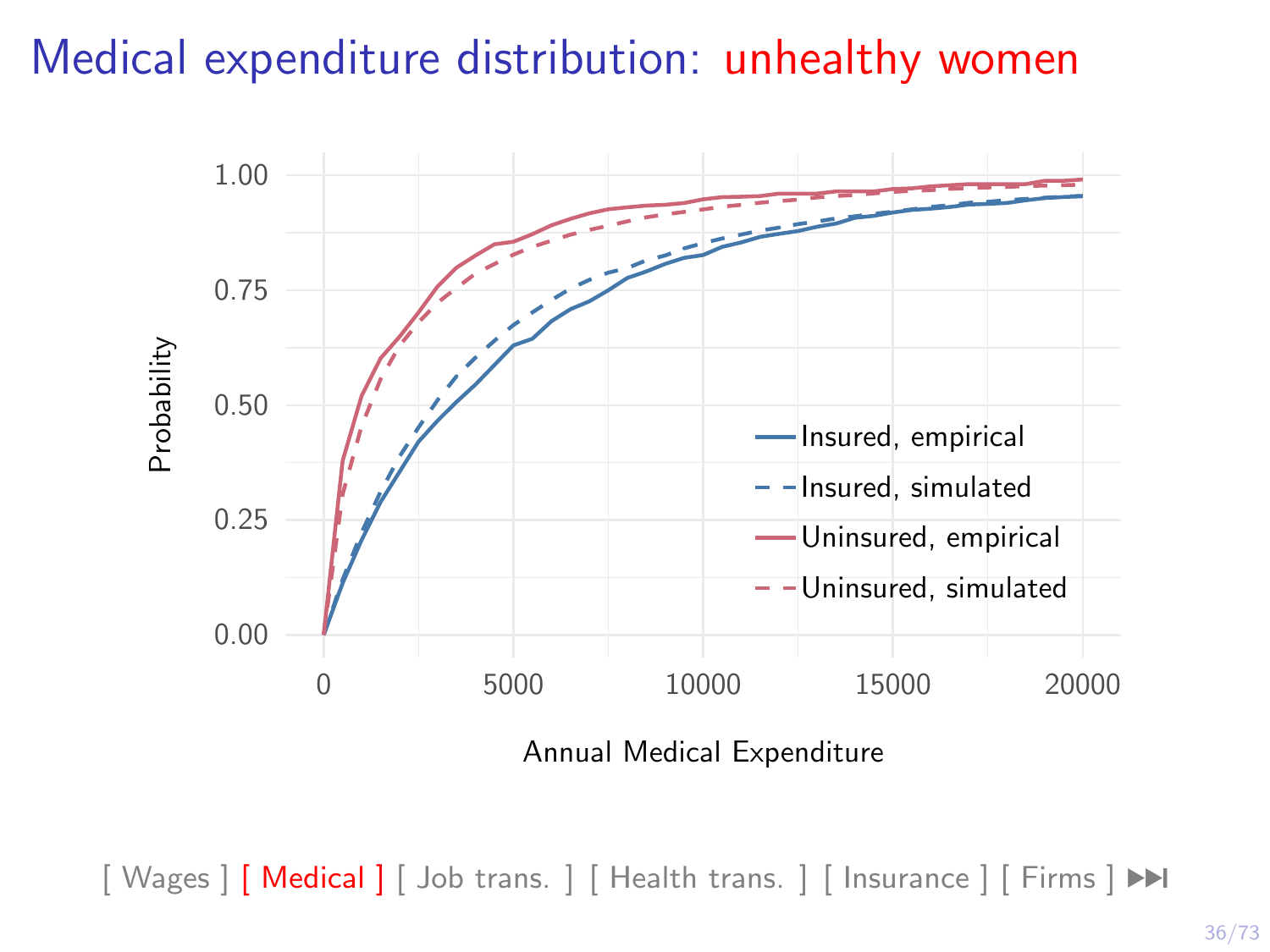## Medical expenditure distribution: unhealthy women



Annual Medical Expenditure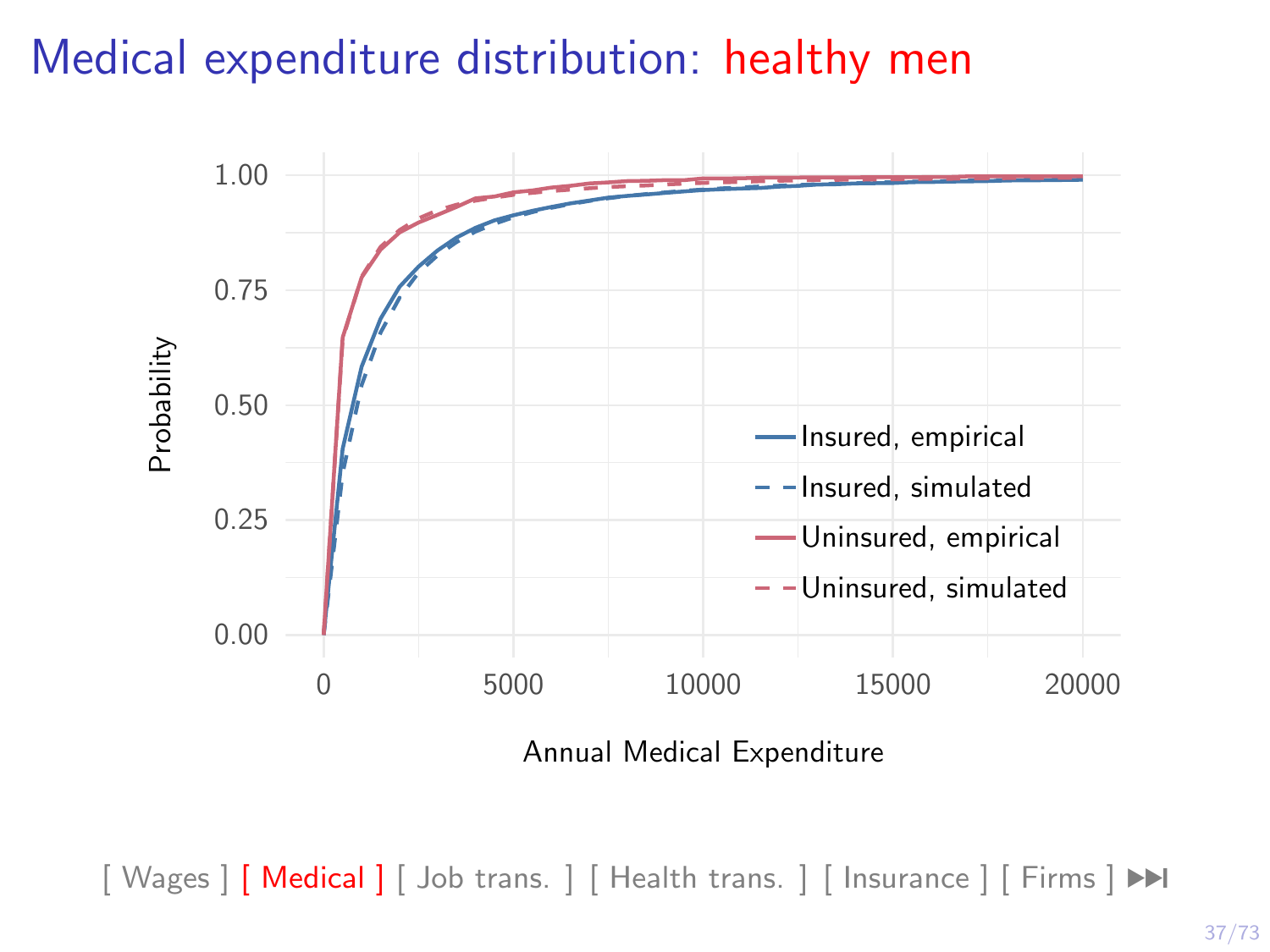## Medical expenditure distribution: healthy men



Annual Medical Expenditure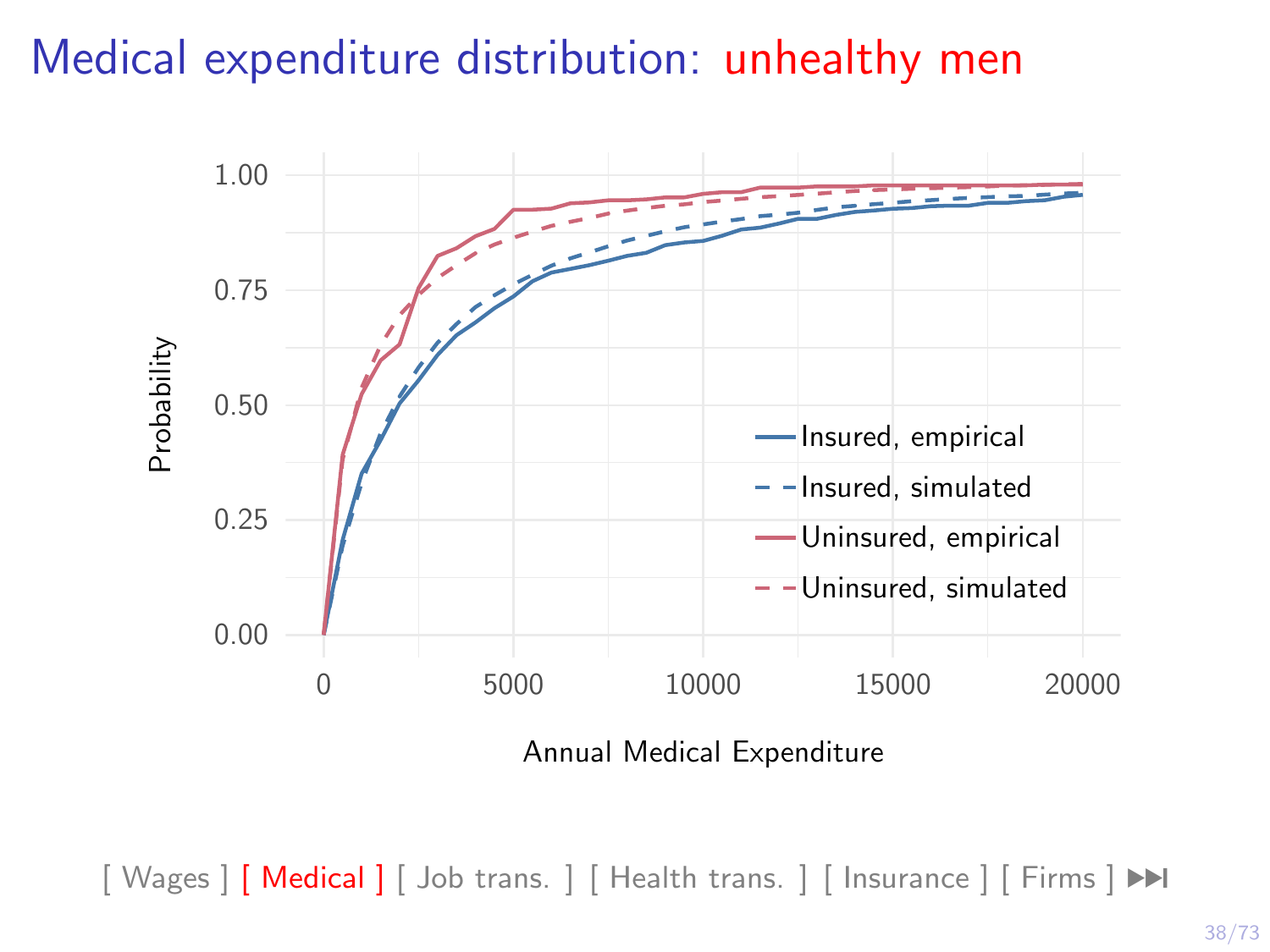## Medical expenditure distribution: unhealthy men



Annual Medical Expenditure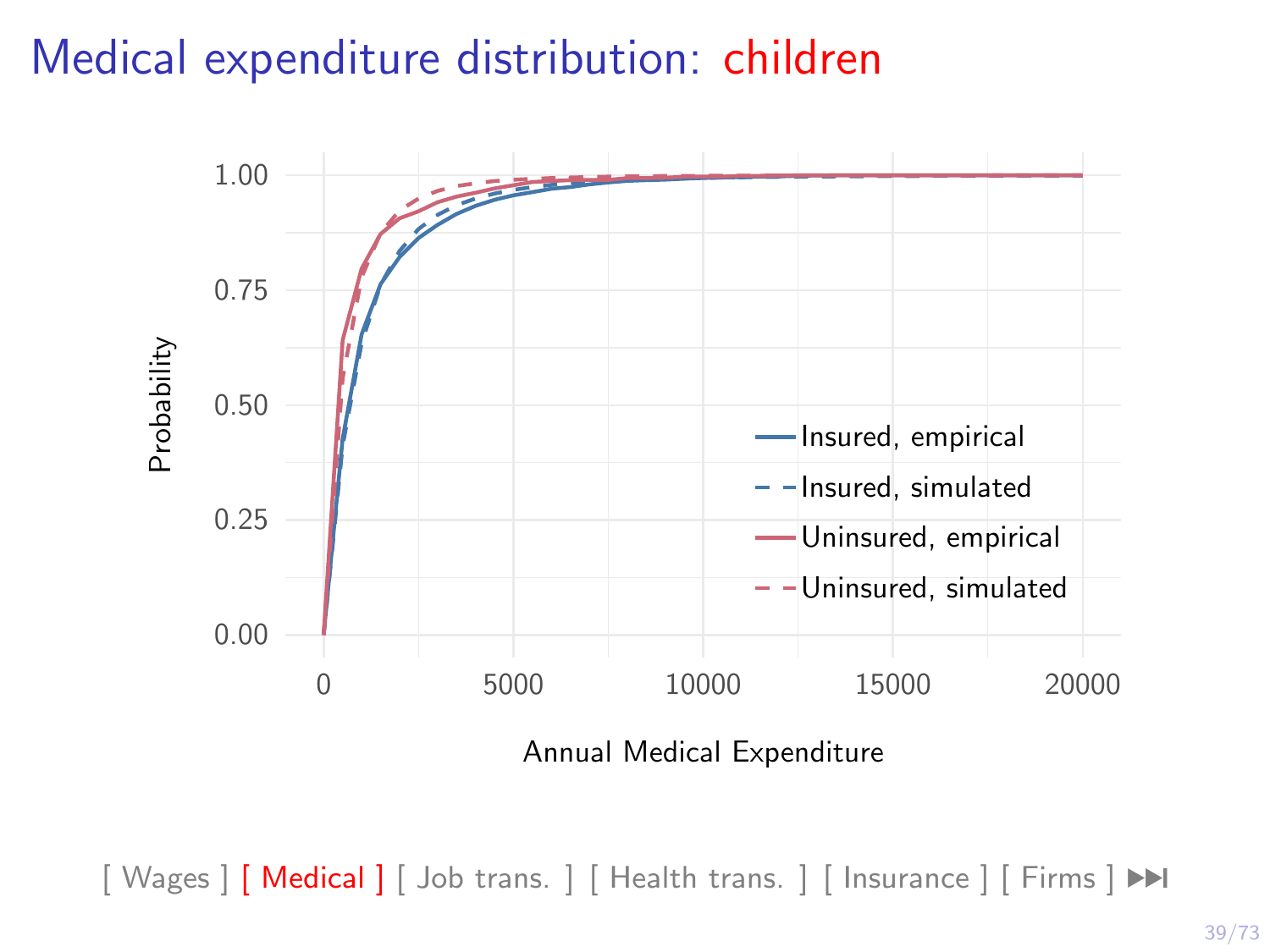#### Medical expenditure distribution: children



Annual Medical Expenditure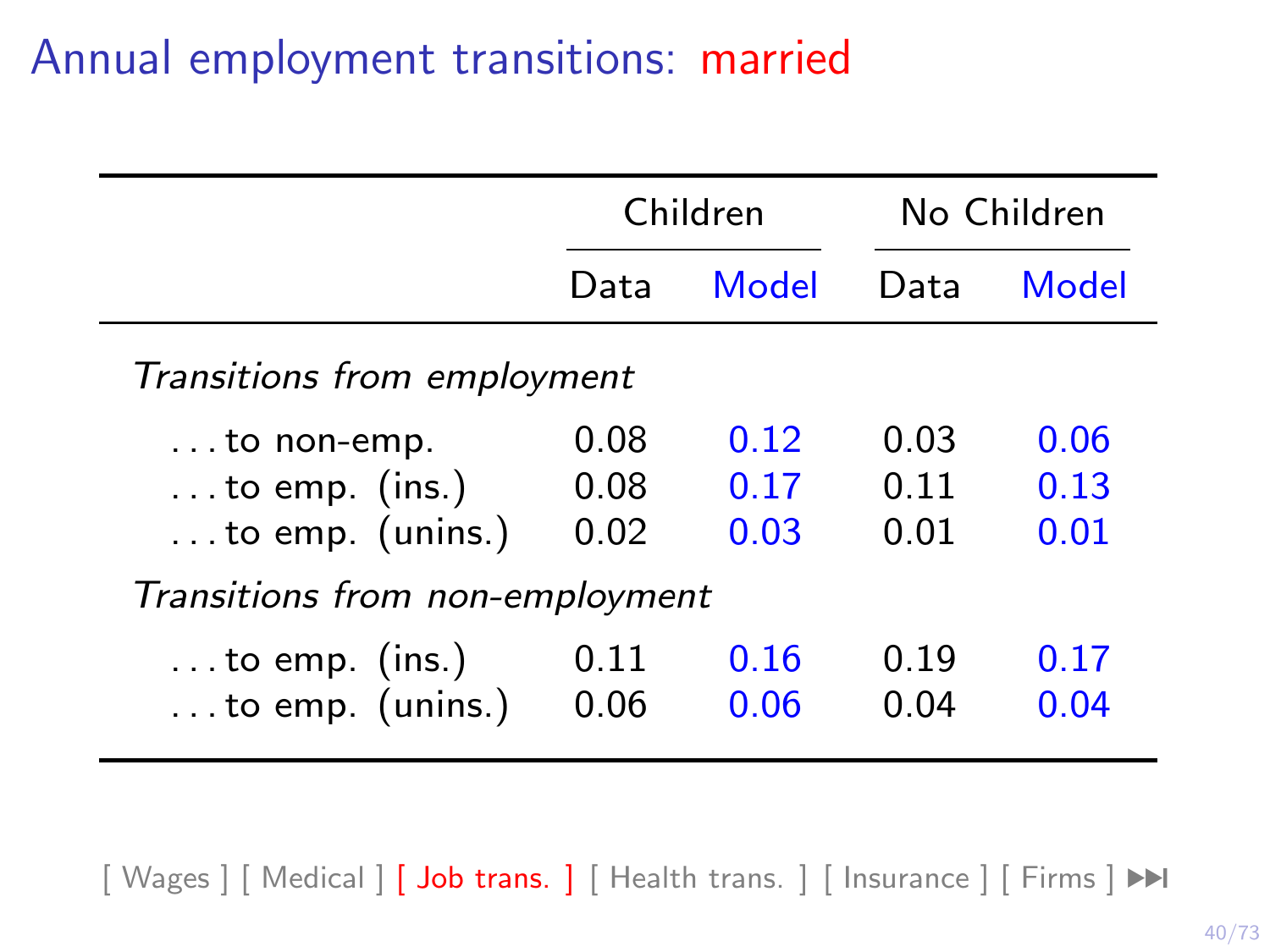# Annual employment transitions: married

<span id="page-45-0"></span>

|                                                                           |                      | Children             |                      | No Children          |
|---------------------------------------------------------------------------|----------------------|----------------------|----------------------|----------------------|
|                                                                           | Data                 | Model                | Data                 | Model                |
| Transitions from employment                                               |                      |                      |                      |                      |
| $\dots$ to non-emp.<br>$\dots$ to emp. (ins.)<br>$\dots$ to emp. (unins.) | 0.08<br>0.08<br>0.02 | 0.12<br>0.17<br>0.03 | 0.03<br>0.11<br>0.01 | 0.06<br>0.13<br>0.01 |
| Transitions from non-employment                                           |                      |                      |                      |                      |
| $\dots$ to emp. (ins.)<br>to emp. (unins.)                                | 0.11<br>0.06         | 0.16<br>0.06         | 0.19<br>0.04         | 0.17<br>0.04         |

[\[ Wages \]](#page-33-0) [\[ Medical \]](#page-40-0) [\[ Job trans. \]](#page-45-0) [\[ Health trans. \]](#page-47-0) [\[ Insurance \]](#page-49-0) [\[ Firms \]](#page-50-0) ▶▶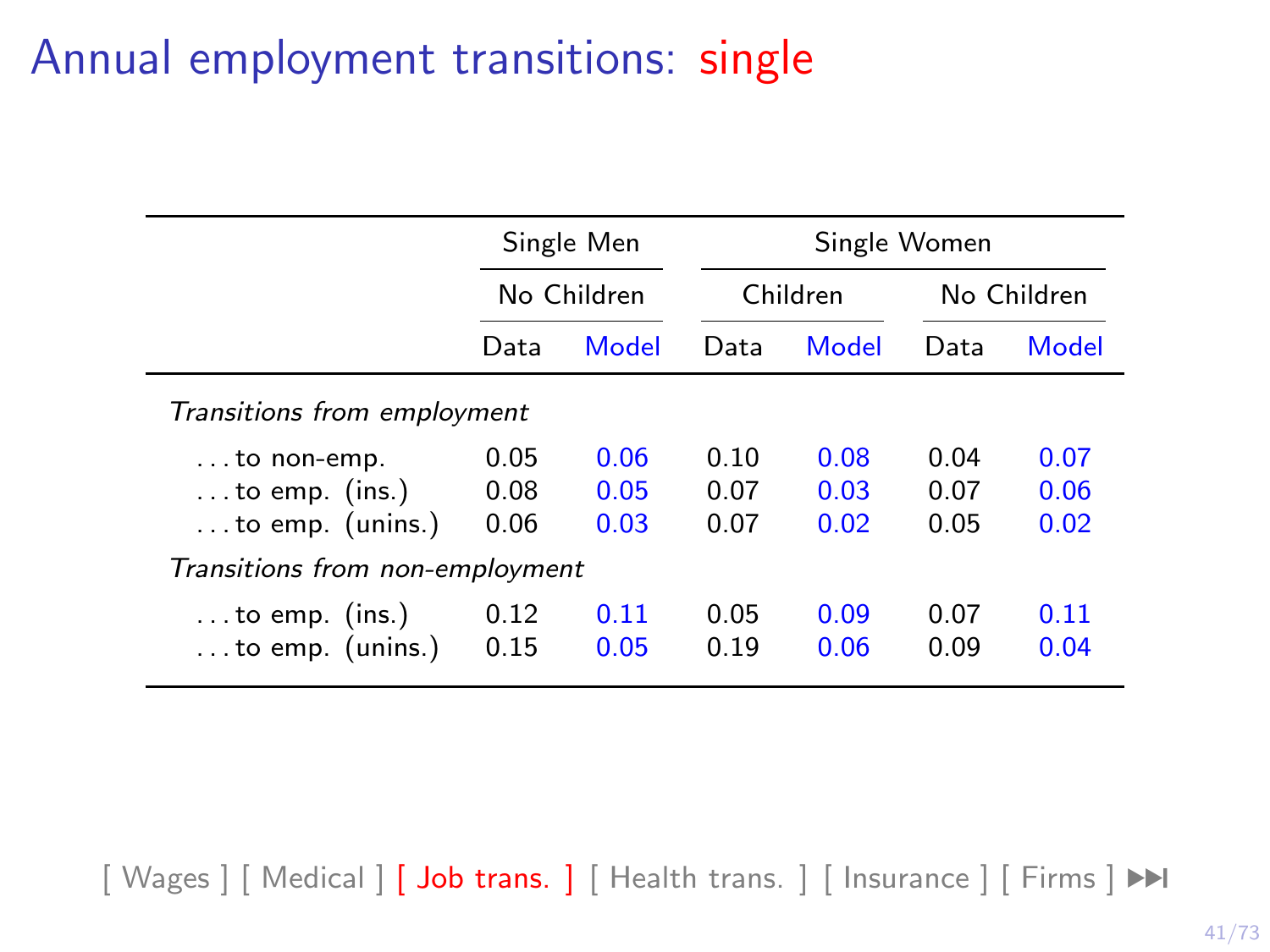# Annual employment transitions: single

|                                 | Single Men |             |      |          | Single Women |       |  |  |
|---------------------------------|------------|-------------|------|----------|--------------|-------|--|--|
|                                 |            | No Children |      | Children | No Children  |       |  |  |
|                                 | Data       | Model       | Data | Model    | Data         | Model |  |  |
| Transitions from employment     |            |             |      |          |              |       |  |  |
| $\dots$ to non-emp.             | 0.05       | 0.06        | 0.10 | 0.08     | 0.04         | 0.07  |  |  |
| $\ldots$ to emp. (ins.)         | 0.08       | 0.05        | 0.07 | 0.03     | 0.07         | 0.06  |  |  |
| $\dots$ to emp. (unins.)        | 0.06       | 0.03        | 0.07 | 0.02     | 0.05         | 0.02  |  |  |
| Transitions from non-employment |            |             |      |          |              |       |  |  |
| $\dots$ to emp. (ins.)          | 0.12       | 0.11        | 0.05 | 0.09     | 0.07         | 0.11  |  |  |
| $\dots$ to emp. (unins.)        | 0.15       | 0.05        | 0.19 | 0.06     | 0.09         | 0.04  |  |  |

[\[ Wages \]](#page-33-0) [\[ Medical \]](#page-40-0) [\[ Job trans. \]](#page-45-0) [\[ Health trans. \]](#page-47-0) [\[ Insurance \]](#page-49-0) [\[ Firms \]](#page-50-0) ▶▶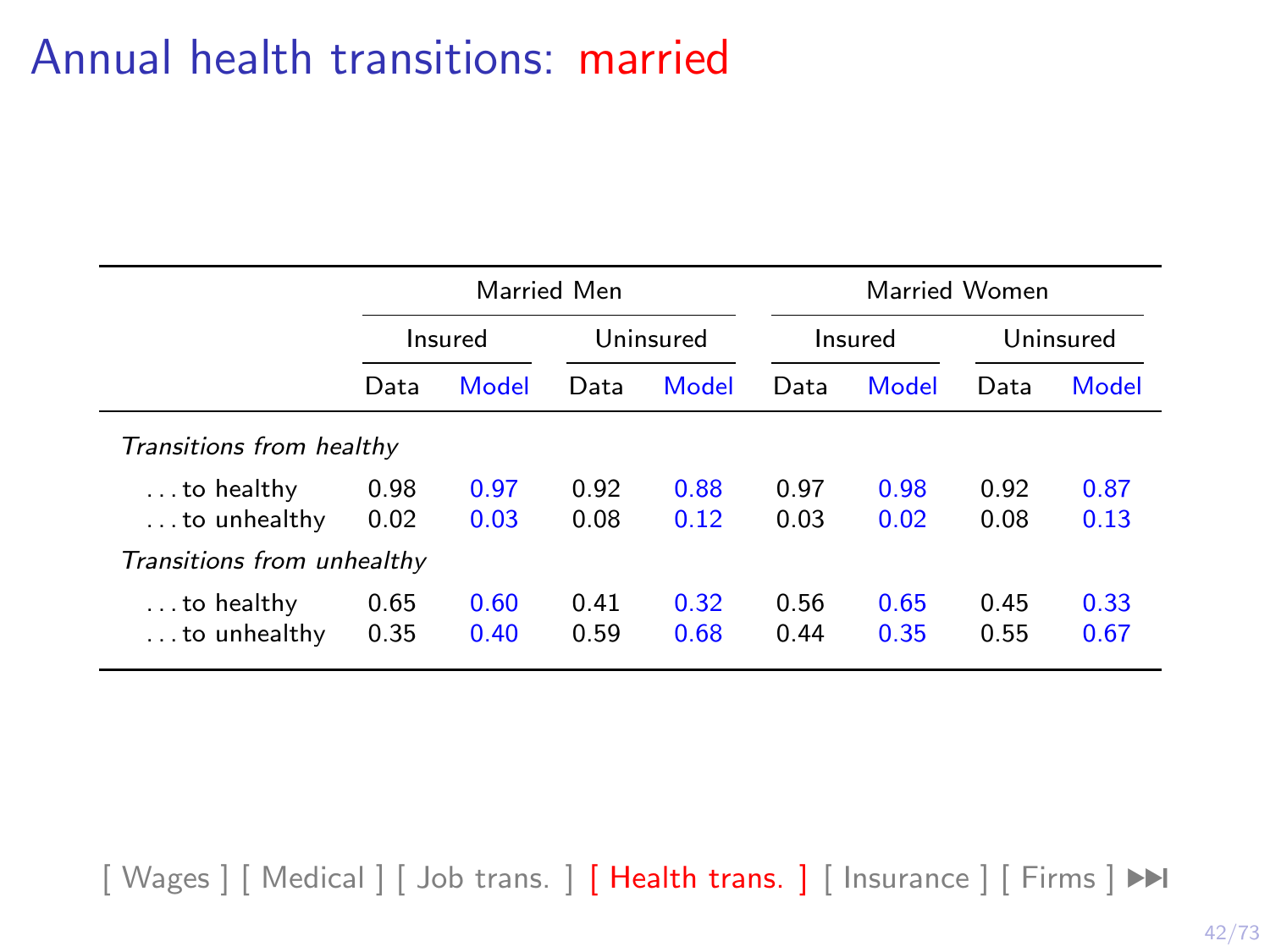# <span id="page-47-0"></span>Annual health transitions: married

|                                            |              | Married Men  |              |              | Married Women |              |              |              |
|--------------------------------------------|--------------|--------------|--------------|--------------|---------------|--------------|--------------|--------------|
|                                            |              | Insured      |              | Uninsured    |               | Insured      |              | Uninsured    |
|                                            | Data         | Model        | Data         | Model        | Data          | Model        | Data         | Model        |
| Transitions from healthy                   |              |              |              |              |               |              |              |              |
| $\dots$ to healthy<br>$\dots$ to unhealthy | 0.98<br>0.02 | 0.97<br>0.03 | 0.92<br>0.08 | 0.88<br>0.12 | 0.97<br>0.03  | 0.98<br>0.02 | 0.92<br>0.08 | 0.87<br>0.13 |
| Transitions from unhealthy                 |              |              |              |              |               |              |              |              |
| $\dots$ to healthy<br>$\dots$ to unhealthy | 0.65<br>0.35 | 0.60<br>0.40 | 0.41<br>0.59 | 0.32<br>0.68 | 0.56<br>0.44  | 0.65<br>0.35 | 0.45<br>0.55 | 0.33<br>0.67 |

[\[ Wages \]](#page-33-0) [\[ Medical \]](#page-40-0) [\[ Job trans. \]](#page-45-0) [\[ Health trans. \]](#page-47-0) [\[ Insurance \]](#page-49-0) [\[ Firms \]](#page-50-0) ▶▶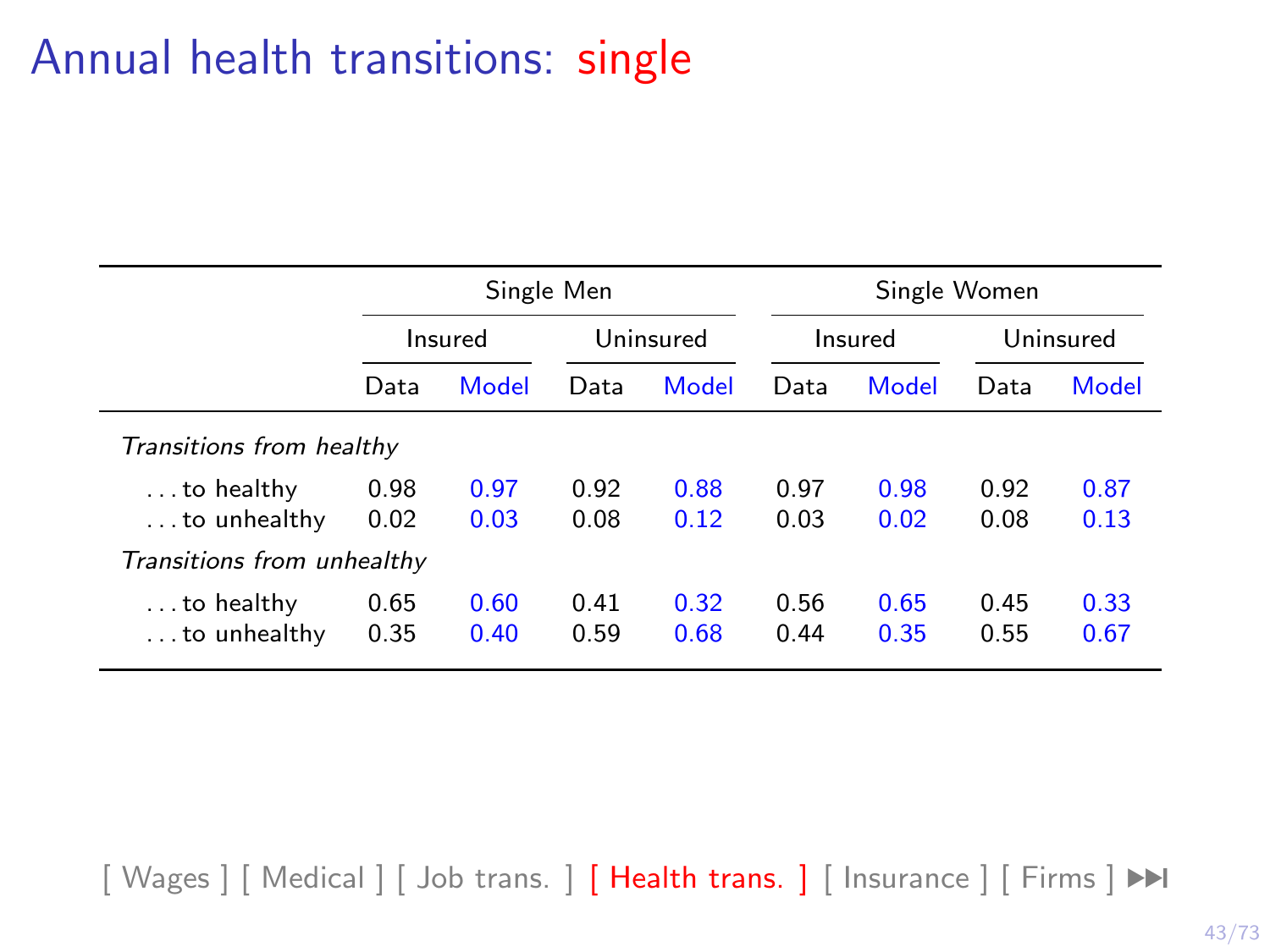## Annual health transitions: single

|                                            |              | Single Men   |              |              |              | Single Women |              |              |  |
|--------------------------------------------|--------------|--------------|--------------|--------------|--------------|--------------|--------------|--------------|--|
|                                            |              | Insured      |              | Uninsured    | Insured      |              | Uninsured    |              |  |
|                                            | Data         | Model        | Data         | Model        | Data         | Model        | Data         | Model        |  |
| Transitions from healthy                   |              |              |              |              |              |              |              |              |  |
| $\dots$ to healthy<br>$\dots$ to unhealthy | 0.98<br>0.02 | 0.97<br>0.03 | 0.92<br>0.08 | 0.88<br>0.12 | 0.97<br>0.03 | 0.98<br>0.02 | 0.92<br>0.08 | 0.87<br>0.13 |  |
| Transitions from unhealthy                 |              |              |              |              |              |              |              |              |  |
| $\dots$ to healthy<br>$\dots$ to unhealthy | 0.65<br>0.35 | 0.60<br>0.40 | 0.41<br>0.59 | 0.32<br>0.68 | 0.56<br>0.44 | 0.65<br>0.35 | 0.45<br>0.55 | 0.33<br>0.67 |  |

[\[ Wages \]](#page-33-0) [\[ Medical \]](#page-40-0) [\[ Job trans. \]](#page-45-0) [\[ Health trans. \]](#page-47-0) [\[ Insurance \]](#page-49-0) [\[ Firms \]](#page-50-0) ▶▶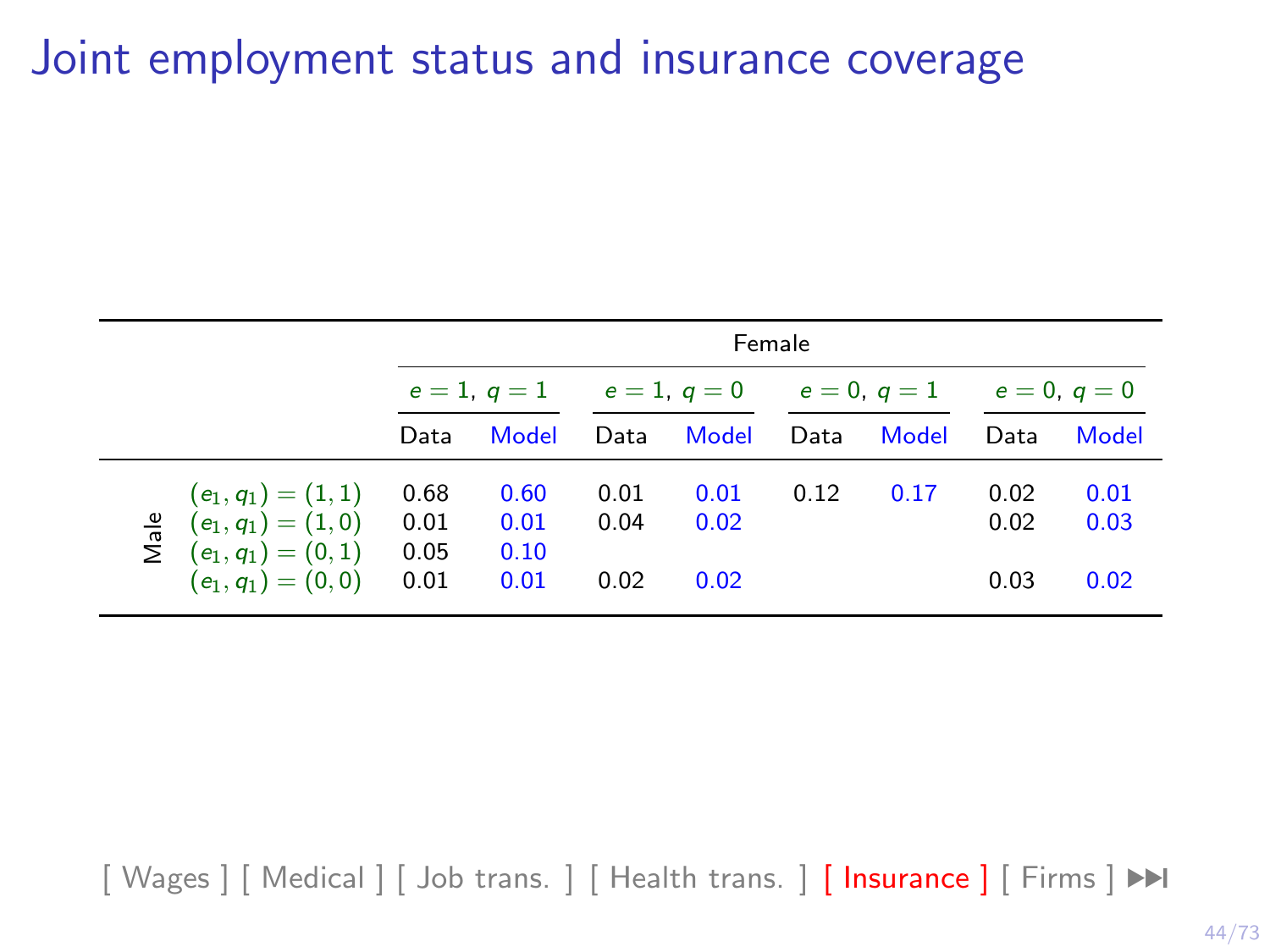## <span id="page-49-0"></span>Joint employment status and insurance coverage

|      |                                                                         |                      | Female               |                              |              |                |       |              |              |
|------|-------------------------------------------------------------------------|----------------------|----------------------|------------------------------|--------------|----------------|-------|--------------|--------------|
|      |                                                                         | $e = 1, q = 1$       |                      | $e = 1, q = 0$<br>$e=0, a=1$ |              | $e = 0, q = 0$ |       |              |              |
|      |                                                                         | Data                 | Model                | Data                         | Model        | Data           | Model | Data         | Model        |
| Male | $(e_1, q_1) = (1, 1)$<br>$(e_1, q_1) = (1, 0)$<br>$(e_1, q_1) = (0, 1)$ | 0.68<br>0.01<br>0.05 | 0.60<br>0.01<br>0.10 | 0.01<br>0.04                 | 0.01<br>0.02 | 0.12           | 0.17  | 0.02<br>0.02 | 0.01<br>0.03 |
|      | $(e_1, q_1) = (0, 0)$                                                   | 0.01                 | 0.01                 | 0.02                         | 0.02         |                |       | 0.03         | 0.02         |

[\[ Wages \]](#page-33-0) [\[ Medical \]](#page-40-0) [\[ Job trans. \]](#page-45-0) [\[ Health trans. \]](#page-47-0) [\[ Insurance \]](#page-49-0) [\[ Firms \]](#page-50-0) ▶▶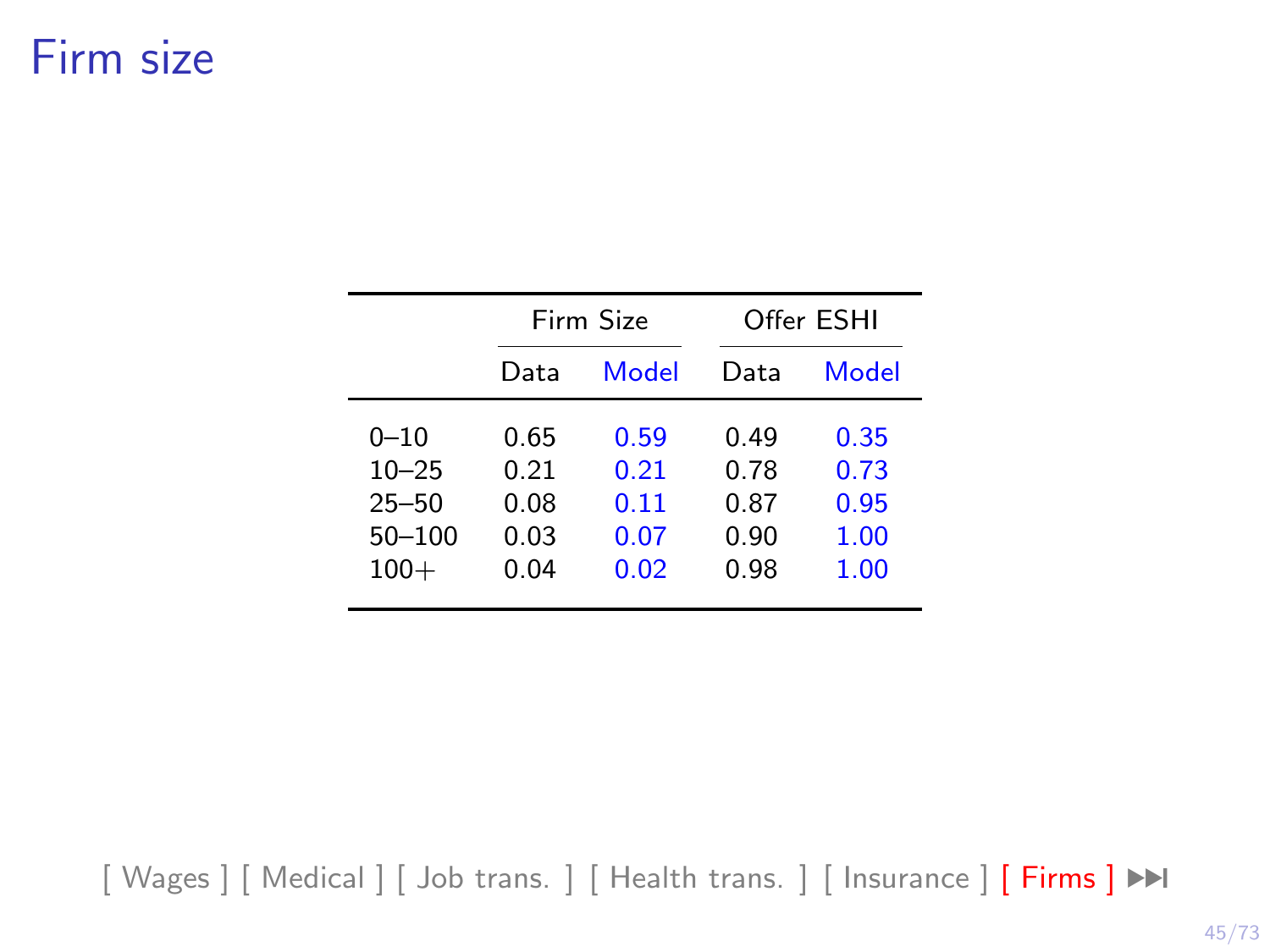## <span id="page-50-0"></span>Firm size

|            |      | Firm Size |      | Offer ESHI |
|------------|------|-----------|------|------------|
|            | Data | Model     | Data | Model      |
| $0 - 10$   | 0.65 | 0.59      | በ 49 | 0.35       |
| $10 - 25$  | 0.21 | 0.21      | 0.78 | 0.73       |
| $25 - 50$  | 0.08 | 0.11      | 0.87 | 0.95       |
| $50 - 100$ | 0.03 | 0.07      | 0.90 | 1.00       |
| $100+$     | 0.04 | 0.02      | 0.98 | 1.00       |

[\[ Wages \]](#page-33-0) [\[ Medical \]](#page-40-0) [\[ Job trans. \]](#page-45-0) [\[ Health trans. \]](#page-47-0) [\[ Insurance \]](#page-49-0) [\[ Firms \]](#page-50-0) ▶▶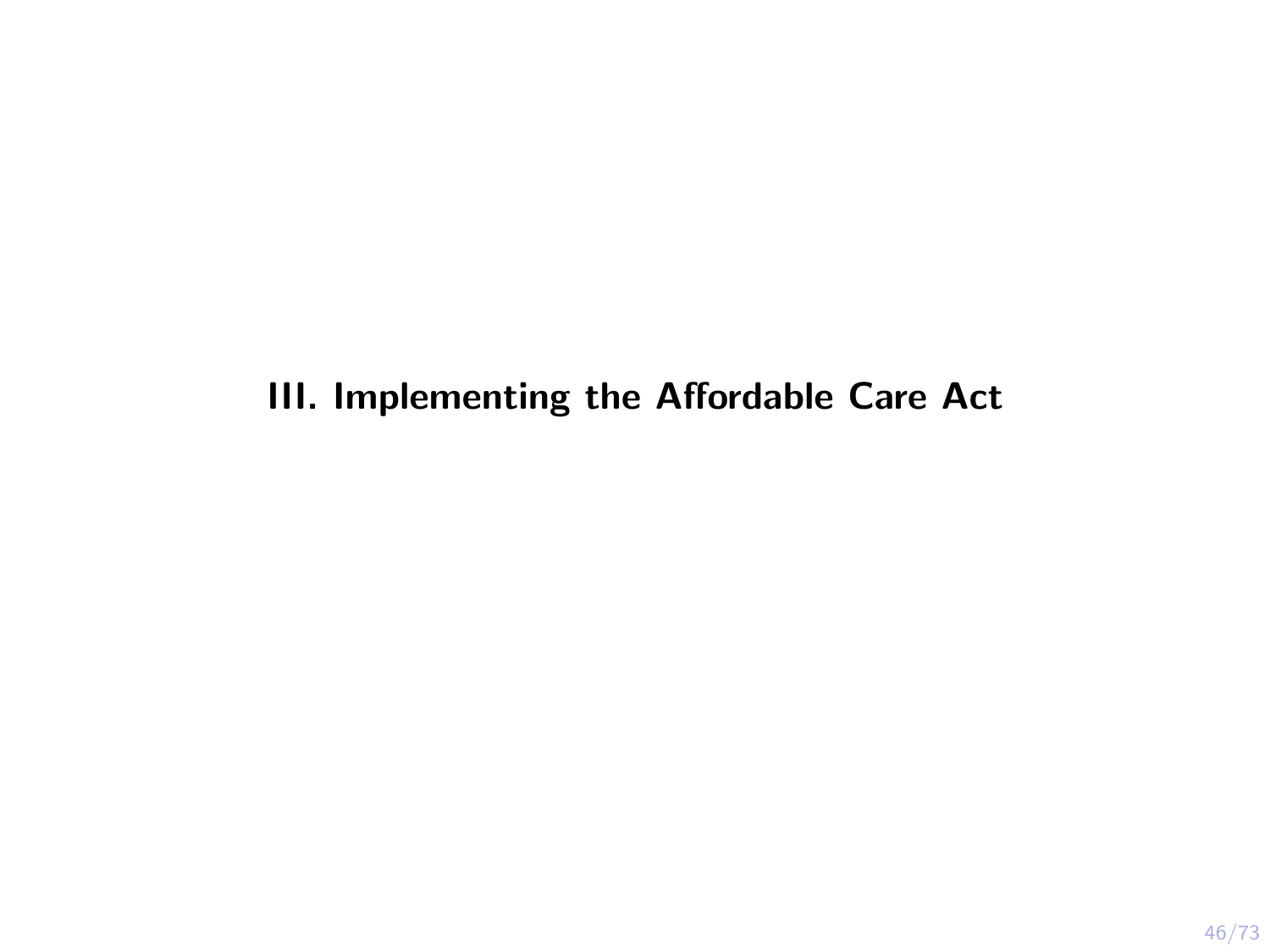#### <span id="page-51-0"></span>III. Implementing the Affordable Care Act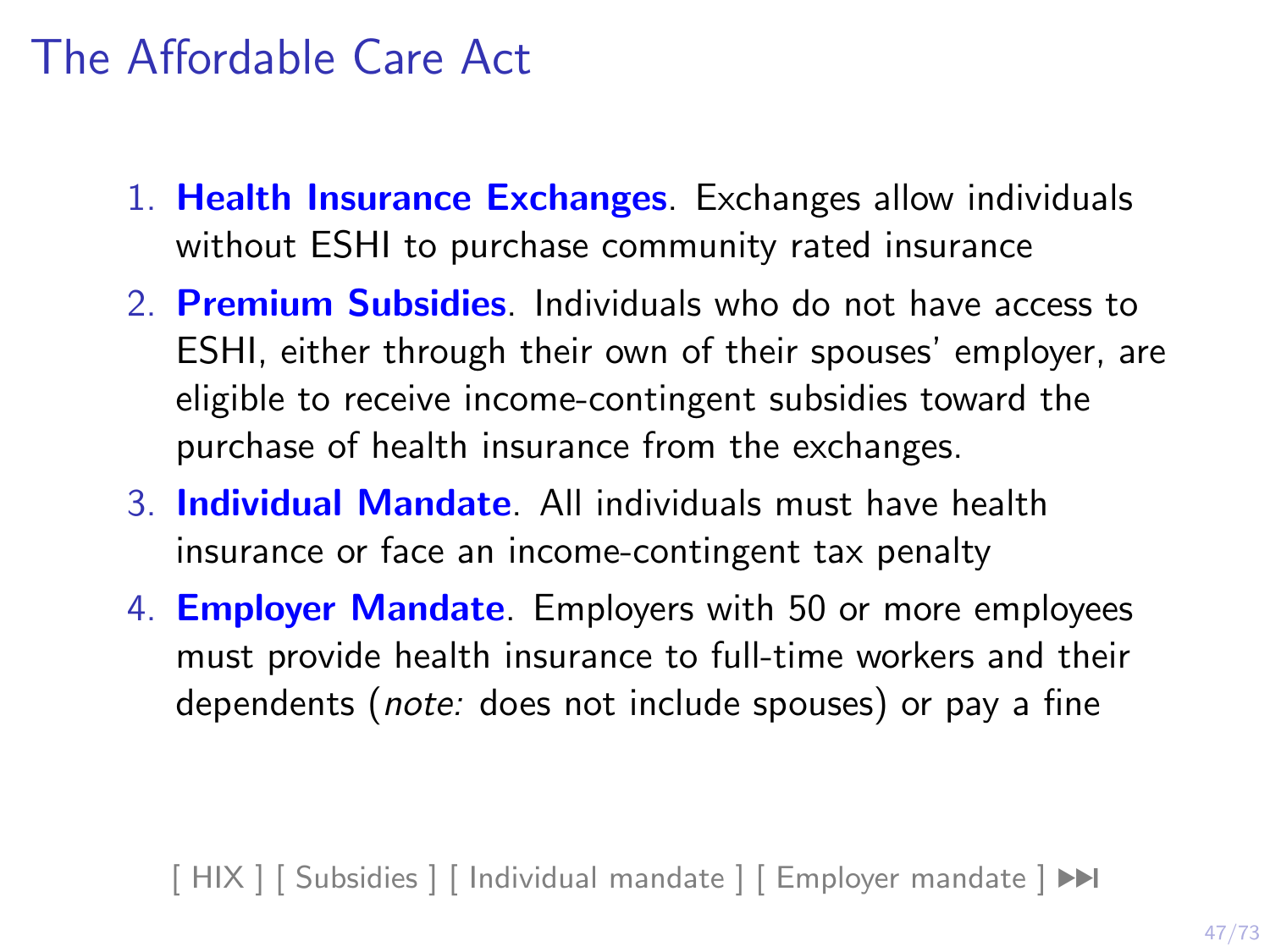## The Affordable Care Act

- 1. Health Insurance Exchanges. Exchanges allow individuals without ESHI to purchase community rated insurance
- 2. **Premium Subsidies**. Individuals who do not have access to ESHI, either through their own of their spouses' employer, are eligible to receive income-contingent subsidies toward the purchase of health insurance from the exchanges.
- 3. Individual Mandate. All individuals must have health insurance or face an income-contingent tax penalty
- 4. **Employer Mandate**. Employers with 50 or more employees must provide health insurance to full-time workers and their dependents (note: does not include spouses) or pay a fine

 $[ HIX ] [ Subsidies ] [ Individual mandate ] [ Employer mandate ]$  $[ HIX ] [ Subsidies ] [ Individual mandate ] [ Employer mandate ]$  $[ HIX ] [ Subsidies ] [ Individual mandate ] [ Employer mandate ]$  $[ HIX ] [ Subsidies ] [ Individual mandate ] [ Employer mandate ]$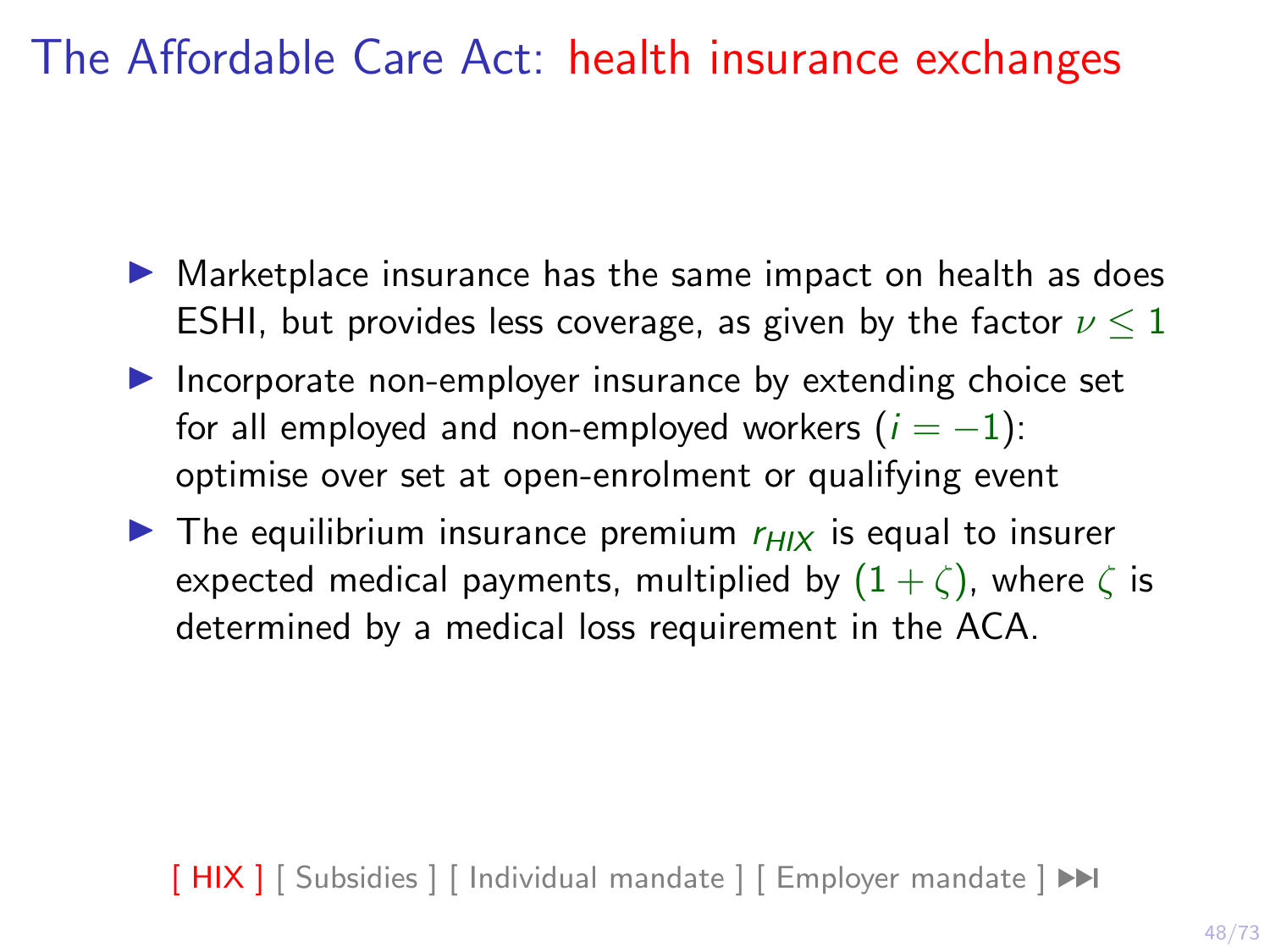# <span id="page-53-0"></span>The Affordable Care Act: health insurance exchanges

- $\triangleright$  Marketplace insurance has the same impact on health as does ESHI, but provides less coverage, as given by the factor  $\nu \leq 1$
- $\blacktriangleright$  Incorporate non-employer insurance by extending choice set for all employed and non-employed workers  $(i = -1)$ : optimise over set at open-enrolment or qualifying event
- $\blacktriangleright$  The equilibrium insurance premium  $r_{HIX}$  is equal to insurer expected medical payments, multiplied by  $(1 + \zeta)$ , where  $\zeta$  is determined by a medical loss requirement in the ACA.

 $[ HIX ] [ Subsidies ] [ Individual mandate ] [ Employer mandate ]  $\rightarrow$  $[ HIX ] [ Subsidies ] [ Individual mandate ] [ Employer mandate ]  $\rightarrow$  $[ HIX ] [ Subsidies ] [ Individual mandate ] [ Employer mandate ]  $\rightarrow$  $[ HIX ] [ Subsidies ] [ Individual mandate ] [ Employer mandate ]  $\rightarrow$  $[ HIX ] [ Subsidies ] [ Individual mandate ] [ Employer mandate ]  $\rightarrow$  $[ HIX ] [ Subsidies ] [ Individual mandate ] [ Employer mandate ]  $\rightarrow$$$$$$$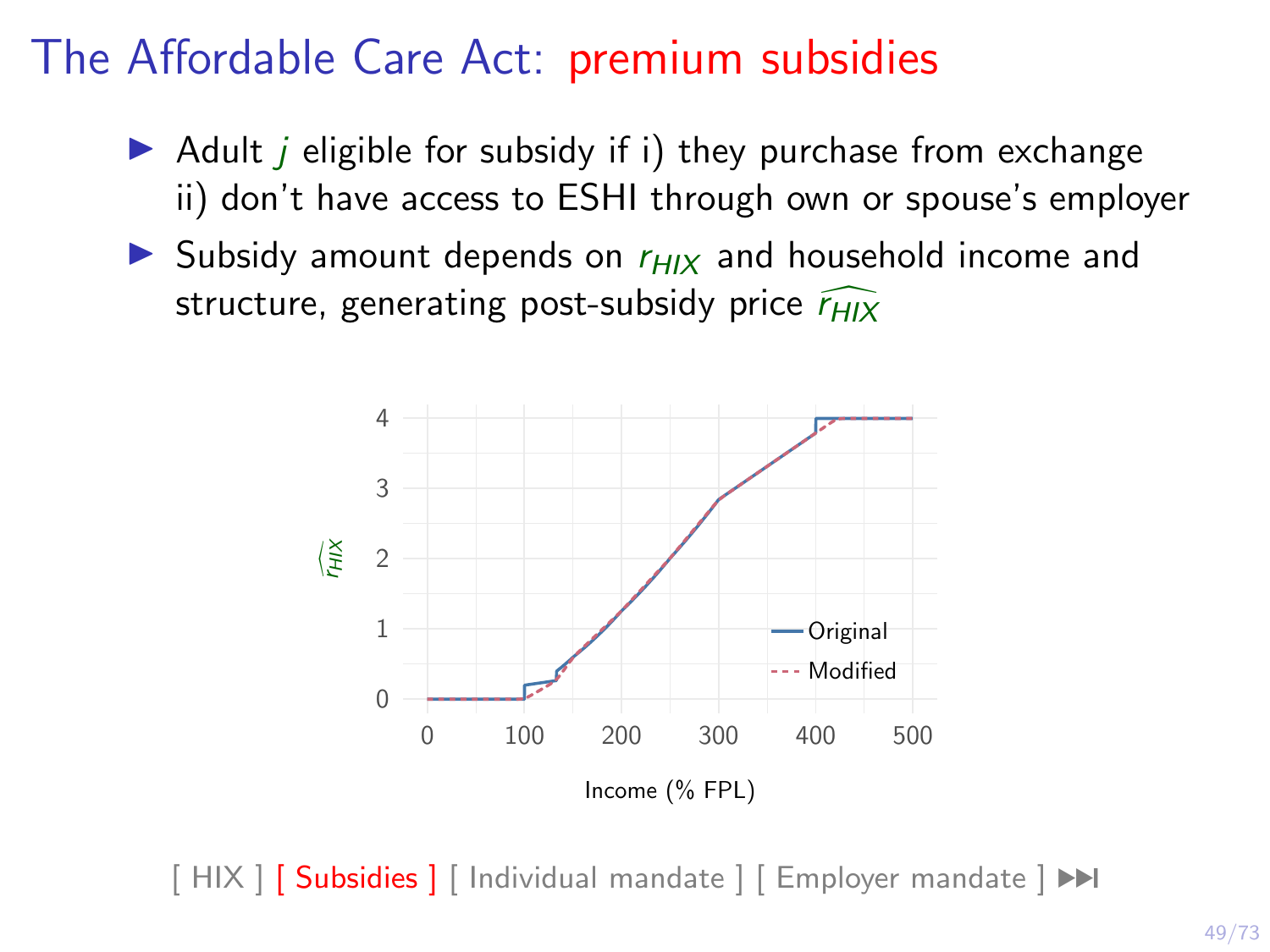# The Affordable Care Act: premium subsidies

- <span id="page-54-0"></span> $\triangleright$  Adult *i* eligible for subsidy if i) they purchase from exchange ii) don't have access to ESHI through own or spouse's employer
- $\triangleright$  Subsidy amount depends on  $r_{HIX}$  and household income and structure, generating post-subsidy price  $\widehat{r_{HIX}}$



 $[$  HIX  $]$   $[$  Subsidies  $]$   $[$  Individual mandate  $]$   $[$  Employer mandate  $]$   $\blacktriangleright$   $\blacktriangleright$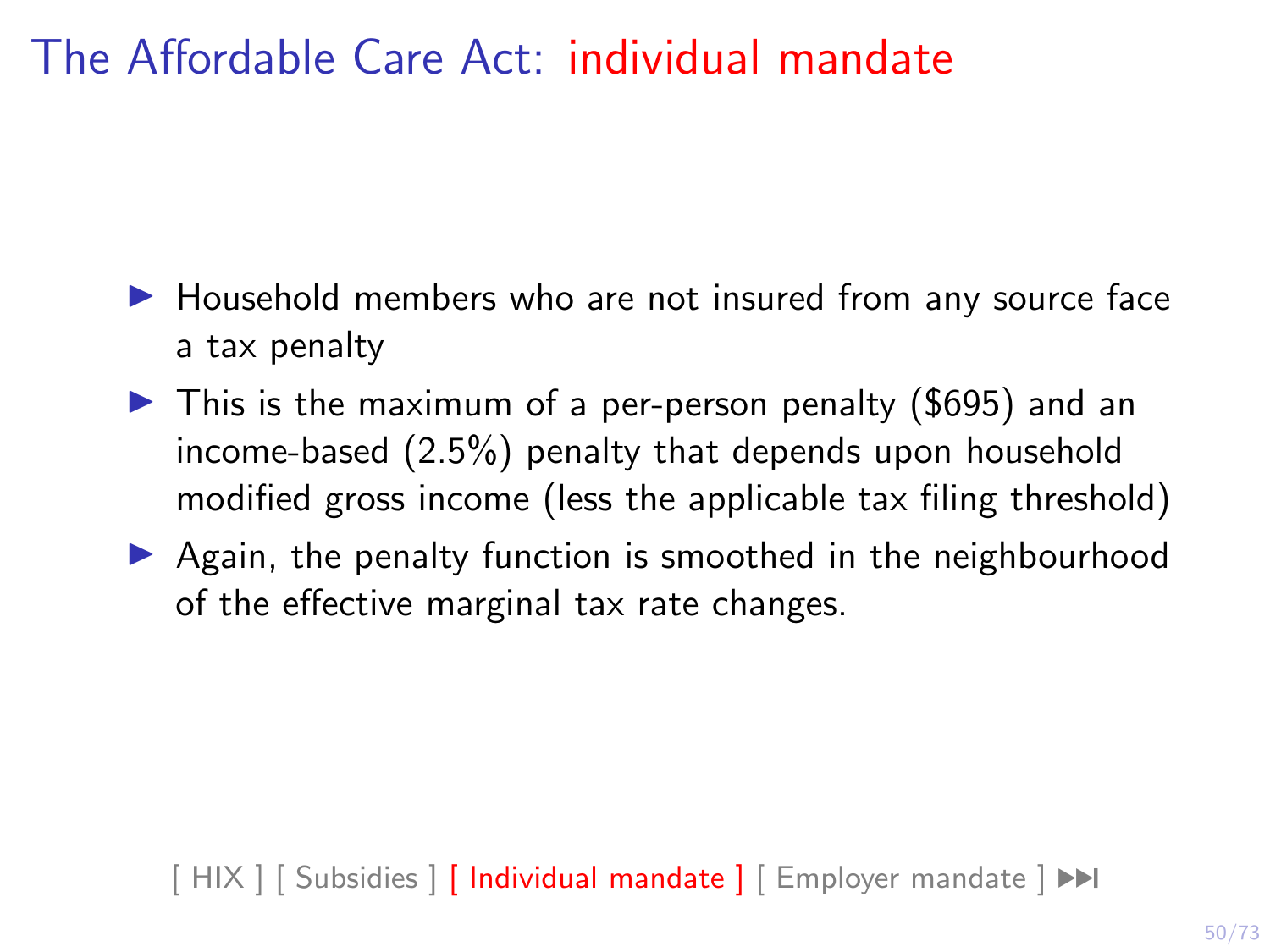# <span id="page-55-0"></span>The Affordable Care Act: individual mandate

- $\blacktriangleright$  Household members who are not insured from any source face a tax penalty
- $\blacktriangleright$  This is the maximum of a per-person penalty (\$695) and an income-based (2.5%) penalty that depends upon household modified gross income (less the applicable tax filing threshold)
- $\triangleright$  Again, the penalty function is smoothed in the neighbourhood of the effective marginal tax rate changes.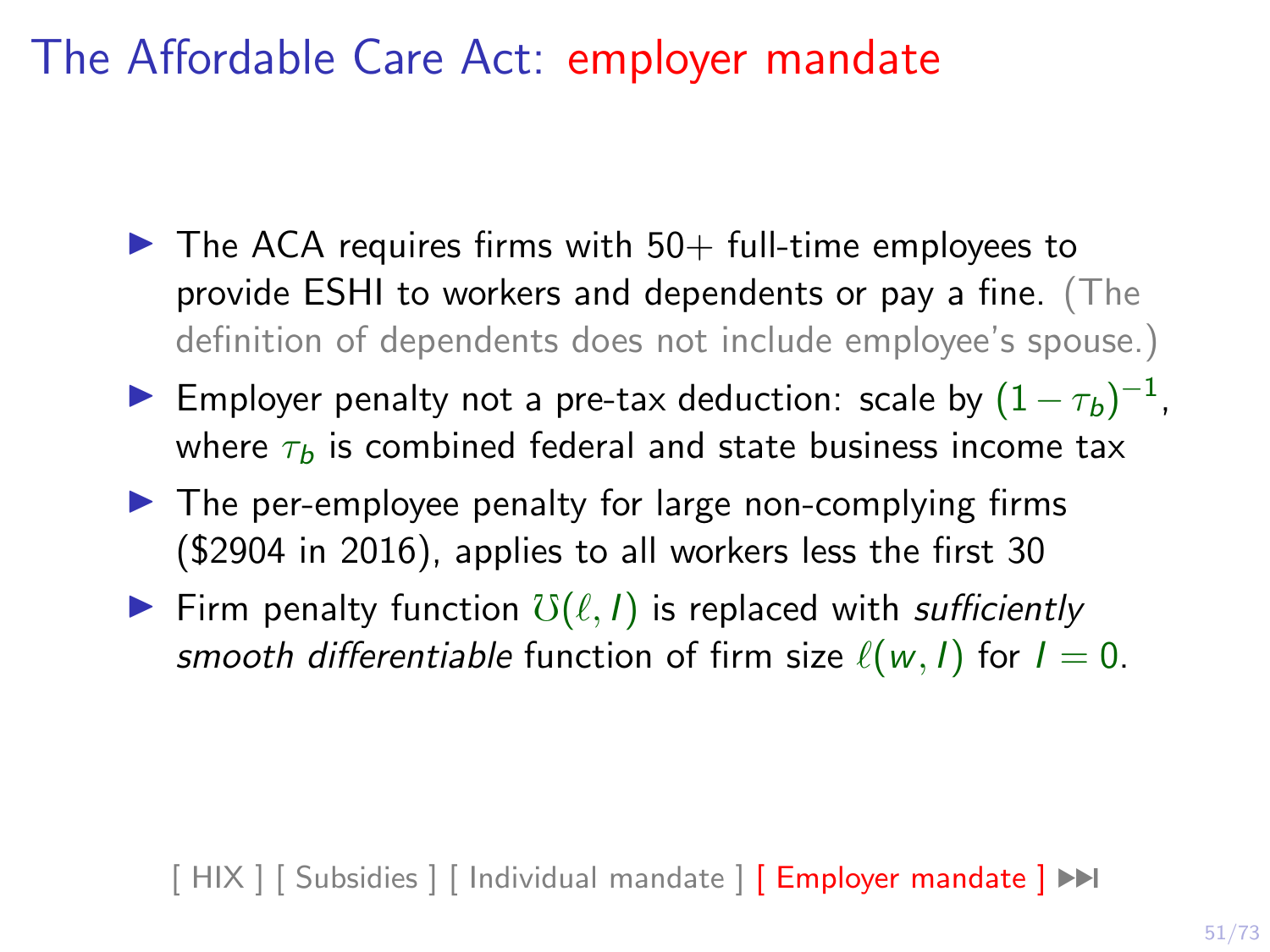<span id="page-56-0"></span>The Affordable Care Act: employer mandate

- $\blacktriangleright$  The ACA requires firms with 50+ full-time employees to provide ESHI to workers and dependents or pay a fine. (The definition of dependents does not include employee's spouse.)
- ► Employer penalty not a pre-tax deduction: scale by  $(1 \tau_b)^{-1}$ , where  $\tau_b$  is combined federal and state business income tax
- $\blacktriangleright$  The per-employee penalty for large non-complying firms (\$2904 in 2016), applies to all workers less the first 30
- Firm penalty function  $\mathcal{O}(\ell, I)$  is replaced with sufficiently smooth differentiable function of firm size  $\ell(w, I)$  for  $I = 0$ .

 $[$  HIX  $]$   $[$  Subsidies  $]$   $[$  Individual mandate  $]$   $[$  Employer mandate  $]$   $\blacktriangleright$   $\blacktriangleright$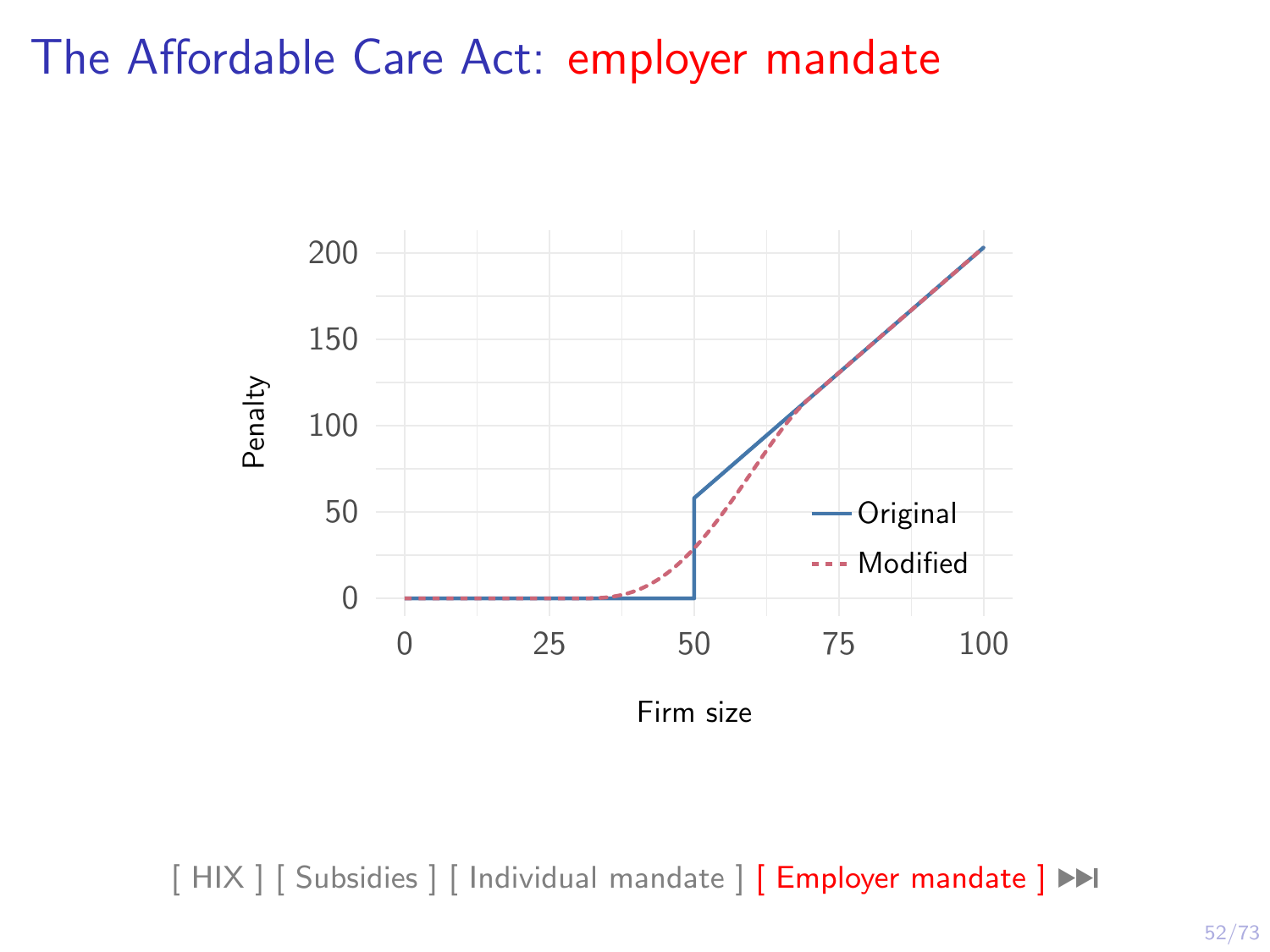#### The Affordable Care Act: employer mandate



[\[ HIX \]](#page-53-0) [\[ Subsidies \]](#page-54-0) [\[ Individual mandate \]](#page-55-0) [\[ Employer mandate \]](#page-56-0) ▶▶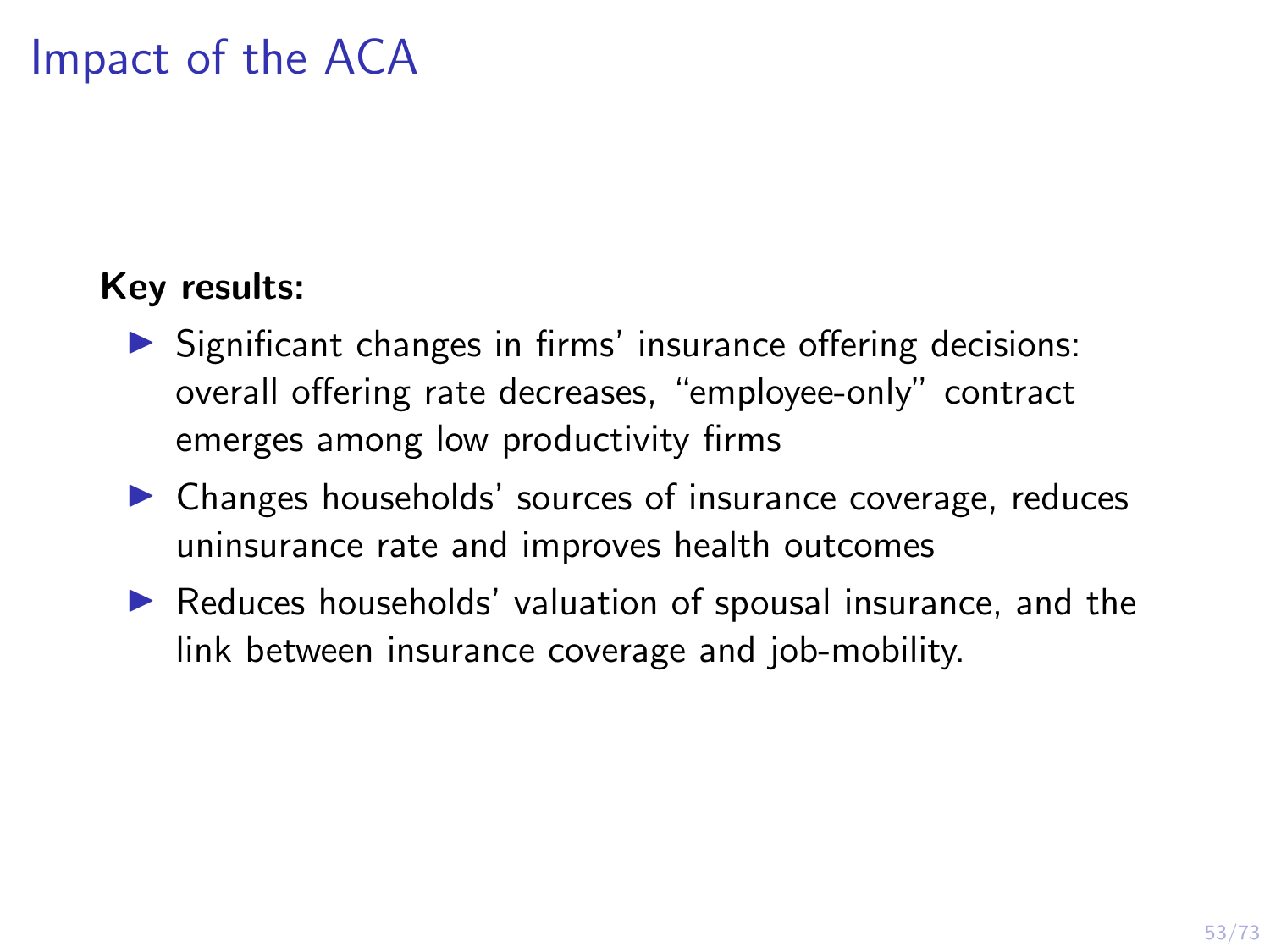# Impact of the ACA

#### <span id="page-58-0"></span>Key results:

- $\triangleright$  Significant changes in firms' insurance offering decisions: overall offering rate decreases, "employee-only" contract emerges among low productivity firms
- $\triangleright$  Changes households' sources of insurance coverage, reduces uninsurance rate and improves health outcomes
- $\triangleright$  Reduces households' valuation of spousal insurance, and the link between insurance coverage and job-mobility.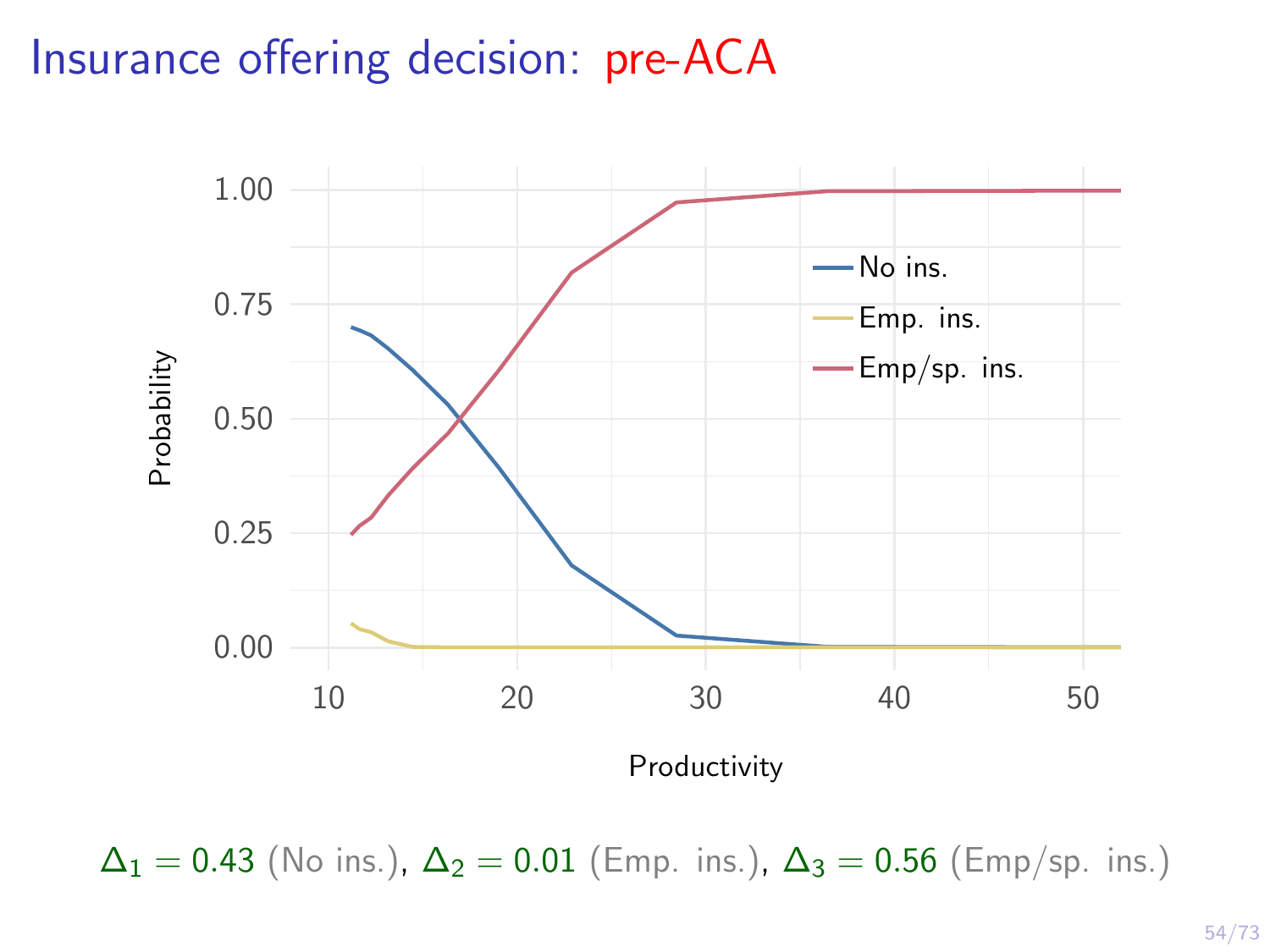# Insurance offering decision: pre-ACA



 $\Delta_1 = 0.43$  (No ins.),  $\Delta_2 = 0.01$  (Emp. ins.),  $\Delta_3 = 0.56$  (Emp/sp. ins.)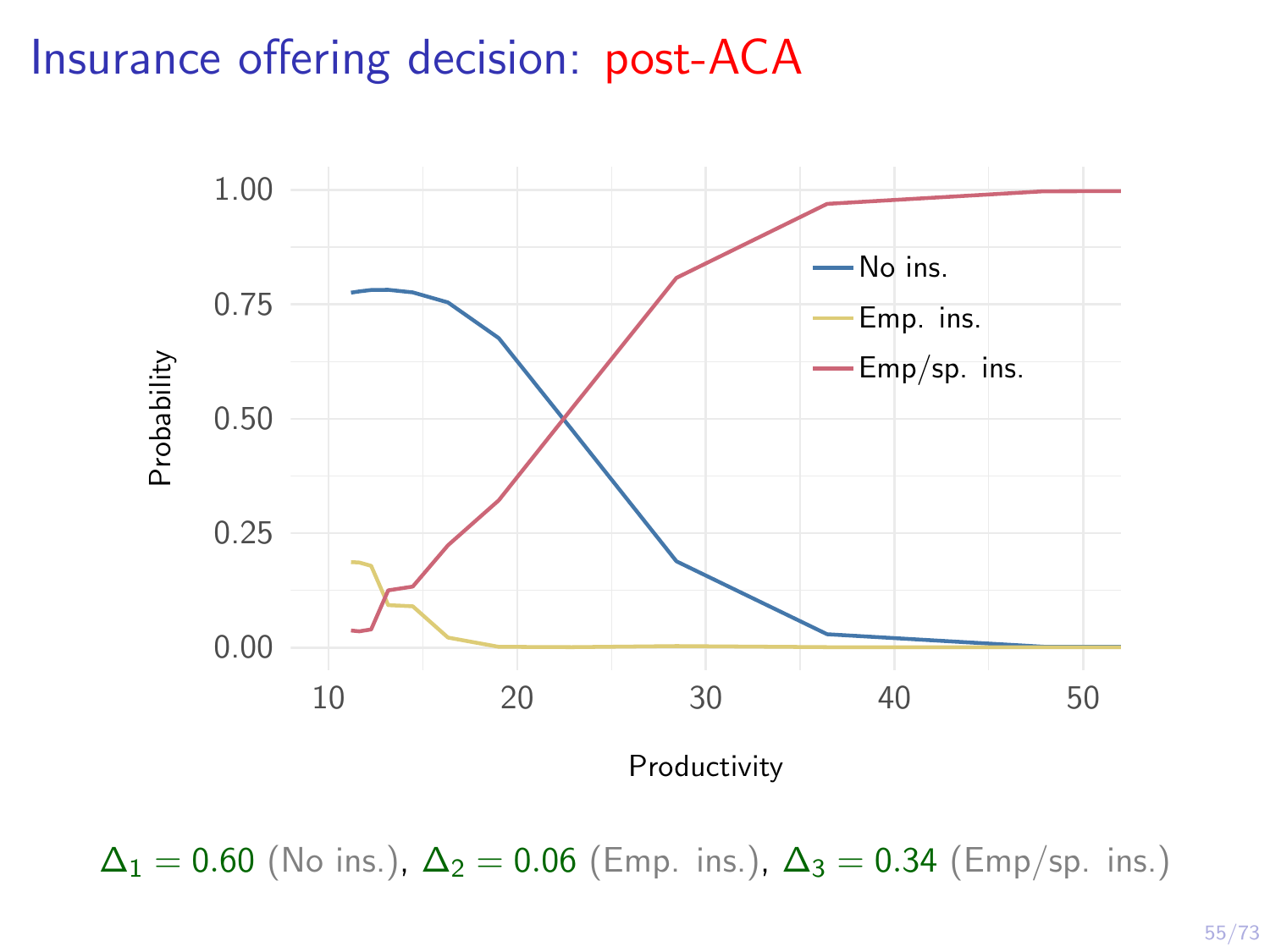## Insurance offering decision: post-ACA



 $\Delta_1 = 0.60$  (No ins.),  $\Delta_2 = 0.06$  (Emp. ins.),  $\Delta_3 = 0.34$  (Emp/sp. ins.)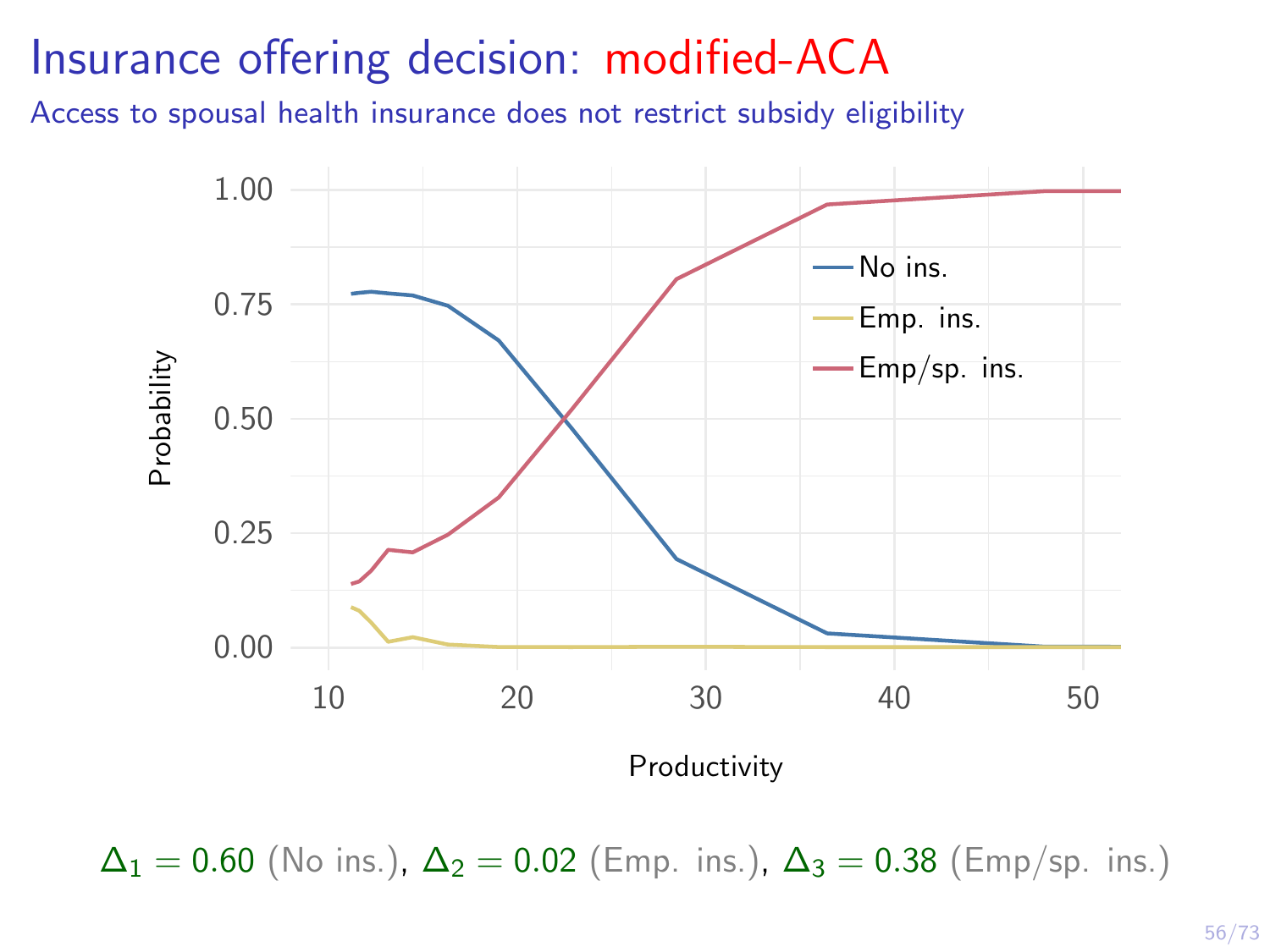# Insurance offering decision: modified-ACA

Access to spousal health insurance does not restrict subsidy eligibility



 $\Delta_1 = 0.60$  (No ins.),  $\Delta_2 = 0.02$  (Emp. ins.),  $\Delta_3 = 0.38$  (Emp/sp. ins.)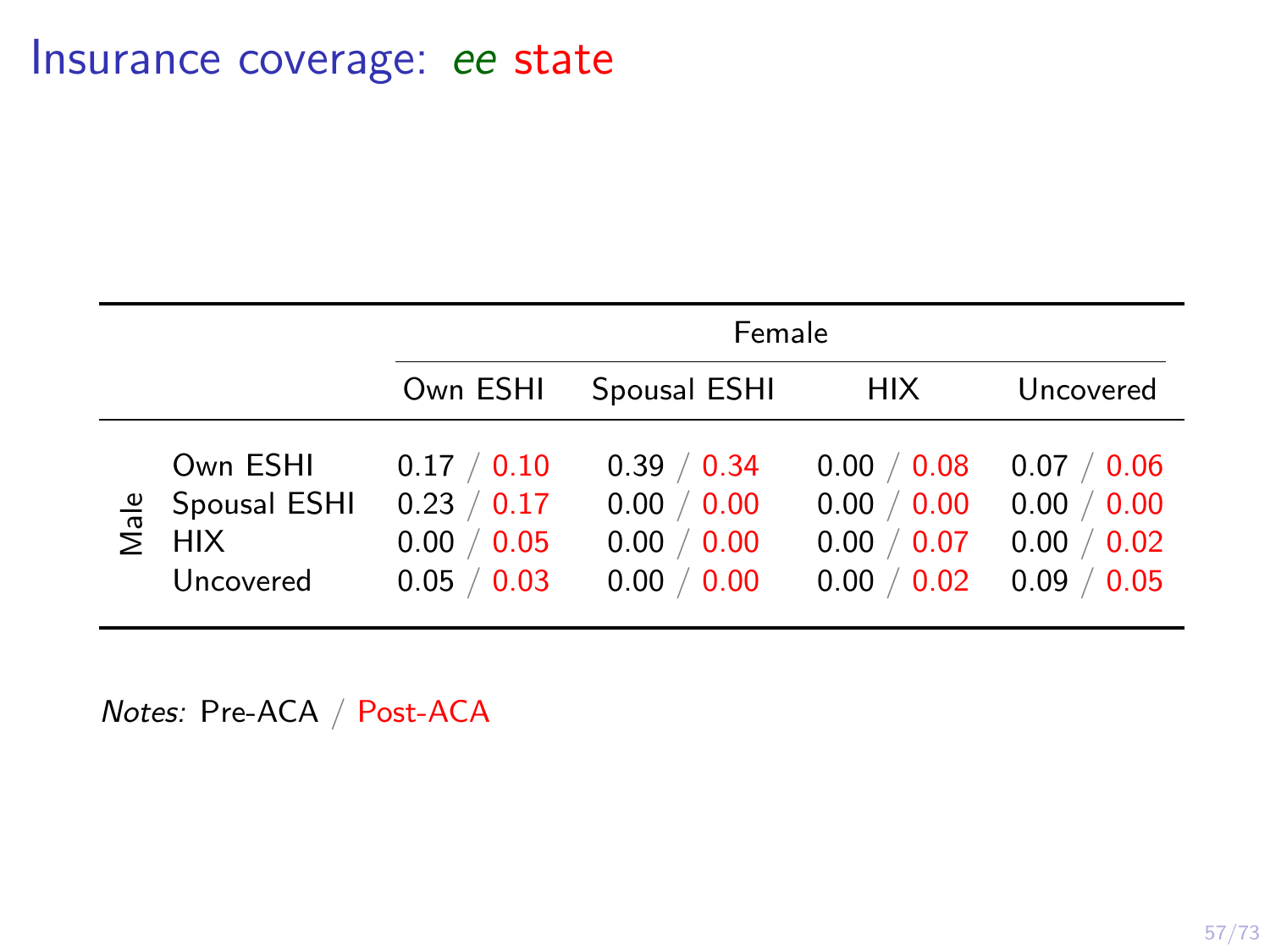|                                                                           |                                                                         | Female                                                   |                                                                          |                                                           |  |  |  |
|---------------------------------------------------------------------------|-------------------------------------------------------------------------|----------------------------------------------------------|--------------------------------------------------------------------------|-----------------------------------------------------------|--|--|--|
|                                                                           | Own ESHI                                                                | Spousal ESHI                                             | <b>HIX</b>                                                               | Uncovered                                                 |  |  |  |
| Own ESHI<br>$\frac{9}{8}$ Spousal ESHI<br>$\sum$ HIX<br>HIX.<br>Uncovered | 0.17 / 0.10<br>0.23 / 0.17<br>$/$ 0.05<br>0.00<br>$\sqrt{0.03}$<br>0.05 | 0.39 / 0.34<br>0.00 / 0.00<br>0.00 / 0.00<br>0.00 / 0.00 | $/$ 0.08<br>0.00<br>$/$ 0.00<br>0.00<br>$/$ 0.07<br>0.00<br>0.02<br>0.00 | 0.07 / 0.06<br>0.00 / 0.00<br>0.00 / 0.02<br>0.09<br>0.05 |  |  |  |

Notes: Pre-ACA / Post-ACA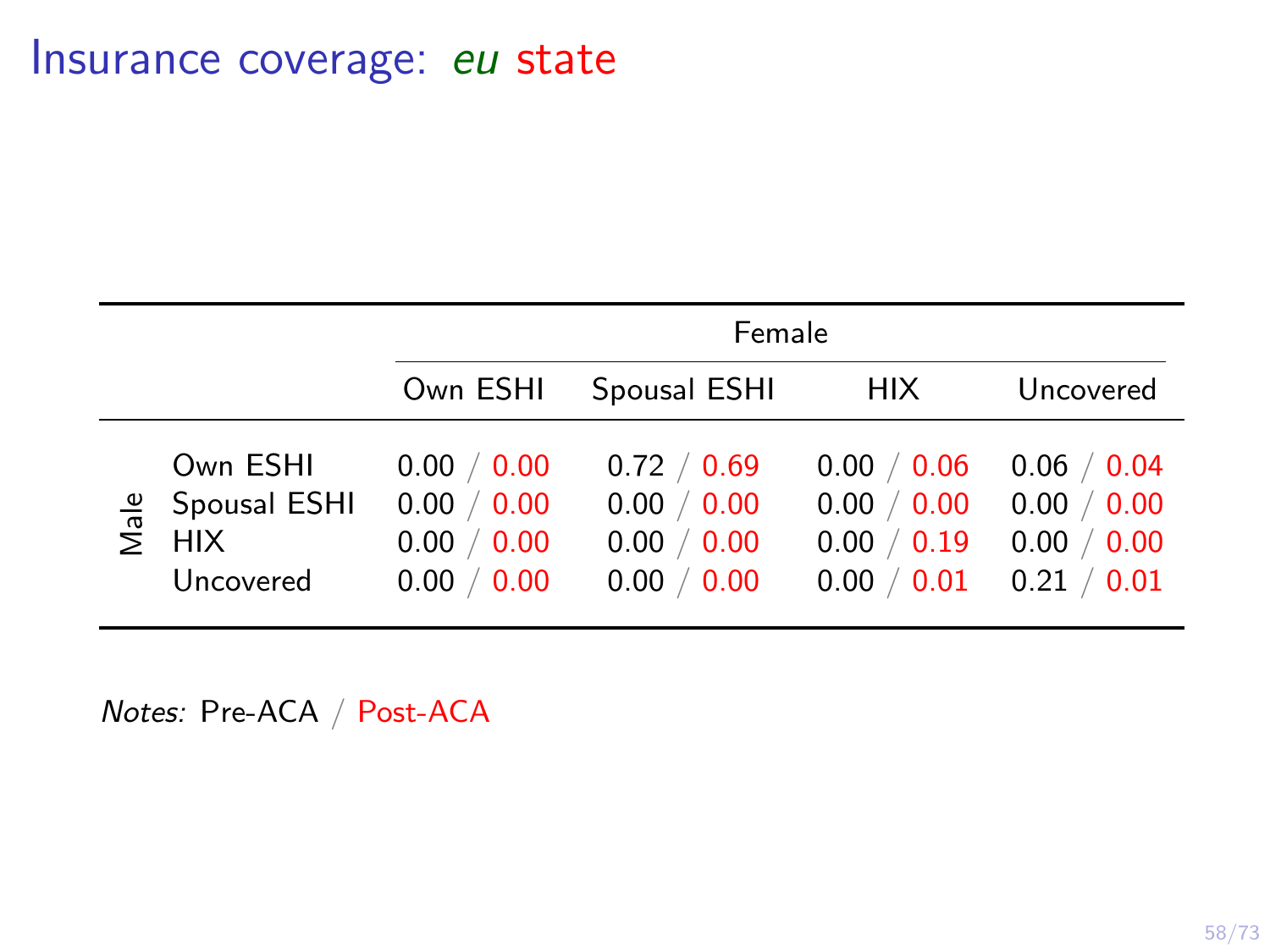|                                                                            |                                                                               | Female                                                   |                                                                                   |                                                           |  |  |  |
|----------------------------------------------------------------------------|-------------------------------------------------------------------------------|----------------------------------------------------------|-----------------------------------------------------------------------------------|-----------------------------------------------------------|--|--|--|
|                                                                            | Own ESHI                                                                      | Spousal ESHI                                             | <b>HIX</b>                                                                        | Uncovered                                                 |  |  |  |
| Own ESHI<br>$\frac{9}{8}$ Spousal ESHI<br>$\sum$ HIX<br>HIX .<br>Uncovered | $/$ 0.00<br>0.00<br>$/$ 0.00<br>0.00<br>$\sqrt{0.00}$<br>0.00<br>0.00<br>0.00 | 0.72 / 0.69<br>0.00 / 0.00<br>0.00 / 0.00<br>0.00 / 0.00 | $/$ 0.06<br>0.00<br>$/$ 0.00<br>0.00<br>$/$ 0.19<br>0.00<br>$\sqrt{0.01}$<br>0.00 | 0.06 / 0.04<br>0.00 / 0.00<br>0.00 / 0.00<br>0.21<br>0.01 |  |  |  |

Notes: Pre-ACA / Post-ACA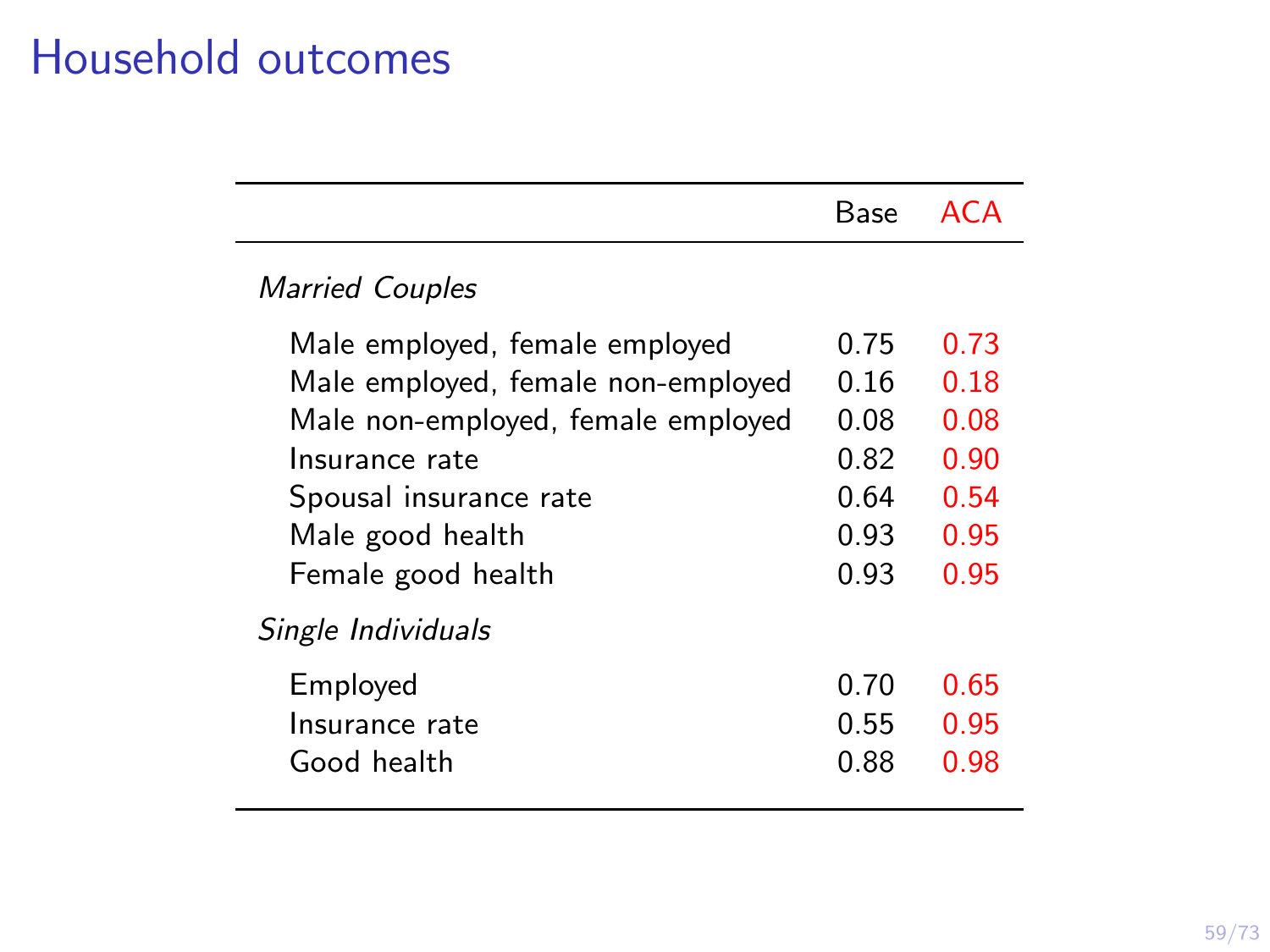# Household outcomes

|                                                                                                                                                                                                  | Base                                                 | ACA                                                  |
|--------------------------------------------------------------------------------------------------------------------------------------------------------------------------------------------------|------------------------------------------------------|------------------------------------------------------|
| <b>Married Couples</b>                                                                                                                                                                           |                                                      |                                                      |
| Male employed, female employed<br>Male employed, female non-employed<br>Male non-employed, female employed<br>Insurance rate<br>Spousal insurance rate<br>Male good health<br>Female good health | 0.75<br>0.16<br>0.08<br>0.82<br>0.64<br>0.93<br>0.93 | 0.73<br>0.18<br>0.08<br>0.90<br>0.54<br>0.95<br>0.95 |
| Single Individuals<br>Employed<br>Insurance rate<br>Good health                                                                                                                                  | 0.70<br>0.55<br>0.88                                 | 0.65<br>0.95<br>0.98                                 |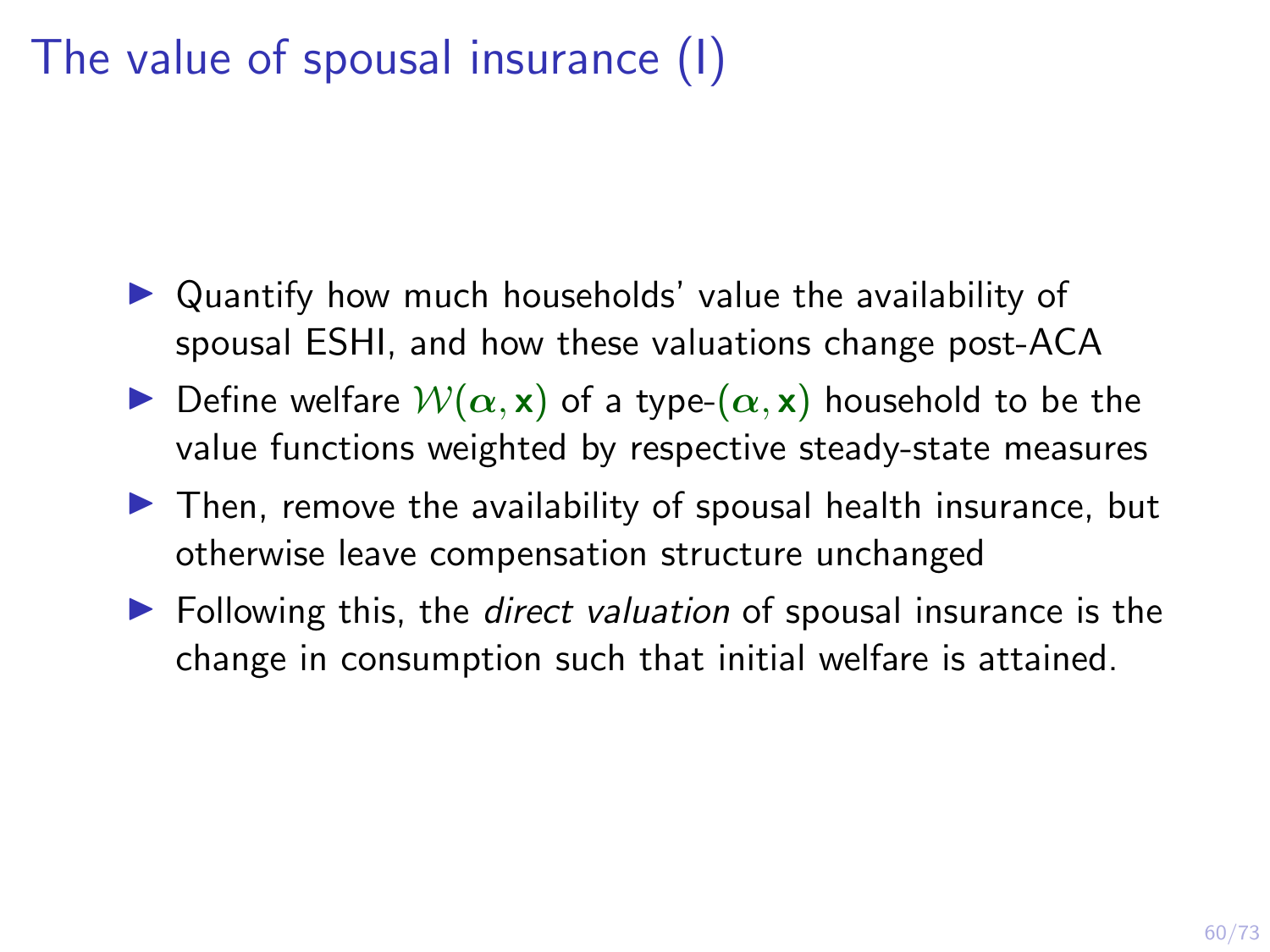# The value of spousal insurance (I)

- $\triangleright$  Quantify how much households' value the availability of spousal ESHI, and how these valuations change post-ACA
- **IDefine welfare**  $W(\alpha, x)$  **of a type-** $(\alpha, x)$  **household to be the** value functions weighted by respective steady-state measures
- $\triangleright$  Then, remove the availability of spousal health insurance, but otherwise leave compensation structure unchanged
- $\blacktriangleright$  Following this, the *direct valuation* of spousal insurance is the change in consumption such that initial welfare is attained.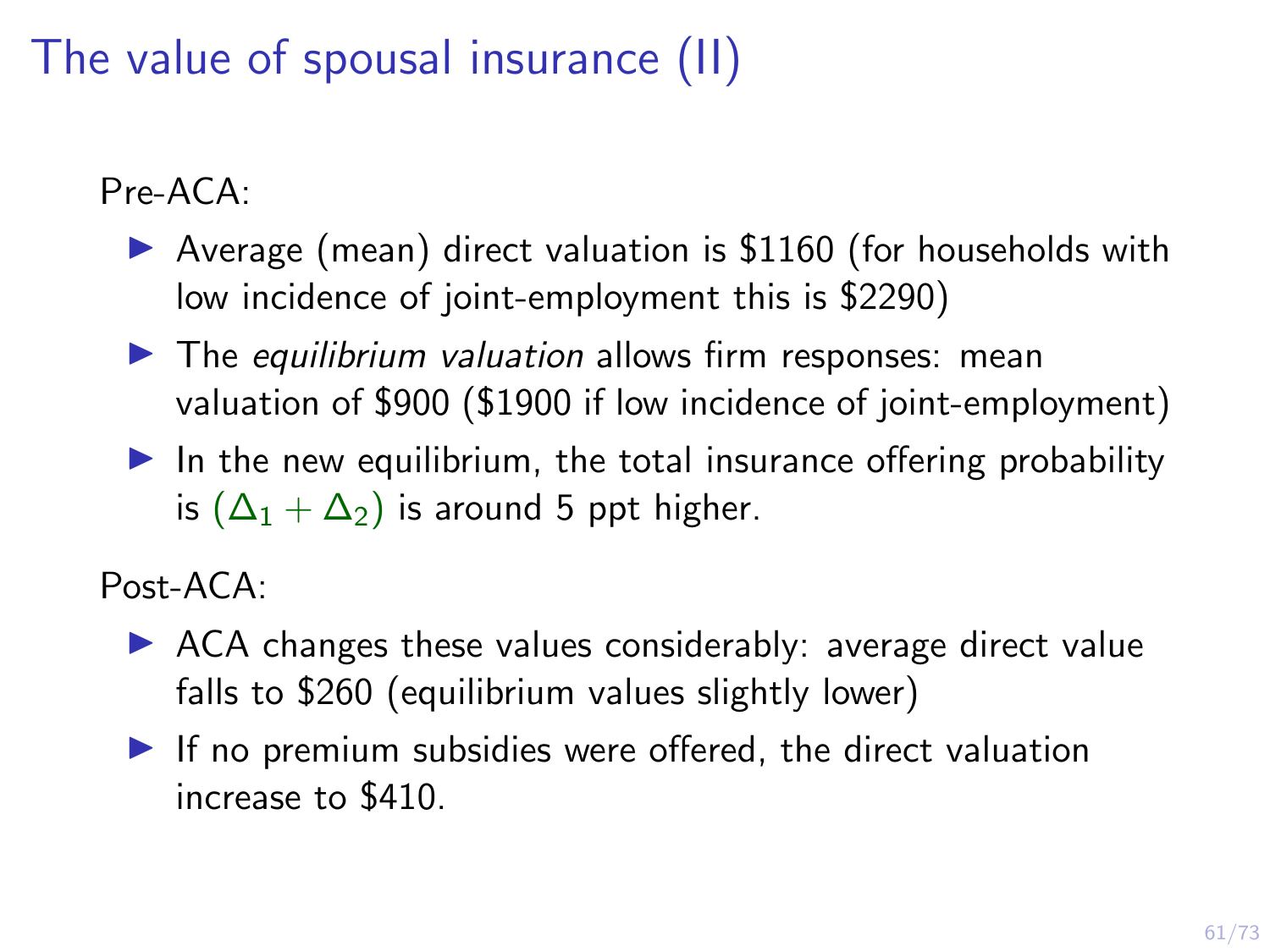The value of spousal insurance (II)

Pre-ACA:

- $\triangleright$  Average (mean) direct valuation is \$1160 (for households with low incidence of joint-employment this is \$2290)
- $\blacktriangleright$  The equilibrium valuation allows firm responses: mean valuation of \$900 (\$1900 if low incidence of joint-employment)
- $\blacktriangleright$  In the new equilibrium, the total insurance offering probability is  $(\Delta_1 + \Delta_2)$  is around 5 ppt higher.

Post-ACA:

- $\triangleright$  ACA changes these values considerably: average direct value falls to \$260 (equilibrium values slightly lower)
- $\blacktriangleright$  If no premium subsidies were offered, the direct valuation increase to \$410.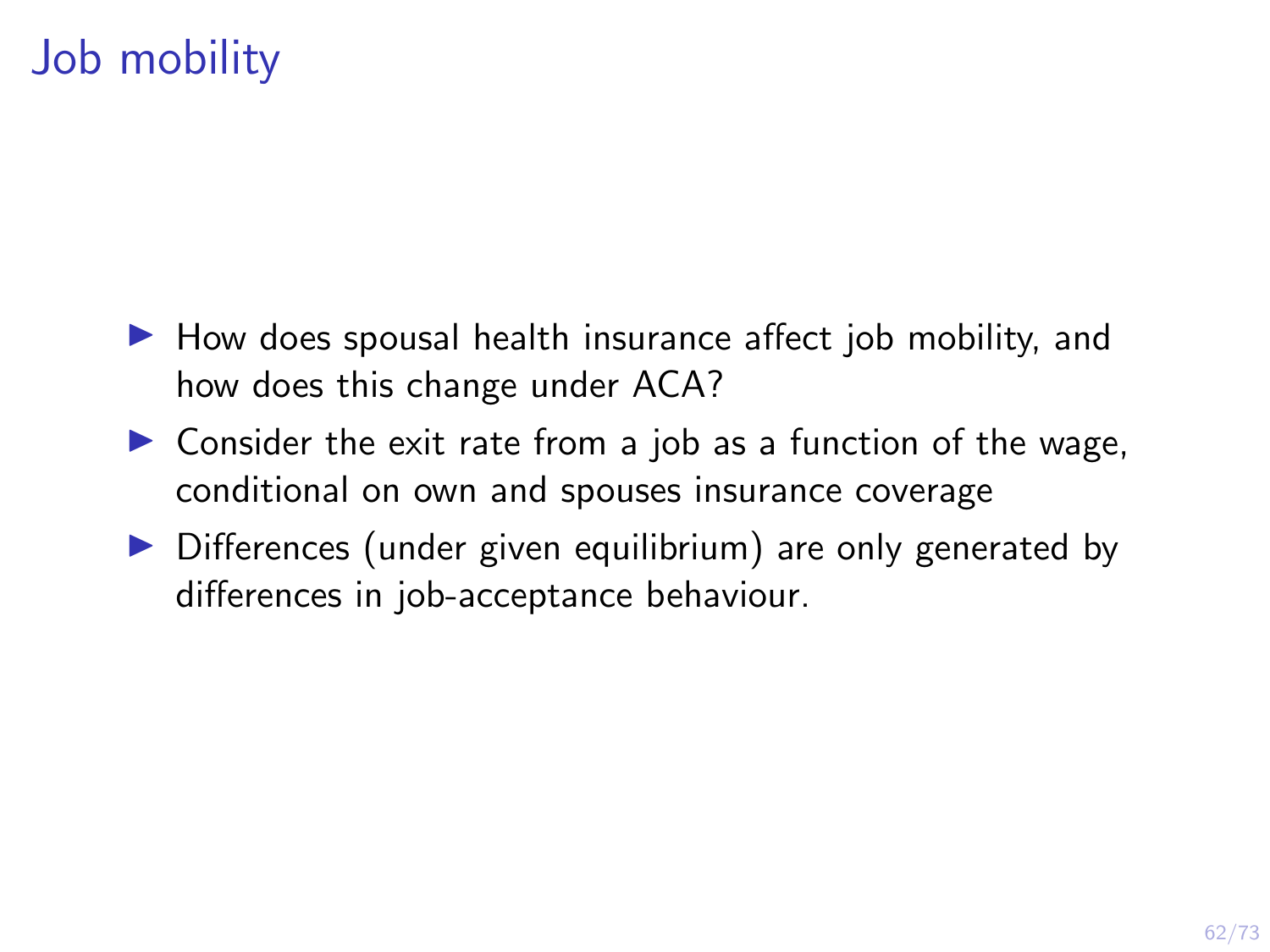# Job mobility

- $\blacktriangleright$  How does spousal health insurance affect job mobility, and how does this change under ACA?
- $\triangleright$  Consider the exit rate from a job as a function of the wage, conditional on own and spouses insurance coverage
- $\triangleright$  Differences (under given equilibrium) are only generated by differences in job-acceptance behaviour.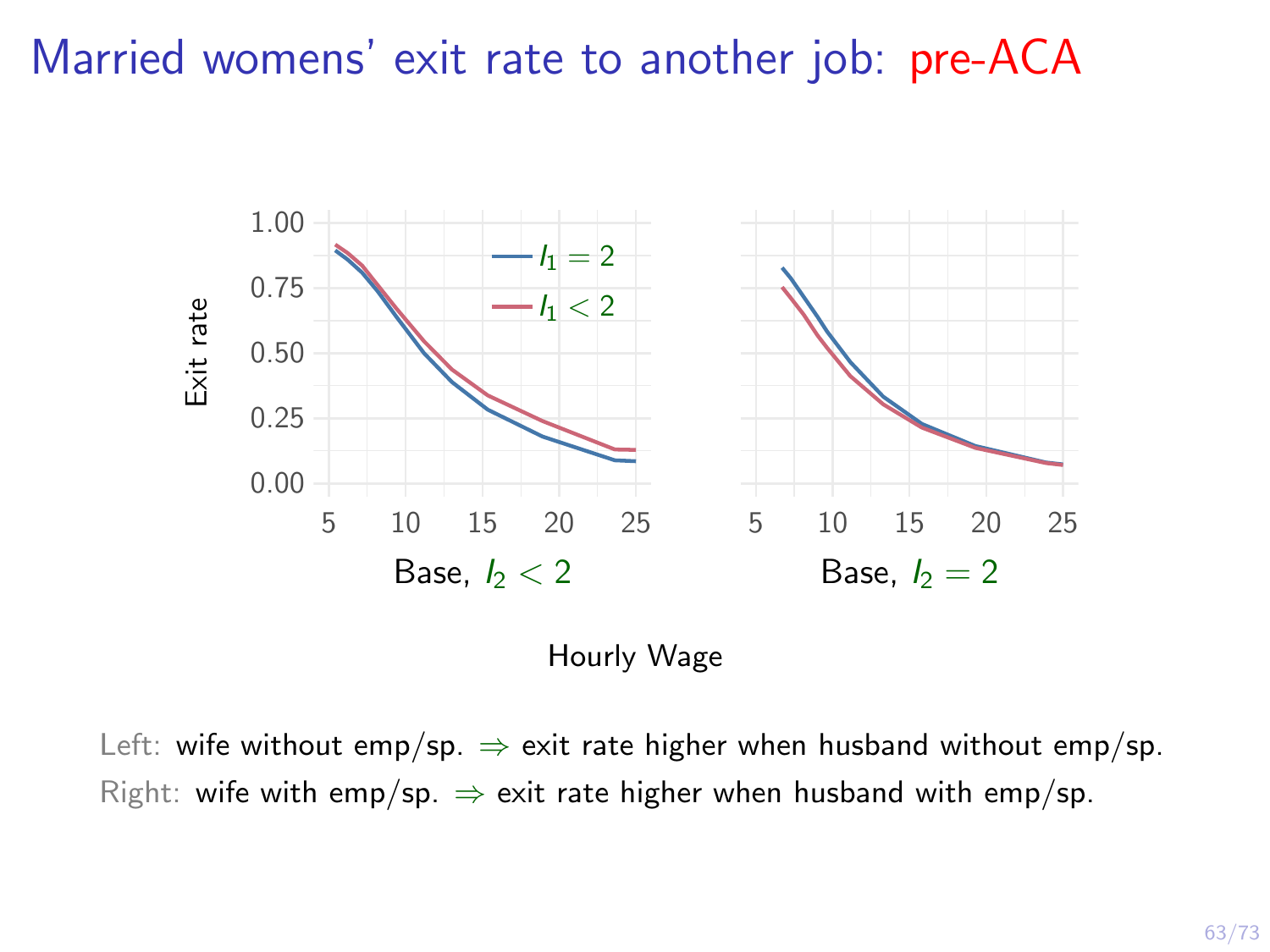#### Married womens' exit rate to another job: pre-ACA



Hourly Wage

Left: wife without emp/sp.  $\Rightarrow$  exit rate higher when husband without emp/sp. Right: wife with emp/sp.  $\Rightarrow$  exit rate higher when husband with emp/sp.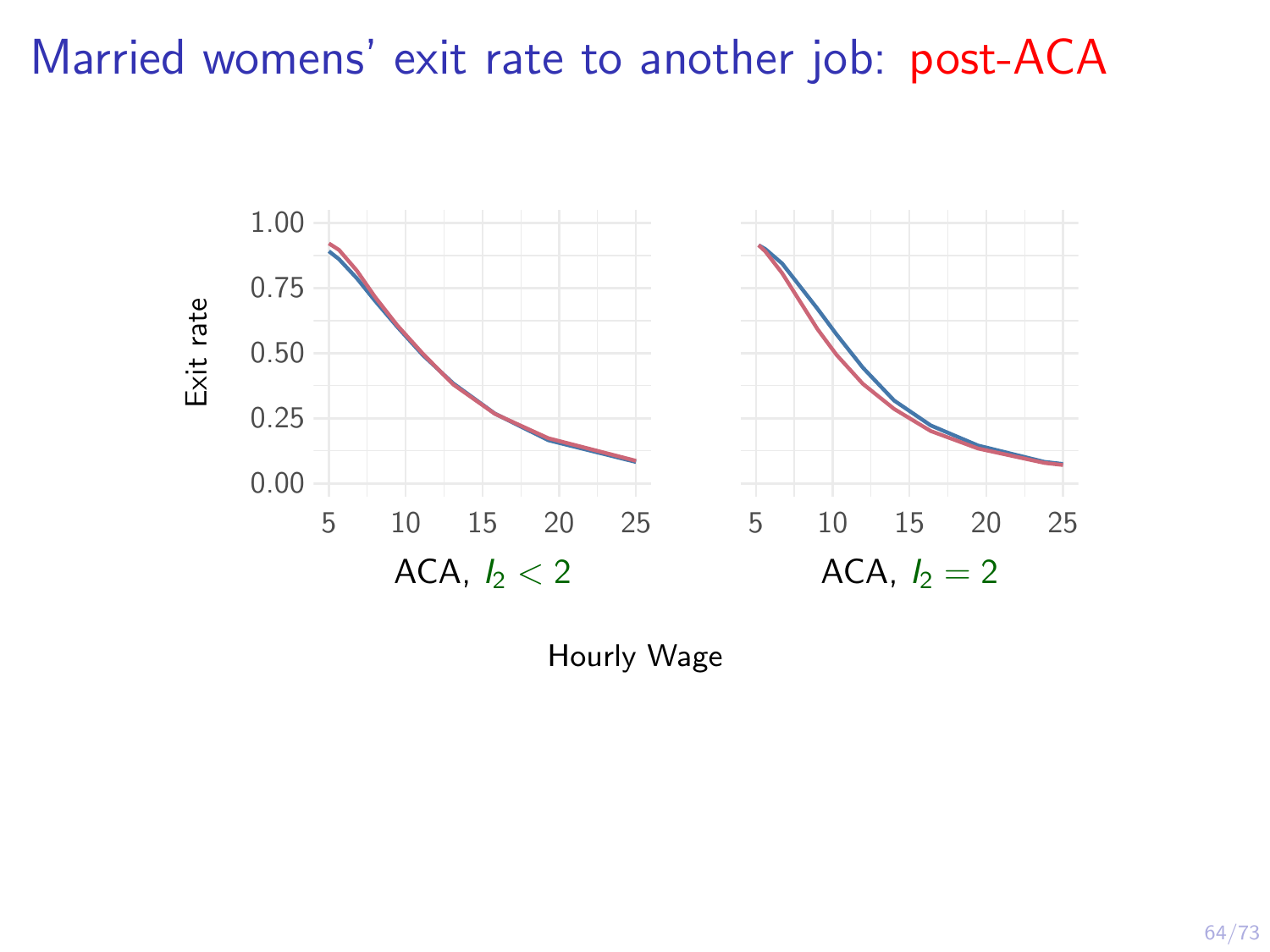#### Married womens' exit rate to another job: post-ACA



Hourly Wage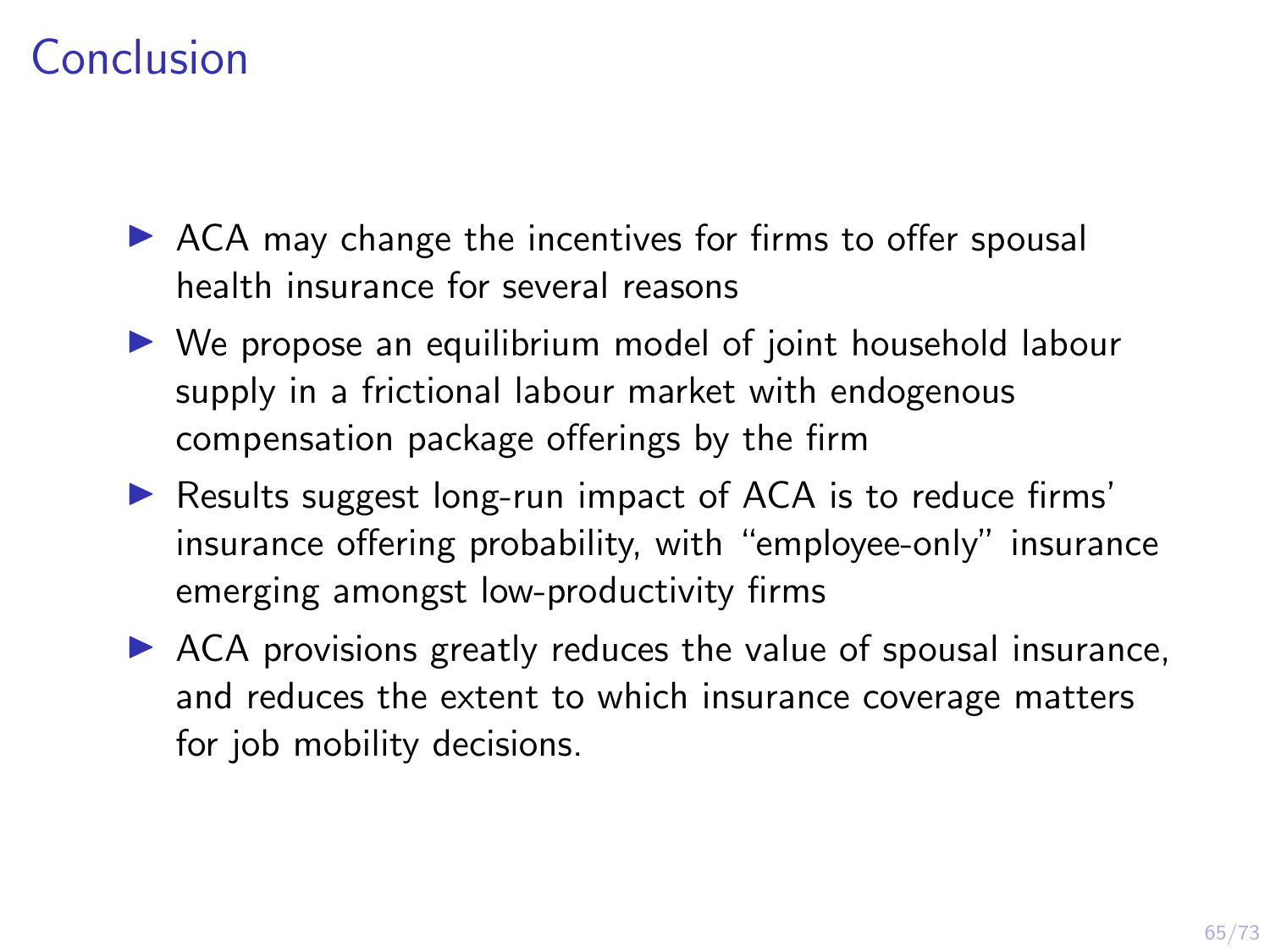# Conclusion

- $\triangleright$  ACA may change the incentives for firms to offer spousal health insurance for several reasons
- $\triangleright$  We propose an equilibrium model of joint household labour supply in a frictional labour market with endogenous compensation package offerings by the firm
- ▶ Results suggest long-run impact of ACA is to reduce firms' insurance offering probability, with "employee-only" insurance emerging amongst low-productivity firms
- $\triangleright$  ACA provisions greatly reduces the value of spousal insurance, and reduces the extent to which insurance coverage matters for job mobility decisions.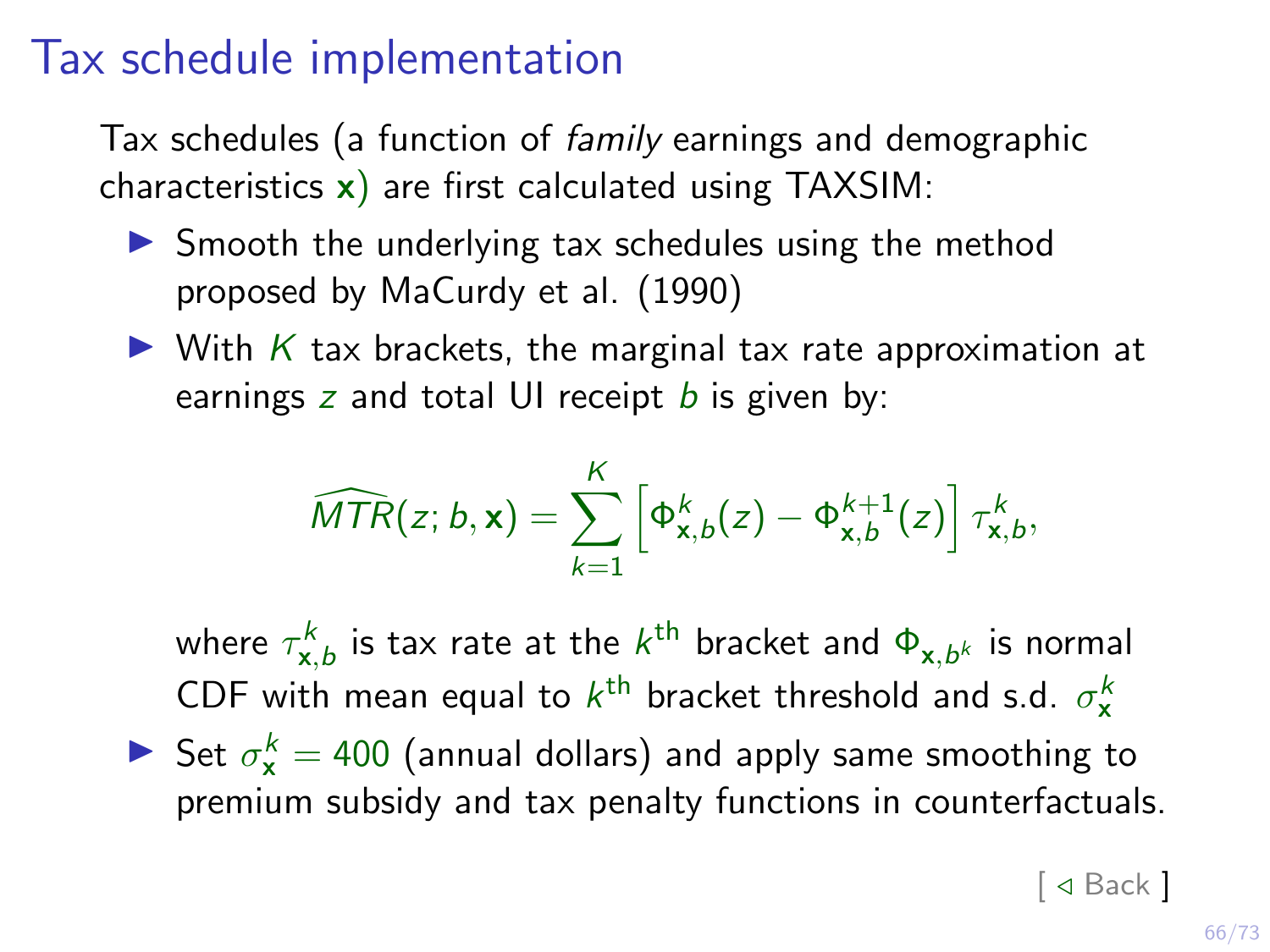#### Tax schedule implementation

Tax schedules (a function of family earnings and demographic characteristics  $x$ ) are first calculated using TAXSIM:

- $\triangleright$  Smooth the underlying tax schedules using the method proposed by MaCurdy et al. (1990)
- $\triangleright$  With K tax brackets, the marginal tax rate approximation at earnings z and total UI receipt  $b$  is given by:

$$
\widehat{MTR}(z;b,\mathbf{x})=\sum_{k=1}^K\left[\Phi_{\mathbf{x},b}^k(z)-\Phi_{\mathbf{x},b}^{k+1}(z)\right]\tau_{\mathbf{x},b}^k,
$$

where  $\tau^k_{\mathbf{x},b}$  is tax rate at the  $k^\text{th}$  bracket and  $\Phi_{\mathbf{x},b^k}$  is normal CDF with mean equal to  $k^{\text{th}}$  bracket threshold and s.d.  $\sigma_{\mathbf{x}}^{k}$ 

Set  $\sigma_{\mathbf{x}}^k = 400$  (annual dollars) and apply same smoothing to premium subsidy and tax penalty functions in counterfactuals.

 $\lceil$   $\triangleleft$  [Back](#page-32-0)  $\rceil$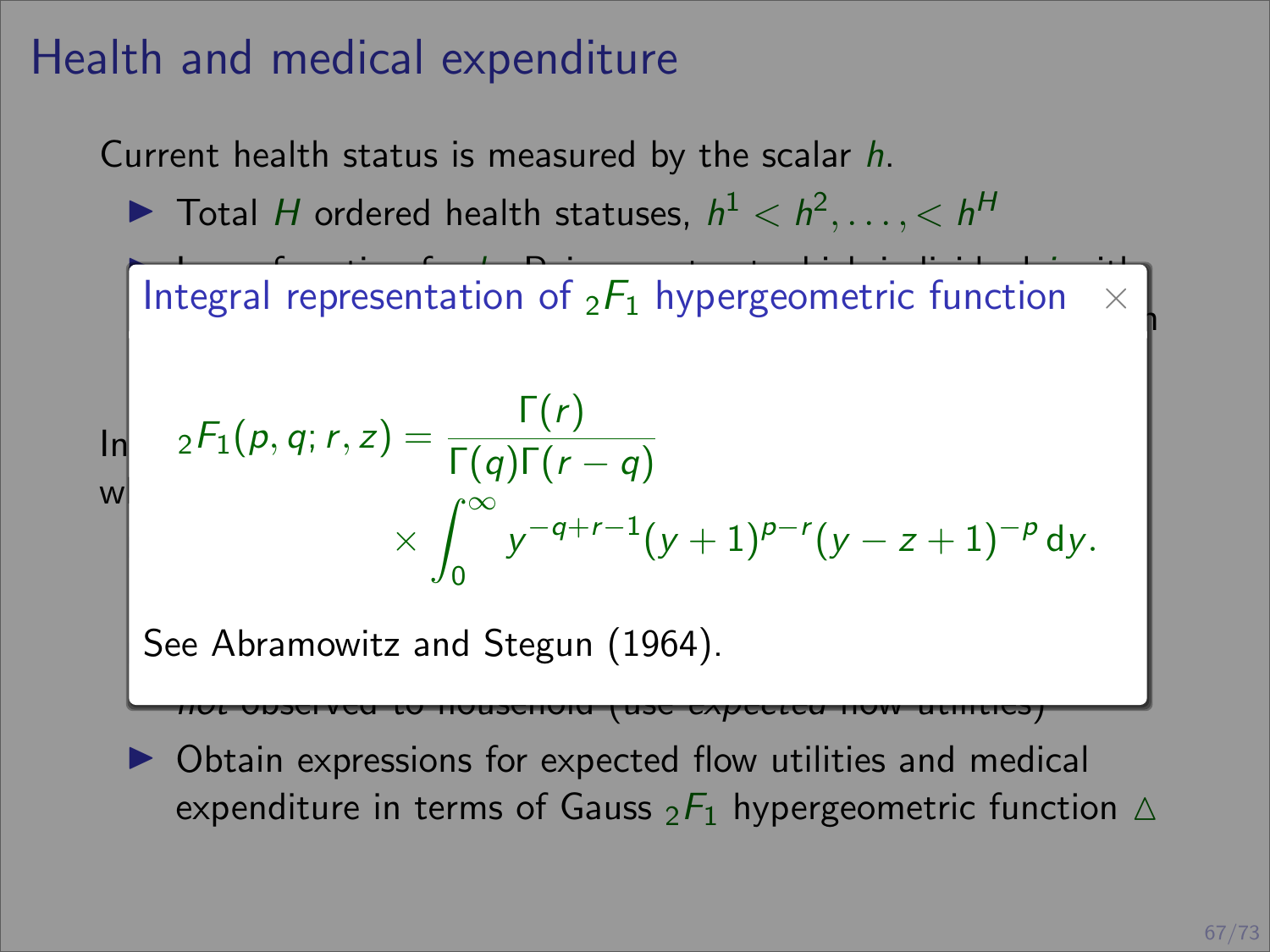### Health and medical expenditure

Current health status is measured by the scalar h.

 $\blacktriangleright$  Total H ordered health statuses,  $h^1 < h^2, \ldots, h^H$ 

 $\overline{\phantom{a}}$  Law-of-motion for  $\overline{\phantom{a}}$  . Poisson rate at which is with individual jumping  $\overline{\phantom{a}}$ Integral representation of  ${}_2F_1$  hypergeometric function  $\;\times\;$ 

$$
\ln \frac{{}_2F_1(p,q;r,z)}{\Gamma(q)\Gamma(r-q)} \times \int_0^\infty y^{-q+r-1}(y+1)^{p-r}(y-z+1)^{-p} dy.
$$

See Abramowitz and Stegun (1964).  $\,$ 

 $\triangleright$  Obtain expressions for expected flow utilities and medical expenditure in terms of Gauss  $_2F_1$  hypergeometric function  $\Delta$ 

not observed to household (use expected flow utilities)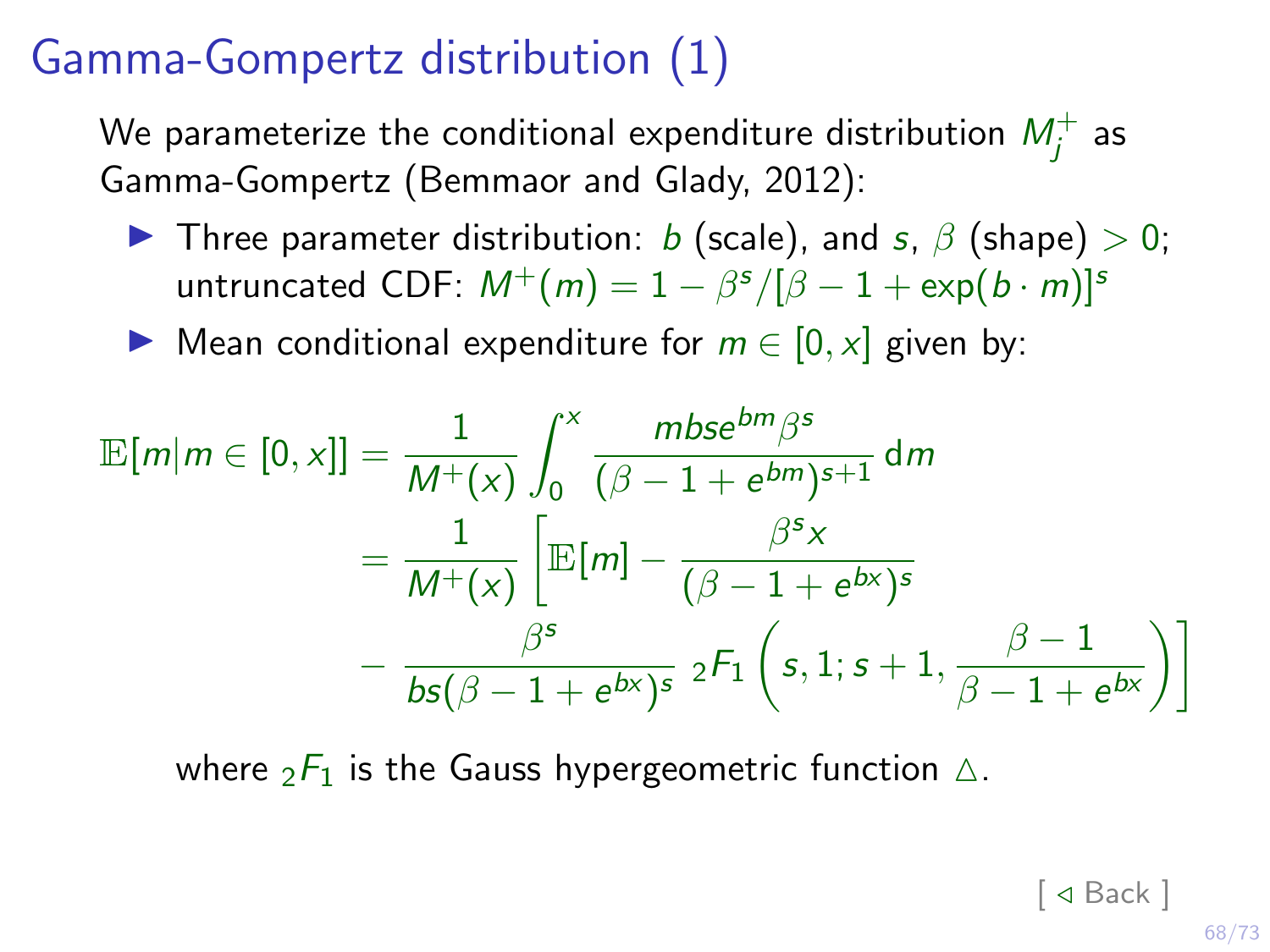## Gamma-Gompertz distribution (1)

<span id="page-73-0"></span>We parameterize the conditional expenditure distribution  $M_j^+$  as Gamma-Gompertz (Bemmaor and Glady, 2012):

- **I** Three parameter distribution: b (scale), and s,  $\beta$  (shape)  $> 0$ ; untruncated CDF:  $M^+(m) = 1 - \beta^s/[\beta - 1 + \exp(b \cdot m)]^s$
- ▶ Mean conditional expenditure for  $m \in [0, x]$  given by:

$$
\mathbb{E}[m|m \in [0, x]] = \frac{1}{M^+(x)} \int_0^x \frac{mbs e^{bm\beta s}}{(\beta - 1 + e^{bm})^{s+1}} dm
$$
  
= 
$$
\frac{1}{M^+(x)} \left[ \mathbb{E}[m] - \frac{\beta^s x}{(\beta - 1 + e^{bx})^s} - \frac{\beta^s}{bs(\beta - 1 + e^{bx})^s} 2F_1 \left(s, 1; s+1, \frac{\beta - 1}{\beta - 1 + e^{bx}}\right) \right]
$$

where  ${}_{2}F_{1}$  is the [Gauss hypergeometric function](#page-75-0)  $\triangle$ .

 $\lceil$   $\triangleleft$  Back  $\rceil$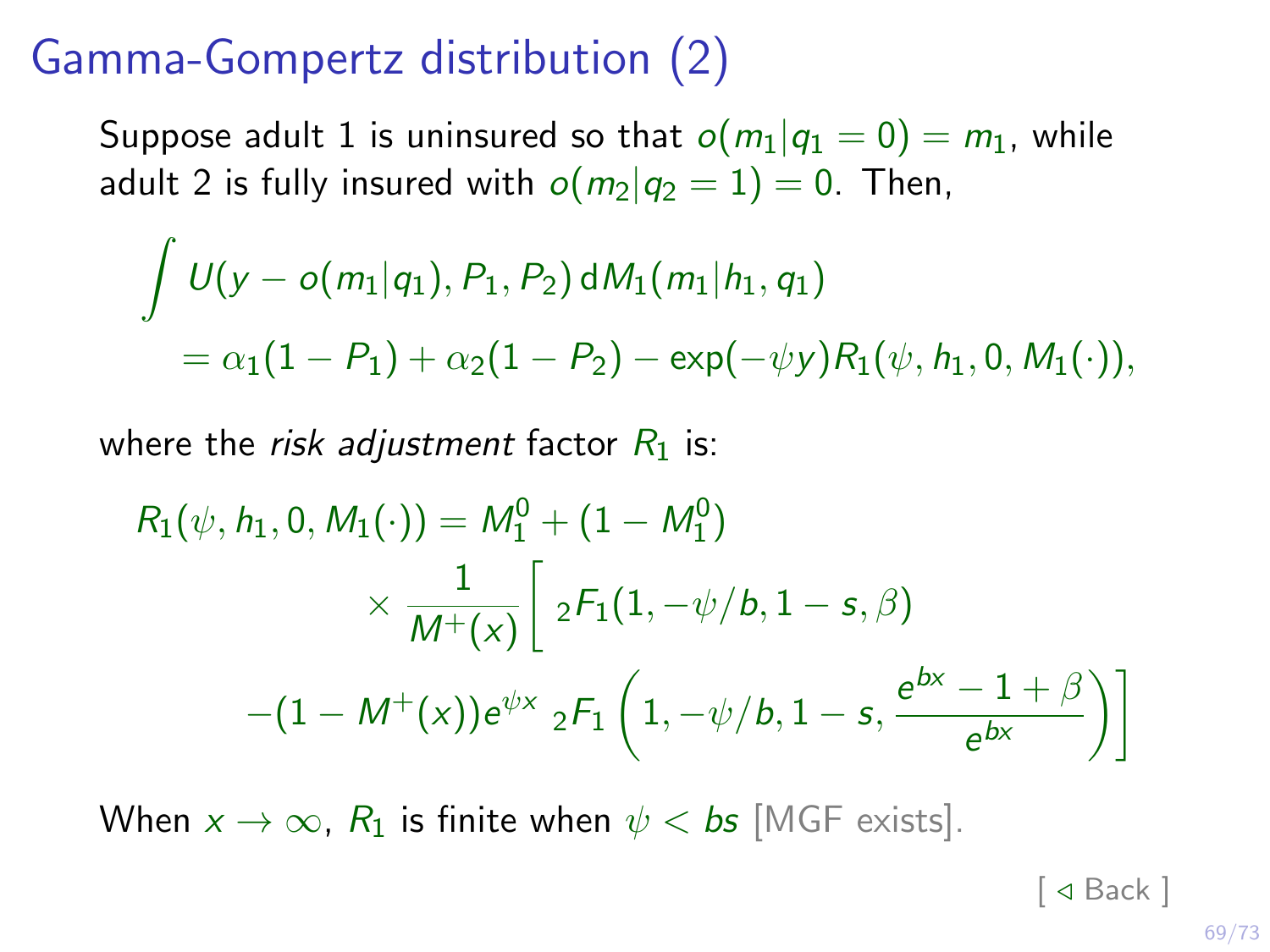### Gamma-Gompertz distribution (2)

Suppose adult 1 is uninsured so that  $o(m_1|q_1 = 0) = m_1$ , while adult 2 is fully insured with  $o(m_2|q_2 = 1) = 0$ . Then,

$$
\int U(y - o(m_1|q_1), P_1, P_2) dM_1(m_1|h_1, q_1)
$$
  
=  $\alpha_1(1 - P_1) + \alpha_2(1 - P_2) - \exp(-\psi y)R_1(\psi, h_1, 0, M_1(\cdot)),$ 

where the *risk adjustment* factor  $R_1$  is:

$$
R_1(\psi, h_1, 0, M_1(\cdot)) = M_1^0 + (1 - M_1^0)
$$
  
\$\times \frac{1}{M^+(x)} \left[ 2F\_1(1, -\psi/b, 1 - s, \beta) - (1 - M^+(x))e^{\psi x} 2F\_1(1, -\psi/b, 1 - s, \frac{e^{bx} - 1 + \beta}{e^{bx}}) \right]

When  $x \to \infty$ ,  $R_1$  is finite when  $\psi < b$ s [MGF exists].

 $\lceil$   $\triangleleft$  Back  $\rceil$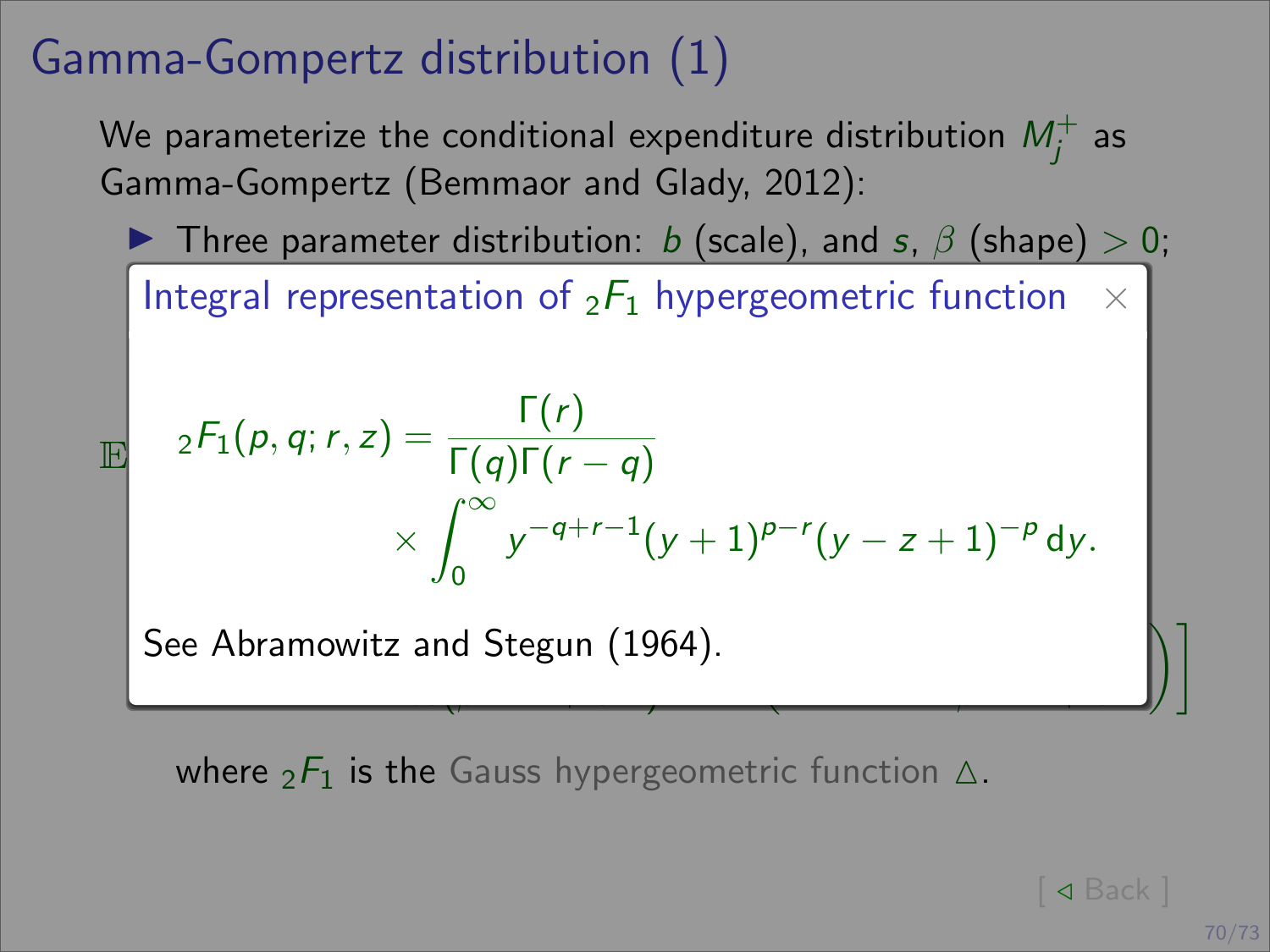## Gamma-Gompertz distribution (1)

We parameterize the conditional expenditure distribution  $M^+_j$  as Gamma-Gompertz (Bemmaor and Glady, 2012):

**If** Three parameter distribution: b (scale), and s,  $\beta$  (shape)  $> 0$ ;

Integral representation of  ${}_2F_1$  hypergeometric function  $\;\times\;$ I Mean conditional expenditure for m ∈ [0, x] given by:

$$
\mathbb{E} \quad 2^{F_1(p, q; r, z)} = \frac{\Gamma(r)}{\Gamma(q)\Gamma(r - q)} \times \int_0^\infty y^{-q + r - 1} (y + 1)^{p - r} (y - z + 1)^{-p} dy.
$$

 $\overline{\phantom{a}}$ 

itz and Ste<mark>g</mark> See Abramowitz and Stegun (1964).

 $\delta$  1  $\delta$  1  $\delta$  1  $\delta$  1  $\delta$  1  $\delta$  1  $\delta$  1  $\delta$  1  $\delta$  1  $\delta$  1  $\delta$  1  $\delta$  1  $\delta$  1  $\delta$  1  $\delta$  1  $\delta$  1  $\delta$  1  $\delta$  1  $\delta$  1  $\delta$  1  $\delta$  1  $\delta$  1  $\delta$  1  $\delta$  1  $\delta$  1  $\delta$  1  $\delta$  1  $\delta$  1  $\delta$  1  $\delta$  1  $\delta$  1  $\delta$ 

<span id="page-75-0"></span>where  ${}_{2}F_{1}$  is the Gauss hypergeometric function  $\Delta$ .

 $\Box$   $\Box$  Back  $\Box$ 

 $\mathcal{D}$ 

β − 1 + e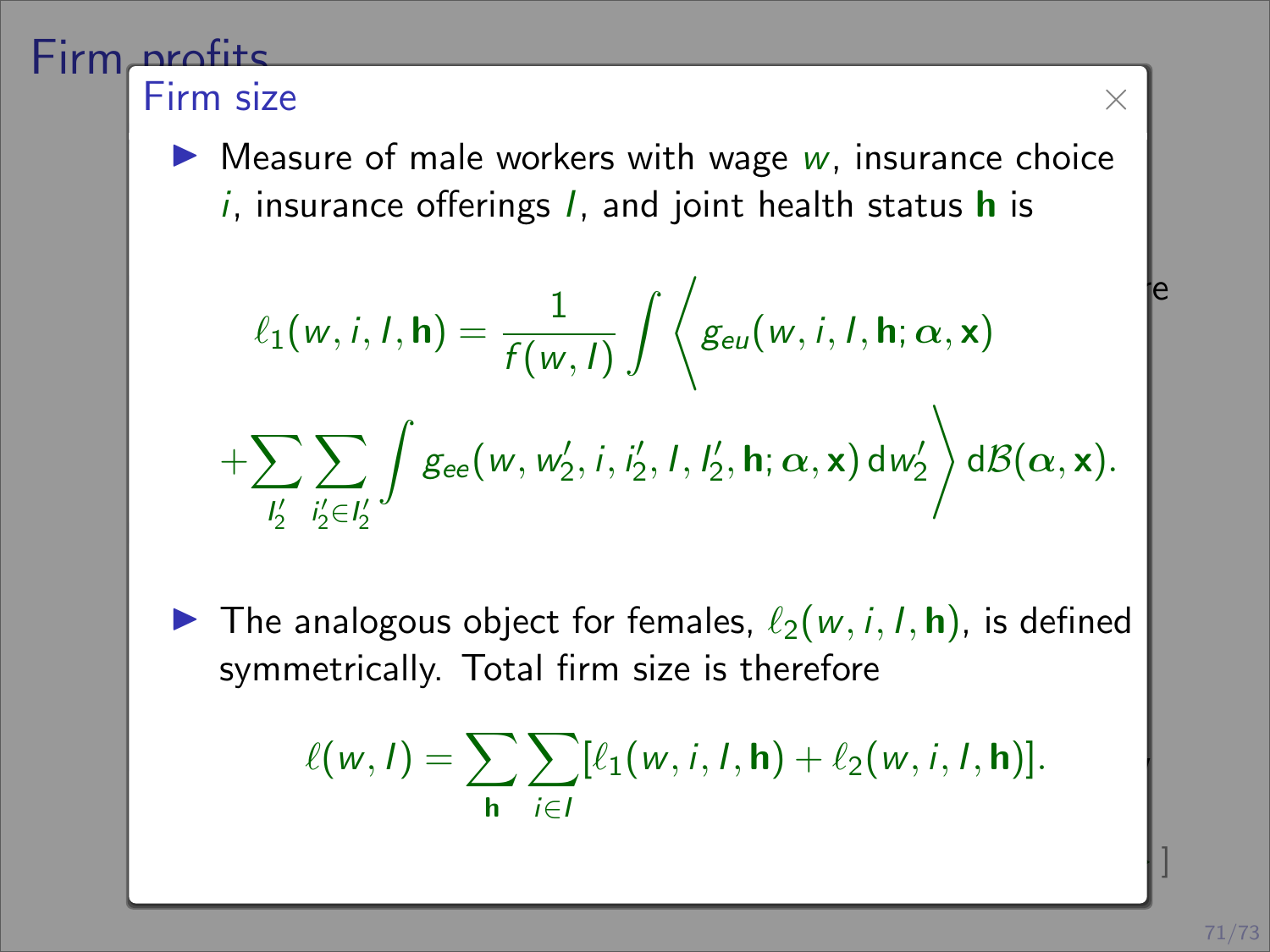#### Firm profits Firm size  $\times$

**I Health is a production**<br>I Measure of male workers with wage w, insurance choice with a successive of mate workers with wage  $w$ , insurance enoted it, insurance offerings  $I$ , and joint health status **h** is *i*, insurance offerings *l*, and joint health status **h** is

$$
\ell_1(w, i, I, \mathbf{h}) = \frac{1}{f(w, I)} \int \left\langle g_{eu}(w, i, I, \mathbf{h}; \alpha, \mathbf{x}) + \sum_{l'_2} \sum_{i'_2 \in l'_2} \int g_{ee}(w, w'_2, i, i'_2, I, l'_2, \mathbf{h}; \alpha, \mathbf{x}) dw'_2 \right\rangle d\mathcal{B}(\alpha, \mathbf{x}).
$$

**IF** The analogous object for females,  $\ell_2(w, i, I, h)$ , is defined symmetrically. Total firm size is therefore

$$
\ell(w, I) = \sum_{\mathbf{h}} \sum_{i \in I} [\ell_1(w, i, I, \mathbf{h}) + \ell_2(w, i, I, \mathbf{h})].
$$

[\[ Market equilibrium](#page-77-0) . ]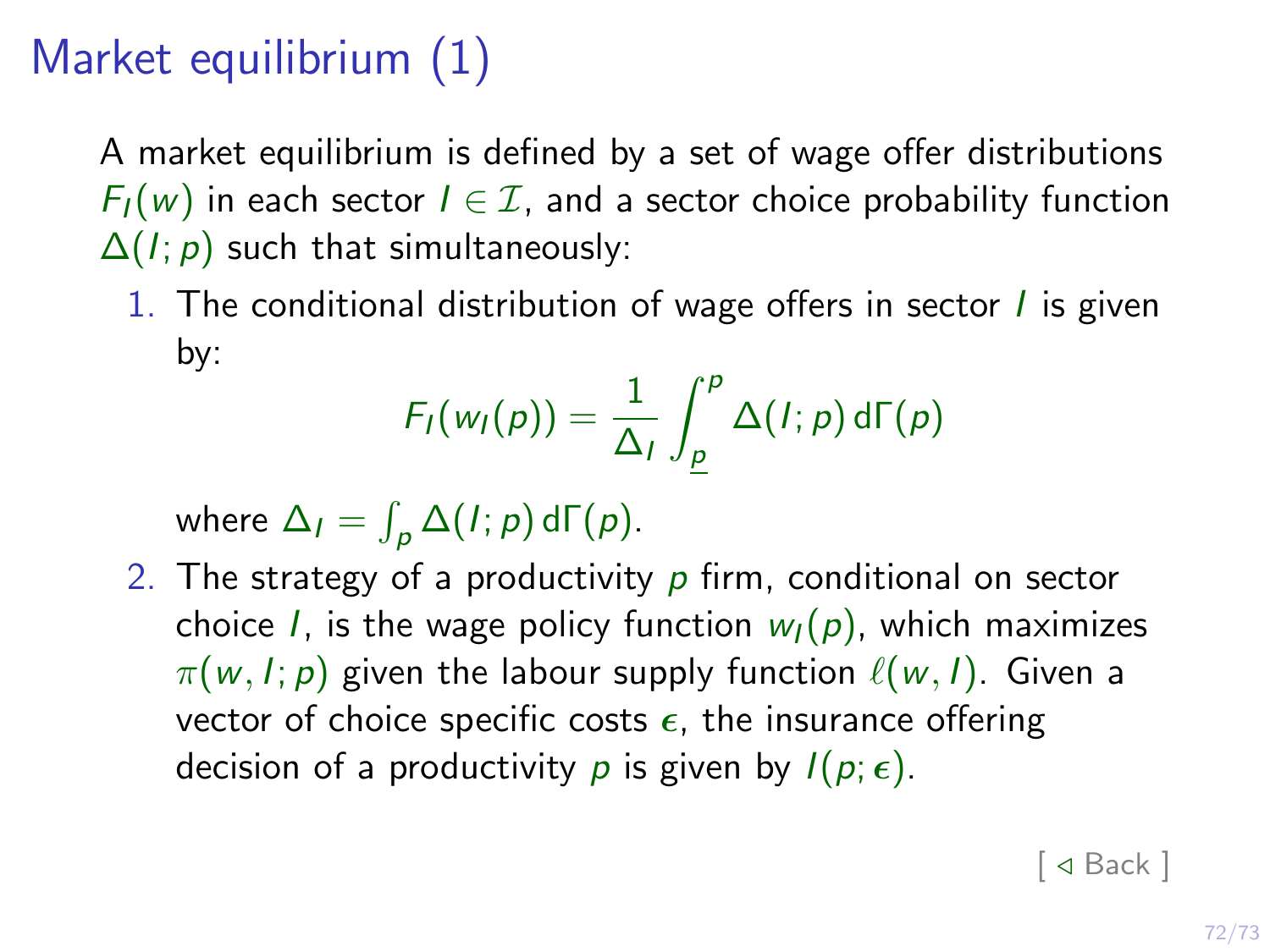# Market equilibrium (1)

<span id="page-77-0"></span>A market equilibrium is defined by a set of wage offer distributions  $F_I(w)$  in each sector  $I \in \mathcal{I}$ , and a sector choice probability function  $\Delta(I; p)$  such that simultaneously:

1. The conditional distribution of wage offers in sector  $\ell$  is given by:

$$
F_I(w_I(p)) = \frac{1}{\Delta_I} \int_{\underline{p}}^p \Delta(I;p) d\Gamma(p)
$$

where  $\Delta_I = \int_{\rho} \Delta(I; \rho) d\Gamma(\rho)$ .

2. The strategy of a productivity  $p$  firm, conditional on sector choice *I*, is the wage policy function  $w<sub>I</sub>(p)$ , which maximizes  $\pi(w, I; p)$  given the labour supply function  $\ell(w, I)$ . Given a vector of choice specific costs  $\epsilon$ , the insurance offering decision of a productivity p is given by  $I(p; \epsilon)$ .